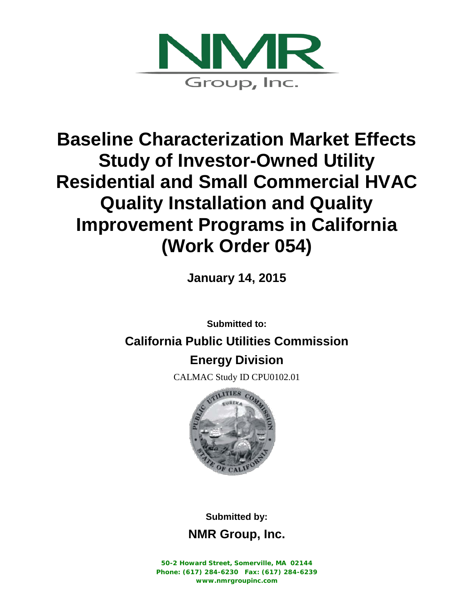

# **Baseline Characterization Market Effects Study of Investor-Owned Utility Residential and Small Commercial HVAC Quality Installation and Quality Improvement Programs in California (Work Order 054)**

**January 14, 2015**

**Submitted to:**

### **California Public Utilities Commission**

## **Energy Division**

CALMAC Study ID CPU0102.01



**Submitted by:**

**NMR Group, Inc.**

**50-2 Howard Street, Somerville, MA 02144 Phone: (617) 284-6230 Fax: (617) 284-6239 www.nmrgroupinc.com**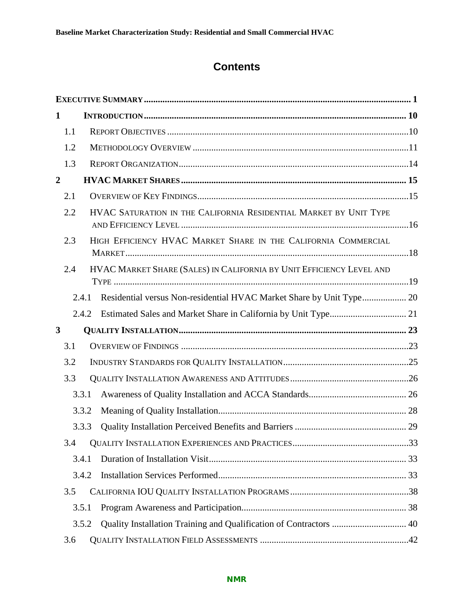### **Contents**

| $\mathbf 1$      |       |                                                                      |  |
|------------------|-------|----------------------------------------------------------------------|--|
| 1.1              |       |                                                                      |  |
| 1.2              |       |                                                                      |  |
| 1.3              |       |                                                                      |  |
| $\boldsymbol{2}$ |       |                                                                      |  |
| 2.1              |       |                                                                      |  |
| 2.2              |       | HVAC SATURATION IN THE CALIFORNIA RESIDENTIAL MARKET BY UNIT TYPE    |  |
| 2.3              |       | HIGH EFFICIENCY HVAC MARKET SHARE IN THE CALIFORNIA COMMERCIAL       |  |
| 2.4              |       | HVAC MARKET SHARE (SALES) IN CALIFORNIA BY UNIT EFFICIENCY LEVEL AND |  |
|                  | 2.4.1 | Residential versus Non-residential HVAC Market Share by Unit Type 20 |  |
|                  | 2.4.2 |                                                                      |  |
| 3                |       |                                                                      |  |
| 3.1              |       |                                                                      |  |
| 3.2              |       |                                                                      |  |
| 3.3              |       |                                                                      |  |
|                  | 3.3.1 |                                                                      |  |
|                  | 3.3.2 |                                                                      |  |
|                  | 3.3.3 |                                                                      |  |
|                  |       |                                                                      |  |
|                  | 3.4.1 |                                                                      |  |
|                  | 3.4.2 |                                                                      |  |
| 3.5              |       |                                                                      |  |
|                  | 3.5.1 |                                                                      |  |
|                  | 3.5.2 |                                                                      |  |
| 3.6              |       |                                                                      |  |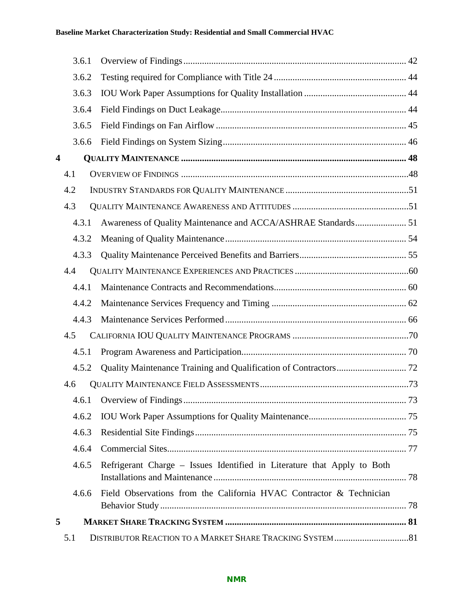#### **Baseline Market Characterization Study: Residential and Small Commercial HVAC**

|                         | 3.6.1 |                                                                         |    |
|-------------------------|-------|-------------------------------------------------------------------------|----|
|                         | 3.6.2 |                                                                         |    |
|                         | 3.6.3 |                                                                         |    |
|                         | 3.6.4 |                                                                         |    |
|                         | 3.6.5 |                                                                         |    |
|                         | 3.6.6 |                                                                         |    |
| $\overline{\mathbf{4}}$ |       |                                                                         |    |
|                         | 4.1   |                                                                         |    |
|                         | 4.2   |                                                                         |    |
|                         | 4.3   |                                                                         |    |
|                         | 4.3.1 | Awareness of Quality Maintenance and ACCA/ASHRAE Standards 51           |    |
|                         | 4.3.2 |                                                                         |    |
|                         | 4.3.3 |                                                                         |    |
|                         | 4.4   |                                                                         |    |
|                         | 4.4.1 |                                                                         |    |
|                         | 4.4.2 |                                                                         |    |
|                         | 4.4.3 |                                                                         |    |
|                         | 4.5   |                                                                         |    |
|                         | 4.5.1 |                                                                         |    |
|                         | 4.5.2 |                                                                         |    |
|                         | 4.6   |                                                                         |    |
|                         |       | 4.6.1 Overview of Findings                                              | 73 |
|                         | 4.6.2 |                                                                         |    |
|                         | 4.6.3 |                                                                         |    |
|                         | 4.6.4 |                                                                         |    |
|                         | 4.6.5 | Refrigerant Charge – Issues Identified in Literature that Apply to Both |    |
|                         | 4.6.6 | Field Observations from the California HVAC Contractor & Technician     |    |
| 5                       |       |                                                                         |    |
|                         | 5.1   |                                                                         |    |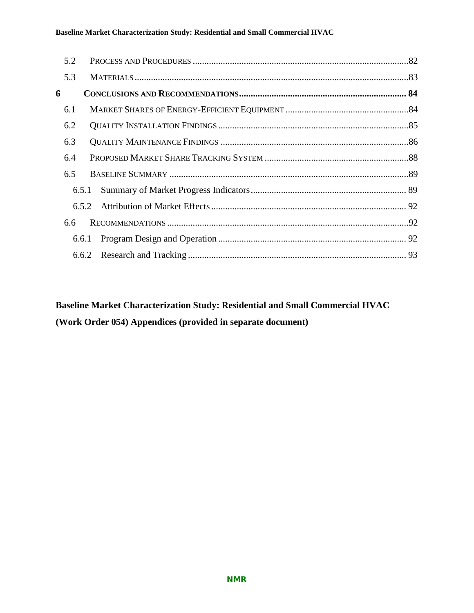#### **Baseline Market Characterization Study: Residential and Small Commercial HVAC**

| 6.5.1 |  |
|-------|--|
| 6.5.2 |  |
|       |  |
| 6.6.1 |  |
|       |  |
|       |  |

**Baseline Market Characterization Study: Residential and Small Commercial HVAC (Work Order 054) Appendices (provided in separate document)**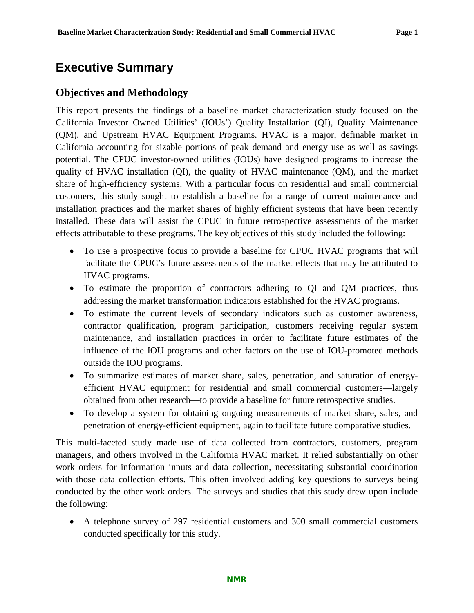### <span id="page-4-0"></span>**Executive Summary**

#### **Objectives and Methodology**

This report presents the findings of a baseline market characterization study focused on the California Investor Owned Utilities' (IOUs') Quality Installation (QI), Quality Maintenance (QM), and Upstream HVAC Equipment Programs. HVAC is a major, definable market in California accounting for sizable portions of peak demand and energy use as well as savings potential. The CPUC investor-owned utilities (IOUs) have designed programs to increase the quality of HVAC installation (QI), the quality of HVAC maintenance (QM), and the market share of high-efficiency systems. With a particular focus on residential and small commercial customers, this study sought to establish a baseline for a range of current maintenance and installation practices and the market shares of highly efficient systems that have been recently installed. These data will assist the CPUC in future retrospective assessments of the market effects attributable to these programs. The key objectives of this study included the following:

- To use a prospective focus to provide a baseline for CPUC HVAC programs that will facilitate the CPUC's future assessments of the market effects that may be attributed to HVAC programs.
- To estimate the proportion of contractors adhering to QI and QM practices, thus addressing the market transformation indicators established for the HVAC programs.
- To estimate the current levels of secondary indicators such as customer awareness, contractor qualification, program participation, customers receiving regular system maintenance, and installation practices in order to facilitate future estimates of the influence of the IOU programs and other factors on the use of IOU-promoted methods outside the IOU programs.
- To summarize estimates of market share, sales, penetration, and saturation of energyefficient HVAC equipment for residential and small commercial customers—largely obtained from other research—to provide a baseline for future retrospective studies.
- To develop a system for obtaining ongoing measurements of market share, sales, and penetration of energy-efficient equipment, again to facilitate future comparative studies.

This multi-faceted study made use of data collected from contractors, customers, program managers, and others involved in the California HVAC market. It relied substantially on other work orders for information inputs and data collection, necessitating substantial coordination with those data collection efforts. This often involved adding key questions to surveys being conducted by the other work orders. The surveys and studies that this study drew upon include the following:

• A telephone survey of 297 residential customers and 300 small commercial customers conducted specifically for this study.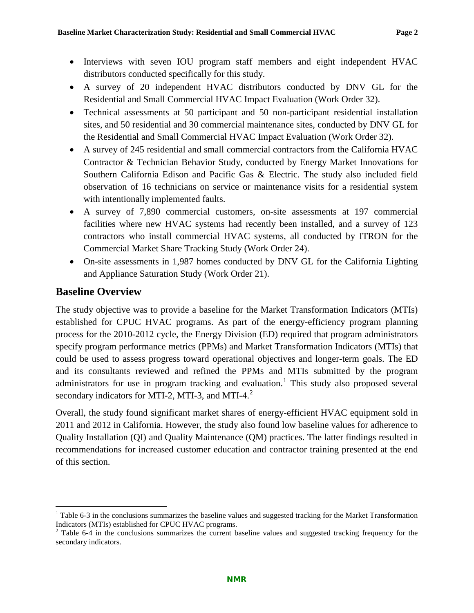- Interviews with seven IOU program staff members and eight independent HVAC distributors conducted specifically for this study.
- A survey of 20 independent HVAC distributors conducted by DNV GL for the Residential and Small Commercial HVAC Impact Evaluation (Work Order 32).
- Technical assessments at 50 participant and 50 non-participant residential installation sites, and 50 residential and 30 commercial maintenance sites, conducted by DNV GL for the Residential and Small Commercial HVAC Impact Evaluation (Work Order 32).
- A survey of 245 residential and small commercial contractors from the California HVAC Contractor & Technician Behavior Study, conducted by Energy Market Innovations for Southern California Edison and Pacific Gas & Electric. The study also included field observation of 16 technicians on service or maintenance visits for a residential system with intentionally implemented faults.
- A survey of 7,890 commercial customers, on-site assessments at 197 commercial facilities where new HVAC systems had recently been installed, and a survey of 123 contractors who install commercial HVAC systems, all conducted by ITRON for the Commercial Market Share Tracking Study (Work Order 24).
- On-site assessments in 1,987 homes conducted by DNV GL for the California Lighting and Appliance Saturation Study (Work Order 21).

#### **Baseline Overview**

The study objective was to provide a baseline for the Market Transformation Indicators (MTIs) established for CPUC HVAC programs. As part of the energy-efficiency program planning process for the 2010-2012 cycle, the Energy Division (ED) required that program administrators specify program performance metrics (PPMs) and Market Transformation Indicators (MTIs) that could be used to assess progress toward operational objectives and longer-term goals. The ED and its consultants reviewed and refined the PPMs and MTIs submitted by the program administrators for use in program tracking and evaluation.<sup>[1](#page-5-0)</sup> This study also proposed several secondary indicators for MTI-[2](#page-5-1), MTI-3, and MTI-4. $^2$ 

Overall, the study found significant market shares of energy-efficient HVAC equipment sold in 2011 and 2012 in California. However, the study also found low baseline values for adherence to Quality Installation (QI) and Quality Maintenance (QM) practices. The latter findings resulted in recommendations for increased customer education and contractor training presented at the end of this section.

<span id="page-5-0"></span> $1$  [Table 6-3](#page-93-0) in the conclusions summarizes the baseline values and suggested tracking for the Market Transformation Indicators (MTIs) established for CPUC HVAC programs.

<span id="page-5-1"></span> $2$  [Table 6-4](#page-94-0) in the conclusions summarizes the current baseline values and suggested tracking frequency for the secondary indicators.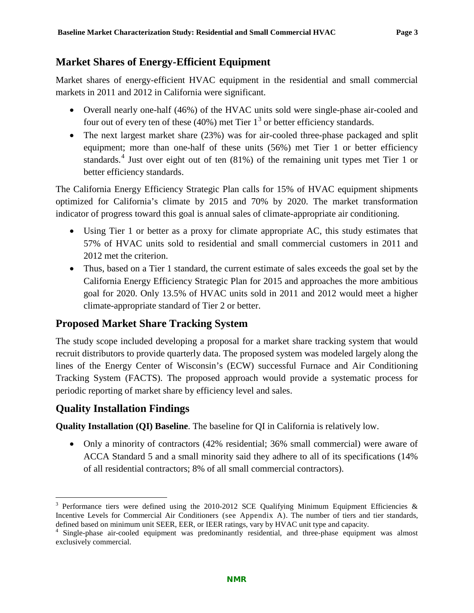#### **Market Shares of Energy-Efficient Equipment**

Market shares of energy-efficient HVAC equipment in the residential and small commercial markets in 2011 and 2012 in California were significant.

- Overall nearly one-half (46%) of the HVAC units sold were single-phase air-cooled and four out of every ten of these (40%) met Tier  $1<sup>3</sup>$  $1<sup>3</sup>$  $1<sup>3</sup>$  or better efficiency standards.
- The next largest market share (23%) was for air-cooled three-phase packaged and split equipment; more than one-half of these units (56%) met Tier 1 or better efficiency standards.<sup>[4](#page-6-1)</sup> Just over eight out of ten  $(81\%)$  of the remaining unit types met Tier 1 or better efficiency standards.

The California Energy Efficiency Strategic Plan calls for 15% of HVAC equipment shipments optimized for California's climate by 2015 and 70% by 2020. The market transformation indicator of progress toward this goal is annual sales of climate-appropriate air conditioning.

- Using Tier 1 or better as a proxy for climate appropriate AC, this study estimates that 57% of HVAC units sold to residential and small commercial customers in 2011 and 2012 met the criterion.
- Thus, based on a Tier 1 standard, the current estimate of sales exceeds the goal set by the California Energy Efficiency Strategic Plan for 2015 and approaches the more ambitious goal for 2020. Only 13.5% of HVAC units sold in 2011 and 2012 would meet a higher climate-appropriate standard of Tier 2 or better.

### **Proposed Market Share Tracking System**

The study scope included developing a proposal for a market share tracking system that would recruit distributors to provide quarterly data. The proposed system was modeled largely along the lines of the Energy Center of Wisconsin's (ECW) successful Furnace and Air Conditioning Tracking System (FACTS). The proposed approach would provide a systematic process for periodic reporting of market share by efficiency level and sales.

#### **Quality Installation Findings**

**Quality Installation (QI) Baseline**. The baseline for QI in California is relatively low.

• Only a minority of contractors (42% residential; 36% small commercial) were aware of ACCA Standard 5 and a small minority said they adhere to all of its specifications (14% of all residential contractors; 8% of all small commercial contractors).

<span id="page-6-0"></span><sup>&</sup>lt;sup>3</sup> Performance tiers were defined using the 2010-2012 SCE Qualifying Minimum Equipment Efficiencies & Incentive Levels for Commercial Air Conditioners (see Appendix A). The number of tiers and tier standards, defined based on minimum unit SEER, EER, or IEER ratings, vary by HVAC unit type and capacity.

<span id="page-6-1"></span><sup>&</sup>lt;sup>4</sup> Single-phase air-cooled equipment was predominantly residential, and three-phase equipment was almost exclusively commercial.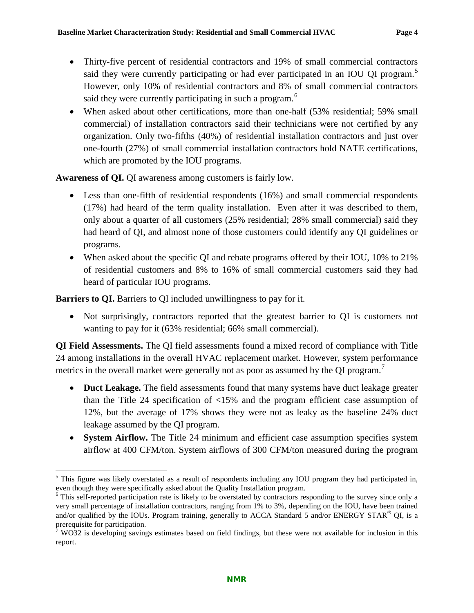- Thirty-five percent of residential contractors and 19% of small commercial contractors said they were currently participating or had ever participated in an IOU QI program.<sup>[5](#page-7-0)</sup> However, only 10% of residential contractors and 8% of small commercial contractors said they were currently participating in such a program.<sup>[6](#page-7-1)</sup>
- When asked about other certifications, more than one-half (53% residential; 59% small commercial) of installation contractors said their technicians were not certified by any organization. Only two-fifths (40%) of residential installation contractors and just over one-fourth (27%) of small commercial installation contractors hold NATE certifications, which are promoted by the IOU programs.

**Awareness of QI.** QI awareness among customers is fairly low.

- Less than one-fifth of residential respondents (16%) and small commercial respondents (17%) had heard of the term quality installation. Even after it was described to them, only about a quarter of all customers (25% residential; 28% small commercial) said they had heard of QI, and almost none of those customers could identify any QI guidelines or programs.
- When asked about the specific OI and rebate programs offered by their IOU, 10% to 21% of residential customers and 8% to 16% of small commercial customers said they had heard of particular IOU programs.

**Barriers to QI.** Barriers to QI included unwillingness to pay for it.

• Not surprisingly, contractors reported that the greatest barrier to QI is customers not wanting to pay for it (63% residential; 66% small commercial).

**QI Field Assessments.** The QI field assessments found a mixed record of compliance with Title 24 among installations in the overall HVAC replacement market. However, system performance metrics in the overall market were generally not as poor as assumed by the QI program.<sup>[7](#page-7-2)</sup>

- **Duct Leakage.** The field assessments found that many systems have duct leakage greater than the Title 24 specification of <15% and the program efficient case assumption of 12%, but the average of 17% shows they were not as leaky as the baseline 24% duct leakage assumed by the QI program.
- **System Airflow.** The Title 24 minimum and efficient case assumption specifies system airflow at 400 CFM/ton. System airflows of 300 CFM/ton measured during the program

<span id="page-7-0"></span> $<sup>5</sup>$  This figure was likely overstated as a result of respondents including any IOU program they had participated in, even though they were specifically asked about the Quality Installation program.</sup>

<span id="page-7-1"></span> $\epsilon$ <sup>6</sup> This self-reported participation rate is likely to be overstated by contractors responding to the survey since only a very small percentage of installation contractors, ranging from 1% to 3%, depending on the IOU, have been trained and/or qualified by the IOUs. Program training, generally to ACCA Standard 5 and/or ENERGY STAR<sup>®</sup> QI, is a prerequisite for participation.

<span id="page-7-2"></span>WO32 is developing savings estimates based on field findings, but these were not available for inclusion in this report.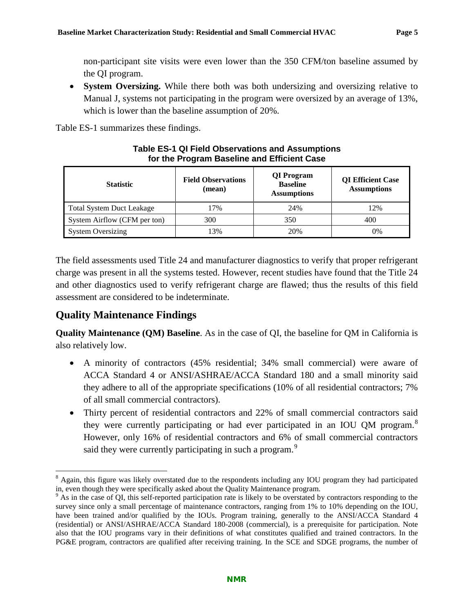non-participant site visits were even lower than the 350 CFM/ton baseline assumed by the QI program.

• **System Oversizing.** While there both was both undersizing and oversizing relative to Manual J, systems not participating in the program were oversized by an average of 13%, which is lower than the baseline assumption of 20%.

<span id="page-8-0"></span>[Table ES-1](#page-8-0) summarizes these findings.

| <b>Statistic</b>                 | <b>Field Observations</b><br>(mean) | QI Program<br><b>Baseline</b><br><b>Assumptions</b> | <b>QI</b> Efficient Case<br><b>Assumptions</b> |  |
|----------------------------------|-------------------------------------|-----------------------------------------------------|------------------------------------------------|--|
| <b>Total System Duct Leakage</b> | 17%                                 | 24%                                                 | 12%                                            |  |
| System Airflow (CFM per ton)     | 300                                 | 350                                                 | 400                                            |  |
| <b>System Oversizing</b>         | 13%                                 | 20%                                                 | 0%                                             |  |

#### **Table ES-1 QI Field Observations and Assumptions for the Program Baseline and Efficient Case**

The field assessments used Title 24 and manufacturer diagnostics to verify that proper refrigerant charge was present in all the systems tested. However, recent studies have found that the Title 24 and other diagnostics used to verify refrigerant charge are flawed; thus the results of this field assessment are considered to be indeterminate.

### **Quality Maintenance Findings**

**Quality Maintenance (QM) Baseline**. As in the case of QI, the baseline for QM in California is also relatively low.

- A minority of contractors (45% residential; 34% small commercial) were aware of ACCA Standard 4 or ANSI/ASHRAE/ACCA Standard 180 and a small minority said they adhere to all of the appropriate specifications (10% of all residential contractors; 7% of all small commercial contractors).
- Thirty percent of residential contractors and 22% of small commercial contractors said they were currently participating or had ever participated in an IOU QM program.<sup>[8](#page-8-1)</sup> However, only 16% of residential contractors and 6% of small commercial contractors said they were currently participating in such a program.<sup>[9](#page-8-2)</sup>

<span id="page-8-1"></span><sup>&</sup>lt;sup>8</sup> Again, this figure was likely overstated due to the respondents including any IOU program they had participated in, even though they were specifically asked about the Quality Maintenance program.

<span id="page-8-2"></span><sup>&</sup>lt;sup>9</sup> As in the case of QI, this self-reported participation rate is likely to be overstated by contractors responding to the survey since only a small percentage of maintenance contractors, ranging from 1% to 10% depending on the IOU, have been trained and/or qualified by the IOUs. Program training, generally to the ANSI/ACCA Standard 4 (residential) or ANSI/ASHRAE/ACCA Standard 180-2008 (commercial), is a prerequisite for participation. Note also that the IOU programs vary in their definitions of what constitutes qualified and trained contractors. In the PG&E program, contractors are qualified after receiving training. In the SCE and SDGE programs, the number of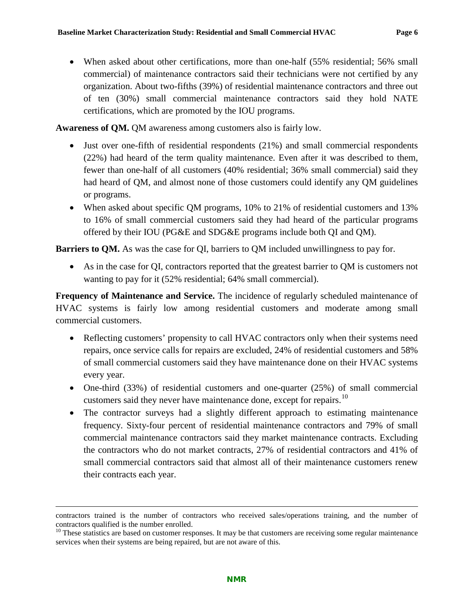• When asked about other certifications, more than one-half (55% residential; 56% small commercial) of maintenance contractors said their technicians were not certified by any organization. About two-fifths (39%) of residential maintenance contractors and three out of ten (30%) small commercial maintenance contractors said they hold NATE certifications, which are promoted by the IOU programs.

Awareness of QM. QM awareness among customers also is fairly low.

- Just over one-fifth of residential respondents (21%) and small commercial respondents (22%) had heard of the term quality maintenance. Even after it was described to them, fewer than one-half of all customers (40% residential; 36% small commercial) said they had heard of QM, and almost none of those customers could identify any QM guidelines or programs.
- When asked about specific QM programs, 10% to 21% of residential customers and 13% to 16% of small commercial customers said they had heard of the particular programs offered by their IOU (PG&E and SDG&E programs include both QI and QM).

**Barriers to QM.** As was the case for QI, barriers to QM included unwillingness to pay for.

• As in the case for QI, contractors reported that the greatest barrier to QM is customers not wanting to pay for it (52% residential; 64% small commercial).

**Frequency of Maintenance and Service.** The incidence of regularly scheduled maintenance of HVAC systems is fairly low among residential customers and moderate among small commercial customers.

- Reflecting customers' propensity to call HVAC contractors only when their systems need repairs, once service calls for repairs are excluded, 24% of residential customers and 58% of small commercial customers said they have maintenance done on their HVAC systems every year.
- One-third (33%) of residential customers and one-quarter (25%) of small commercial customers said they never have maintenance done, except for repairs.<sup>[10](#page-9-0)</sup>
- The contractor surveys had a slightly different approach to estimating maintenance frequency. Sixty-four percent of residential maintenance contractors and 79% of small commercial maintenance contractors said they market maintenance contracts. Excluding the contractors who do not market contracts, 27% of residential contractors and 41% of small commercial contractors said that almost all of their maintenance customers renew their contracts each year.

 $\overline{a}$ 

contractors trained is the number of contractors who received sales/operations training, and the number of contractors qualified is the number enrolled.<br><sup>10</sup> These statistics are based on customer responses. It may be that customers are receiving some regular maintenance

<span id="page-9-0"></span>services when their systems are being repaired, but are not aware of this.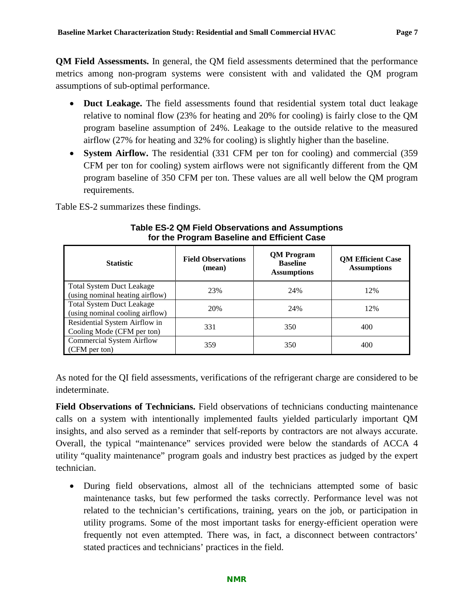**QM Field Assessments.** In general, the QM field assessments determined that the performance metrics among non-program systems were consistent with and validated the QM program assumptions of sub-optimal performance.

- **Duct Leakage.** The field assessments found that residential system total duct leakage relative to nominal flow (23% for heating and 20% for cooling) is fairly close to the QM program baseline assumption of 24%. Leakage to the outside relative to the measured airflow (27% for heating and 32% for cooling) is slightly higher than the baseline.
- **System Airflow.** The residential (331 CFM per ton for cooling) and commercial (359 CFM per ton for cooling) system airflows were not significantly different from the QM program baseline of 350 CFM per ton. These values are all well below the QM program requirements.

<span id="page-10-0"></span>[Table ES-2](#page-10-0) summarizes these findings.

| <b>Statistic</b>                                                    | <b>Field Observations</b><br>(mean) | <b>QM</b> Program<br><b>Baseline</b><br><b>Assumptions</b> | <b>QM Efficient Case</b><br><b>Assumptions</b> |
|---------------------------------------------------------------------|-------------------------------------|------------------------------------------------------------|------------------------------------------------|
| <b>Total System Duct Leakage</b><br>(using nominal heating airflow) | 23%                                 | 24%                                                        | 12%                                            |
| <b>Total System Duct Leakage</b><br>(using nominal cooling airflow) | 20%                                 | 24%                                                        | 12%                                            |
| Residential System Airflow in<br>Cooling Mode (CFM per ton)         | 331                                 | 350                                                        | 400                                            |
| <b>Commercial System Airflow</b><br>(CFM per ton)                   | 359                                 | 350                                                        | 400                                            |

#### **Table ES-2 QM Field Observations and Assumptions for the Program Baseline and Efficient Case**

As noted for the QI field assessments, verifications of the refrigerant charge are considered to be indeterminate.

**Field Observations of Technicians.** Field observations of technicians conducting maintenance calls on a system with intentionally implemented faults yielded particularly important QM insights, and also served as a reminder that self-reports by contractors are not always accurate. Overall, the typical "maintenance" services provided were below the standards of ACCA 4 utility "quality maintenance" program goals and industry best practices as judged by the expert technician.

• During field observations, almost all of the technicians attempted some of basic maintenance tasks, but few performed the tasks correctly. Performance level was not related to the technician's certifications, training, years on the job, or participation in utility programs. Some of the most important tasks for energy-efficient operation were frequently not even attempted. There was, in fact, a disconnect between contractors' stated practices and technicians' practices in the field.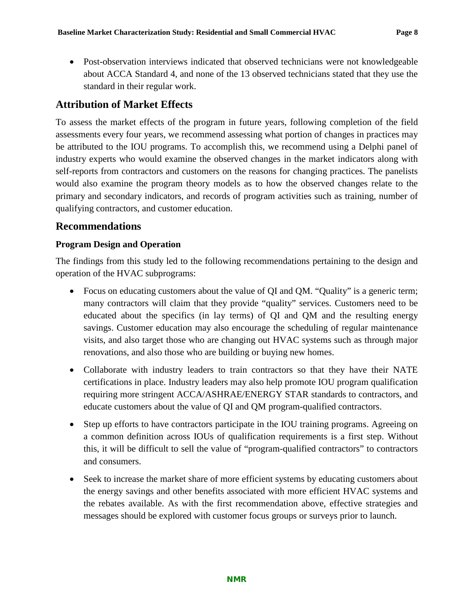• Post-observation interviews indicated that observed technicians were not knowledgeable about ACCA Standard 4, and none of the 13 observed technicians stated that they use the standard in their regular work.

#### **Attribution of Market Effects**

To assess the market effects of the program in future years, following completion of the field assessments every four years, we recommend assessing what portion of changes in practices may be attributed to the IOU programs. To accomplish this, we recommend using a Delphi panel of industry experts who would examine the observed changes in the market indicators along with self-reports from contractors and customers on the reasons for changing practices. The panelists would also examine the program theory models as to how the observed changes relate to the primary and secondary indicators, and records of program activities such as training, number of qualifying contractors, and customer education.

#### **Recommendations**

#### **Program Design and Operation**

The findings from this study led to the following recommendations pertaining to the design and operation of the HVAC subprograms:

- Focus on educating customers about the value of QI and QM. "Quality" is a generic term; many contractors will claim that they provide "quality" services. Customers need to be educated about the specifics (in lay terms) of QI and QM and the resulting energy savings. Customer education may also encourage the scheduling of regular maintenance visits, and also target those who are changing out HVAC systems such as through major renovations, and also those who are building or buying new homes.
- Collaborate with industry leaders to train contractors so that they have their NATE certifications in place. Industry leaders may also help promote IOU program qualification requiring more stringent ACCA/ASHRAE/ENERGY STAR standards to contractors, and educate customers about the value of QI and QM program-qualified contractors.
- Step up efforts to have contractors participate in the IOU training programs. Agreeing on a common definition across IOUs of qualification requirements is a first step. Without this, it will be difficult to sell the value of "program-qualified contractors" to contractors and consumers.
- Seek to increase the market share of more efficient systems by educating customers about the energy savings and other benefits associated with more efficient HVAC systems and the rebates available. As with the first recommendation above, effective strategies and messages should be explored with customer focus groups or surveys prior to launch.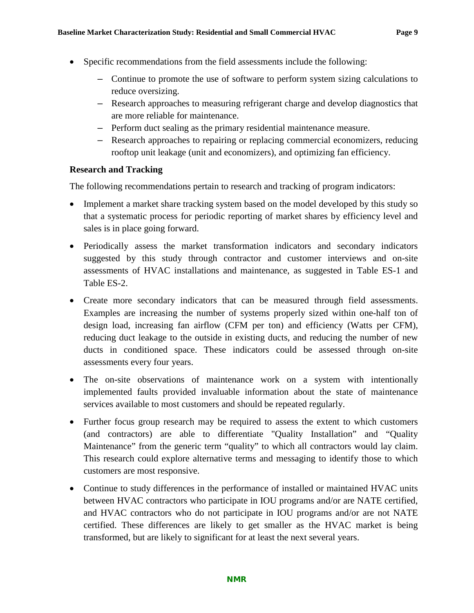- Specific recommendations from the field assessments include the following:
	- Continue to promote the use of software to perform system sizing calculations to reduce oversizing.
	- Research approaches to measuring refrigerant charge and develop diagnostics that are more reliable for maintenance.
	- Perform duct sealing as the primary residential maintenance measure.
	- Research approaches to repairing or replacing commercial economizers, reducing rooftop unit leakage (unit and economizers), and optimizing fan efficiency.

#### **Research and Tracking**

The following recommendations pertain to research and tracking of program indicators:

- Implement a market share tracking system based on the model developed by this study so that a systematic process for periodic reporting of market shares by efficiency level and sales is in place going forward.
- Periodically assess the market transformation indicators and secondary indicators suggested by this study through contractor and customer interviews and on-site assessments of HVAC installations and maintenance, as suggested in Table ES-1 and Table ES-2.
- Create more secondary indicators that can be measured through field assessments. Examples are increasing the number of systems properly sized within one-half ton of design load, increasing fan airflow (CFM per ton) and efficiency (Watts per CFM), reducing duct leakage to the outside in existing ducts, and reducing the number of new ducts in conditioned space. These indicators could be assessed through on-site assessments every four years.
- The on-site observations of maintenance work on a system with intentionally implemented faults provided invaluable information about the state of maintenance services available to most customers and should be repeated regularly.
- Further focus group research may be required to assess the extent to which customers (and contractors) are able to differentiate "Quality Installation" and "Quality Maintenance" from the generic term "quality" to which all contractors would lay claim. This research could explore alternative terms and messaging to identify those to which customers are most responsive.
- Continue to study differences in the performance of installed or maintained HVAC units between HVAC contractors who participate in IOU programs and/or are NATE certified, and HVAC contractors who do not participate in IOU programs and/or are not NATE certified. These differences are likely to get smaller as the HVAC market is being transformed, but are likely to significant for at least the next several years.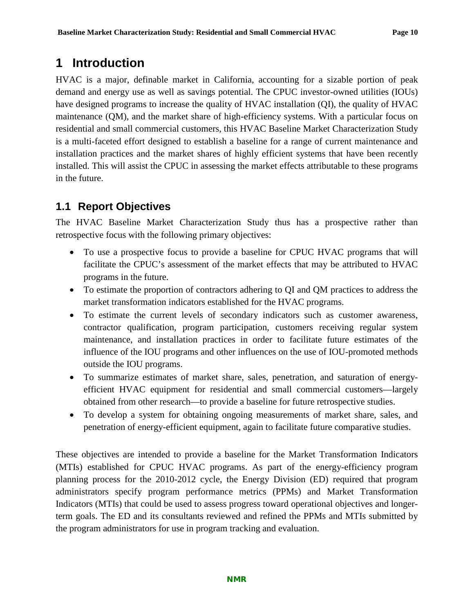### <span id="page-13-0"></span>**1 Introduction**

HVAC is a major, definable market in California, accounting for a sizable portion of peak demand and energy use as well as savings potential. The CPUC investor-owned utilities (IOUs) have designed programs to increase the quality of HVAC installation (QI), the quality of HVAC maintenance (QM), and the market share of high-efficiency systems. With a particular focus on residential and small commercial customers, this HVAC Baseline Market Characterization Study is a multi-faceted effort designed to establish a baseline for a range of current maintenance and installation practices and the market shares of highly efficient systems that have been recently installed. This will assist the CPUC in assessing the market effects attributable to these programs in the future.

### <span id="page-13-1"></span>**1.1 Report Objectives**

The HVAC Baseline Market Characterization Study thus has a prospective rather than retrospective focus with the following primary objectives:

- To use a prospective focus to provide a baseline for CPUC HVAC programs that will facilitate the CPUC's assessment of the market effects that may be attributed to HVAC programs in the future.
- To estimate the proportion of contractors adhering to QI and QM practices to address the market transformation indicators established for the HVAC programs.
- To estimate the current levels of secondary indicators such as customer awareness, contractor qualification, program participation, customers receiving regular system maintenance, and installation practices in order to facilitate future estimates of the influence of the IOU programs and other influences on the use of IOU-promoted methods outside the IOU programs.
- To summarize estimates of market share, sales, penetration, and saturation of energyefficient HVAC equipment for residential and small commercial customers—largely obtained from other research—to provide a baseline for future retrospective studies.
- To develop a system for obtaining ongoing measurements of market share, sales, and penetration of energy-efficient equipment, again to facilitate future comparative studies.

These objectives are intended to provide a baseline for the Market Transformation Indicators (MTIs) established for CPUC HVAC programs. As part of the energy-efficiency program planning process for the 2010-2012 cycle, the Energy Division (ED) required that program administrators specify program performance metrics (PPMs) and Market Transformation Indicators (MTIs) that could be used to assess progress toward operational objectives and longerterm goals. The ED and its consultants reviewed and refined the PPMs and MTIs submitted by the program administrators for use in program tracking and evaluation.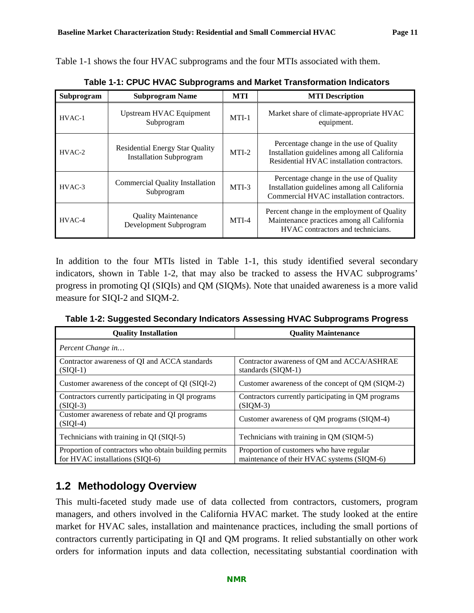<span id="page-14-1"></span>[Table 1-1](#page-14-1) shows the four HVAC subprograms and the four MTIs associated with them.

| Subprogram<br><b>Subprogram Name</b> |                                                                          | <b>MTI</b> | <b>MTI</b> Description                                                                                                                |
|--------------------------------------|--------------------------------------------------------------------------|------------|---------------------------------------------------------------------------------------------------------------------------------------|
| $HVAC-1$                             | Upstream HVAC Equipment<br>Subprogram                                    | $MTI-1$    | Market share of climate-appropriate HVAC<br>equipment.                                                                                |
| $HVAC-2$                             | <b>Residential Energy Star Quality</b><br><b>Installation Subprogram</b> | $MTI-2$    | Percentage change in the use of Quality<br>Installation guidelines among all California<br>Residential HVAC installation contractors. |
| $HVAC-3$                             | Commercial Quality Installation<br>Subprogram                            | MTI-3      | Percentage change in the use of Quality<br>Installation guidelines among all California<br>Commercial HVAC installation contractors.  |
| HVAC-4                               | <b>Quality Maintenance</b><br>Development Subprogram                     | $MTI-4$    | Percent change in the employment of Quality<br>Maintenance practices among all California<br>HVAC contractors and technicians.        |

**Table 1-1: CPUC HVAC Subprograms and Market Transformation Indicators**

In addition to the four MTIs listed in [Table 1-1,](#page-14-1) this study identified several secondary indicators, shown in [Table 1-2,](#page-14-2) that may also be tracked to assess the HVAC subprograms' progress in promoting QI (SIQIs) and QM (SIQMs). Note that unaided awareness is a more valid measure for SIQI-2 and SIQM-2.

<span id="page-14-2"></span>**Table 1-2: Suggested Secondary Indicators Assessing HVAC Subprograms Progress**

| <b>Quality Installation</b>                                                              | <b>Quality Maintenance</b>                                                             |
|------------------------------------------------------------------------------------------|----------------------------------------------------------------------------------------|
| Percent Change in                                                                        |                                                                                        |
| Contractor awareness of QI and ACCA standards<br>$(SIQI-1)$                              | Contractor awareness of QM and ACCA/ASHRAE<br>standards (SIQM-1)                       |
| Customer awareness of the concept of QI (SIQI-2)                                         | Customer awareness of the concept of QM (SIQM-2)                                       |
| Contractors currently participating in QI programs<br>$(SIQI-3)$                         | Contractors currently participating in QM programs<br>$(SIOM-3)$                       |
| Customer awareness of rebate and QI programs<br>$(SIQI-4)$                               | Customer awareness of QM programs (SIQM-4)                                             |
| Technicians with training in QI (SIQI-5)                                                 | Technicians with training in QM (SIQM-5)                                               |
| Proportion of contractors who obtain building permits<br>for HVAC installations (SIQI-6) | Proportion of customers who have regular<br>maintenance of their HVAC systems (SIQM-6) |

### <span id="page-14-0"></span>**1.2 Methodology Overview**

This multi-faceted study made use of data collected from contractors, customers, program managers, and others involved in the California HVAC market. The study looked at the entire market for HVAC sales, installation and maintenance practices, including the small portions of contractors currently participating in QI and QM programs. It relied substantially on other work orders for information inputs and data collection, necessitating substantial coordination with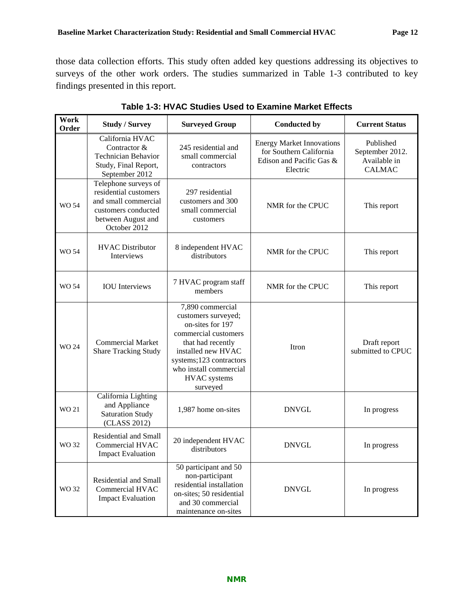those data collection efforts. This study often added key questions addressing its objectives to surveys of the other work orders. The studies summarized in [Table 1-3](#page-15-0) contributed to key findings presented in this report.

<span id="page-15-0"></span>

| Work<br>Order                                                                                                                                      | <b>Study / Survey</b>                                                                                   | <b>Surveyed Group</b>                                                                                                                                                                                                  | <b>Conducted by</b> | <b>Current Status</b>                                         |
|----------------------------------------------------------------------------------------------------------------------------------------------------|---------------------------------------------------------------------------------------------------------|------------------------------------------------------------------------------------------------------------------------------------------------------------------------------------------------------------------------|---------------------|---------------------------------------------------------------|
|                                                                                                                                                    | California HVAC<br>Contractor &<br><b>Technician Behavior</b><br>Study, Final Report,<br>September 2012 | <b>Energy Market Innovations</b><br>245 residential and<br>for Southern California<br>small commercial<br>Edison and Pacific Gas &<br>contractors<br>Electric                                                          |                     | Published<br>September 2012.<br>Available in<br><b>CALMAC</b> |
| Telephone surveys of<br>residential customers<br>and small commercial<br><b>WO 54</b><br>customers conducted<br>between August and<br>October 2012 |                                                                                                         | 297 residential<br>customers and 300<br>small commercial<br>customers                                                                                                                                                  | NMR for the CPUC    | This report                                                   |
| WO 54                                                                                                                                              | <b>HVAC Distributor</b><br>Interviews                                                                   | 8 independent HVAC<br>distributors                                                                                                                                                                                     | NMR for the CPUC    | This report                                                   |
| WO 54                                                                                                                                              | <b>IOU</b> Interviews                                                                                   | 7 HVAC program staff<br>members                                                                                                                                                                                        | NMR for the CPUC    | This report                                                   |
| <b>WO 24</b>                                                                                                                                       | <b>Commercial Market</b><br><b>Share Tracking Study</b>                                                 | 7,890 commercial<br>customers surveyed;<br>on-sites for 197<br>commercial customers<br>that had recently<br>installed new HVAC<br>systems;123 contractors<br>who install commercial<br><b>HVAC</b> systems<br>surveyed | Itron               | Draft report<br>submitted to CPUC                             |
| WO 21                                                                                                                                              | California Lighting<br>and Appliance<br><b>Saturation Study</b><br>(CLASS 2012)                         | 1,987 home on-sites                                                                                                                                                                                                    | <b>DNVGL</b>        | In progress                                                   |
| WO 32                                                                                                                                              | Residential and Small<br>Commercial HVAC<br><b>Impact Evaluation</b>                                    | 20 independent HVAC<br>distributors                                                                                                                                                                                    | <b>DNVGL</b>        | In progress                                                   |
| WO 32                                                                                                                                              | Residential and Small<br>Commercial HVAC<br><b>Impact Evaluation</b>                                    | 50 participant and 50<br>non-participant<br>residential installation<br>on-sites; 50 residential<br>and 30 commercial<br>maintenance on-sites                                                                          | <b>DNVGL</b>        | In progress                                                   |

**Table 1-3: HVAC Studies Used to Examine Market Effects**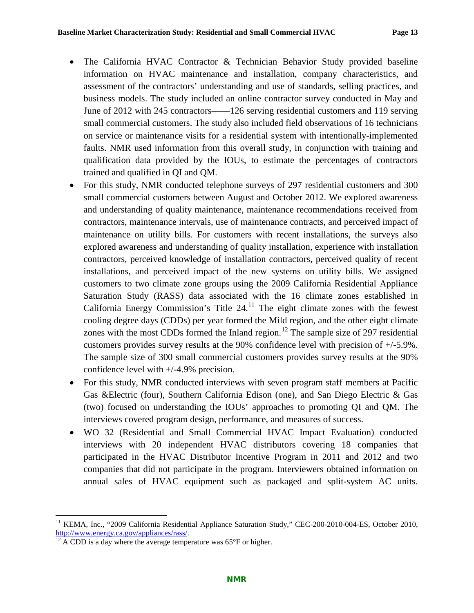- The California HVAC Contractor & Technician Behavior Study provided baseline information on HVAC maintenance and installation, company characteristics, and assessment of the contractors' understanding and use of standards, selling practices, and business models. The study included an online contractor survey conducted in May and June of 2012 with 245 contractors——126 serving residential customers and 119 serving small commercial customers. The study also included field observations of 16 technicians on service or maintenance visits for a residential system with intentionally-implemented faults. NMR used information from this overall study, in conjunction with training and qualification data provided by the IOUs, to estimate the percentages of contractors trained and qualified in QI and QM.
- For this study, NMR conducted telephone surveys of 297 residential customers and 300 small commercial customers between August and October 2012. We explored awareness and understanding of quality maintenance, maintenance recommendations received from contractors, maintenance intervals, use of maintenance contracts, and perceived impact of maintenance on utility bills. For customers with recent installations, the surveys also explored awareness and understanding of quality installation, experience with installation contractors, perceived knowledge of installation contractors, perceived quality of recent installations, and perceived impact of the new systems on utility bills. We assigned customers to two climate zone groups using the 2009 California Residential Appliance Saturation Study (RASS) data associated with the 16 climate zones established in California Energy Commission's Title  $24<sup>11</sup>$  $24<sup>11</sup>$  $24<sup>11</sup>$ . The eight climate zones with the fewest cooling degree days (CDDs) per year formed the Mild region, and the other eight climate zones with the most CDDs formed the Inland region.<sup>[12](#page-16-1)</sup> The sample size of 297 residential customers provides survey results at the 90% confidence level with precision of +/-5.9%. The sample size of 300 small commercial customers provides survey results at the 90% confidence level with +/-4.9% precision.
- For this study, NMR conducted interviews with seven program staff members at Pacific Gas &Electric (four), Southern California Edison (one), and San Diego Electric & Gas (two) focused on understanding the IOUs' approaches to promoting QI and QM. The interviews covered program design, performance, and measures of success.
- WO 32 (Residential and Small Commercial HVAC Impact Evaluation) conducted interviews with 20 independent HVAC distributors covering 18 companies that participated in the HVAC Distributor Incentive Program in 2011 and 2012 and two companies that did not participate in the program. Interviewers obtained information on annual sales of HVAC equipment such as packaged and split-system AC units.

<span id="page-16-0"></span><sup>&</sup>lt;sup>11</sup> KEMA, Inc., "2009 California Residential Appliance Saturation Study," CEC-200-2010-004-ES, October 2010, http://www.energy.ca.gov/appliances/rass/.

<span id="page-16-1"></span> $\frac{12}{12}$  A CDD is a day where the average temperature was 65°F or higher.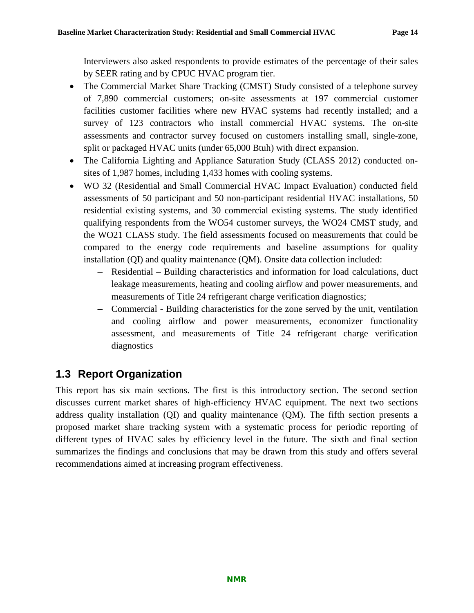Interviewers also asked respondents to provide estimates of the percentage of their sales by SEER rating and by CPUC HVAC program tier.

- The Commercial Market Share Tracking (CMST) Study consisted of a telephone survey of 7,890 commercial customers; on-site assessments at 197 commercial customer facilities customer facilities where new HVAC systems had recently installed; and a survey of 123 contractors who install commercial HVAC systems. The on-site assessments and contractor survey focused on customers installing small, single-zone, split or packaged HVAC units (under 65,000 Btuh) with direct expansion.
- The California Lighting and Appliance Saturation Study (CLASS 2012) conducted onsites of 1,987 homes, including 1,433 homes with cooling systems.
- WO 32 (Residential and Small Commercial HVAC Impact Evaluation) conducted field assessments of 50 participant and 50 non-participant residential HVAC installations, 50 residential existing systems, and 30 commercial existing systems. The study identified qualifying respondents from the WO54 customer surveys, the WO24 CMST study, and the WO21 CLASS study. The field assessments focused on measurements that could be compared to the energy code requirements and baseline assumptions for quality installation (QI) and quality maintenance (QM). Onsite data collection included:
	- Residential Building characteristics and information for load calculations, duct leakage measurements, heating and cooling airflow and power measurements, and measurements of Title 24 refrigerant charge verification diagnostics;
	- Commercial Building characteristics for the zone served by the unit, ventilation and cooling airflow and power measurements, economizer functionality assessment, and measurements of Title 24 refrigerant charge verification diagnostics

### <span id="page-17-0"></span>**1.3 Report Organization**

This report has six main sections. The first is this introductory section. The second section discusses current market shares of high-efficiency HVAC equipment. The next two sections address quality installation (QI) and quality maintenance (QM). The fifth section presents a proposed market share tracking system with a systematic process for periodic reporting of different types of HVAC sales by efficiency level in the future. The sixth and final section summarizes the findings and conclusions that may be drawn from this study and offers several recommendations aimed at increasing program effectiveness.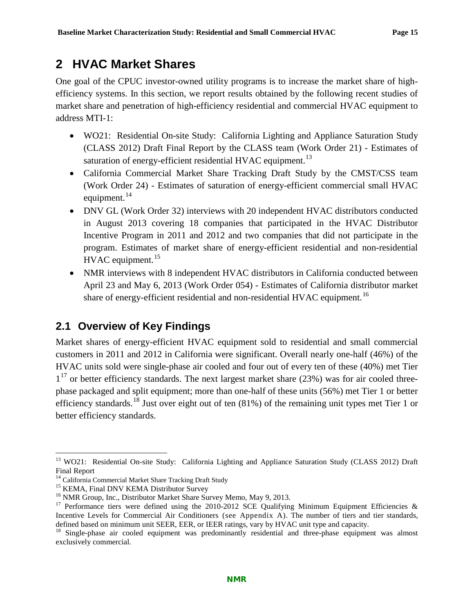### <span id="page-18-0"></span>**2 HVAC Market Shares**

One goal of the CPUC investor-owned utility programs is to increase the market share of highefficiency systems. In this section, we report results obtained by the following recent studies of market share and penetration of high-efficiency residential and commercial HVAC equipment to address MTI-1:

- WO21: Residential On-site Study: California Lighting and Appliance Saturation Study (CLASS 2012) Draft Final Report by the CLASS team (Work Order 21) - Estimates of saturation of energy-efficient residential HVAC equipment.<sup>[13](#page-18-2)</sup>
- California Commercial Market Share Tracking Draft Study by the CMST/CSS team (Work Order 24) - Estimates of saturation of energy-efficient commercial small HVAC equipment. $^{14}$  $^{14}$  $^{14}$
- DNV GL (Work Order 32) interviews with 20 independent HVAC distributors conducted in August 2013 covering 18 companies that participated in the HVAC Distributor Incentive Program in 2011 and 2012 and two companies that did not participate in the program. Estimates of market share of energy-efficient residential and non-residential HVAC equipment.<sup>[15](#page-18-4)</sup>
- NMR interviews with 8 independent HVAC distributors in California conducted between April 23 and May 6, 2013 (Work Order 054) - Estimates of California distributor market share of energy-efficient residential and non-residential HVAC equipment.<sup>[16](#page-18-5)</sup>

### <span id="page-18-1"></span>**2.1 Overview of Key Findings**

Market shares of energy-efficient HVAC equipment sold to residential and small commercial customers in 2011 and 2012 in California were significant. Overall nearly one-half (46%) of the HVAC units sold were single-phase air cooled and four out of every ten of these (40%) met Tier  $1^{17}$  $1^{17}$  $1^{17}$  or better efficiency standards. The next largest market share (23%) was for air cooled threephase packaged and split equipment; more than one-half of these units (56%) met Tier 1 or better efficiency standards.<sup>[18](#page-18-7)</sup> Just over eight out of ten  $(81%)$  of the remaining unit types met Tier 1 or better efficiency standards.

<span id="page-18-2"></span><sup>&</sup>lt;sup>13</sup> WO21: Residential On-site Study: California Lighting and Appliance Saturation Study (CLASS 2012) Draft Final Report<br><sup>14</sup> California Commercial Market Share Tracking Draft Study

<span id="page-18-6"></span>

<span id="page-18-5"></span><span id="page-18-4"></span><span id="page-18-3"></span><sup>&</sup>lt;sup>15</sup> KEMA, Final DNV KEMA Distributor Survey<br><sup>16</sup> NMR Group, Inc., Distributor Market Share Survey Memo, May 9, 2013.<br><sup>17</sup> Performance tiers were defined using the 2010-2012 SCE Qualifying Minimum Equipment Efficiencies & Incentive Levels for Commercial Air Conditioners (see Appendix A). The number of tiers and tier standards, defined based on minimum unit SEER, EER, or IEER ratings, vary by HVAC unit type and capacity.

<span id="page-18-7"></span><sup>&</sup>lt;sup>18</sup> Single-phase air cooled equipment was predominantly residential and three-phase equipment was almost exclusively commercial.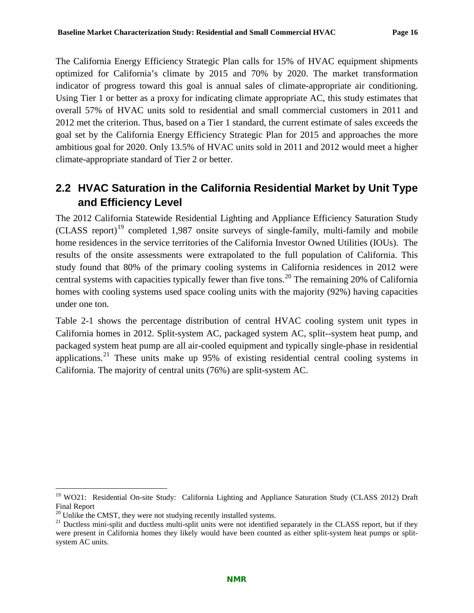The California Energy Efficiency Strategic Plan calls for 15% of HVAC equipment shipments optimized for California's climate by 2015 and 70% by 2020. The market transformation indicator of progress toward this goal is annual sales of climate-appropriate air conditioning. Using Tier 1 or better as a proxy for indicating climate appropriate AC, this study estimates that overall 57% of HVAC units sold to residential and small commercial customers in 2011 and 2012 met the criterion. Thus, based on a Tier 1 standard, the current estimate of sales exceeds the goal set by the California Energy Efficiency Strategic Plan for 2015 and approaches the more ambitious goal for 2020. Only 13.5% of HVAC units sold in 2011 and 2012 would meet a higher climate-appropriate standard of Tier 2 or better.

### <span id="page-19-0"></span>**2.2 HVAC Saturation in the California Residential Market by Unit Type and Efficiency Level**

The 2012 California Statewide Residential Lighting and Appliance Efficiency Saturation Study  $(CLASS$  report)<sup>[19](#page-19-1)</sup> completed 1,987 onsite surveys of single-family, multi-family and mobile home residences in the service territories of the California Investor Owned Utilities (IOUs). The results of the onsite assessments were extrapolated to the full population of California. This study found that 80% of the primary cooling systems in California residences in 2012 were central systems with capacities typically fewer than five tons.<sup>[20](#page-19-2)</sup> The remaining 20% of California homes with cooling systems used space cooling units with the majority (92%) having capacities under one ton.

[Table 2-1](#page-20-0) shows the percentage distribution of central HVAC cooling system unit types in California homes in 2012. Split-system AC, packaged system AC, split--system heat pump, and packaged system heat pump are all air-cooled equipment and typically single-phase in residential applications.<sup>[21](#page-19-3)</sup> These units make up  $95\%$  of existing residential central cooling systems in California. The majority of central units (76%) are split-system AC.

<span id="page-19-1"></span><sup>&</sup>lt;sup>19</sup> WO21: Residential On-site Study: California Lighting and Appliance Saturation Study (CLASS 2012) Draft Final Report<br> $^{20}$  Unlike the CMST, they were not studying recently installed systems.

<span id="page-19-3"></span><span id="page-19-2"></span><sup>&</sup>lt;sup>21</sup> Ductless mini-split and ductless multi-split units were not identified separately in the CLASS report, but if they were present in California homes they likely would have been counted as either split-system heat pumps or splitsystem AC units.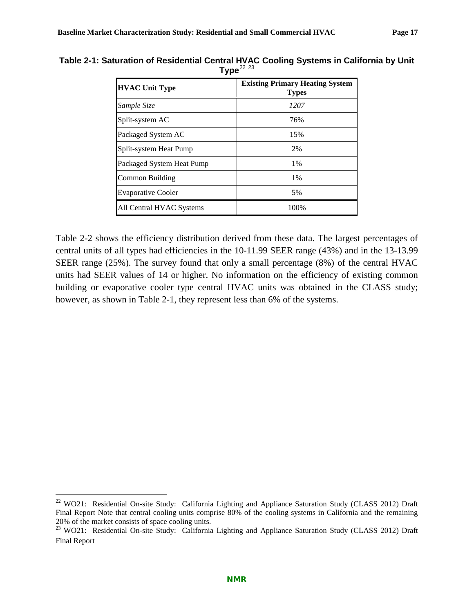| <b>HVAC Unit Type</b>     | <b>Existing Primary Heating System</b><br><b>Types</b> |
|---------------------------|--------------------------------------------------------|
| Sample Size               | 1207                                                   |
| Split-system AC           | 76%                                                    |
| Packaged System AC        | 15%                                                    |
| Split-system Heat Pump    | 2%                                                     |
| Packaged System Heat Pump | 1%                                                     |
| Common Building           | 1%                                                     |
| <b>Evaporative Cooler</b> | 5%                                                     |
| All Central HVAC Systems  | 100%                                                   |

<span id="page-20-0"></span>**Table 2-1: Saturation of Residential Central HVAC Cooling Systems in California by Unit**   $Type<sup>22</sup>$  $Type<sup>22</sup>$  $Type<sup>22</sup>$ <sub>[23](#page-20-2)</sub>

[Table 2-2](#page-21-1) shows the efficiency distribution derived from these data. The largest percentages of central units of all types had efficiencies in the 10-11.99 SEER range (43%) and in the 13-13.99 SEER range (25%). The survey found that only a small percentage (8%) of the central HVAC units had SEER values of 14 or higher. No information on the efficiency of existing common building or evaporative cooler type central HVAC units was obtained in the CLASS study; however, as shown in [Table 2-1,](#page-20-0) they represent less than 6% of the systems.

<span id="page-20-1"></span><sup>&</sup>lt;sup>22</sup> WO21: Residential On-site Study: California Lighting and Appliance Saturation Study (CLASS 2012) Draft Final Report Note that central cooling units comprise 80% of the cooling systems in California and the remaining 20% of the market consists of space cooling units.

<span id="page-20-2"></span><sup>&</sup>lt;sup>23</sup> WO21: Residential On-site Study: California Lighting and Appliance Saturation Study (CLASS 2012) Draft Final Report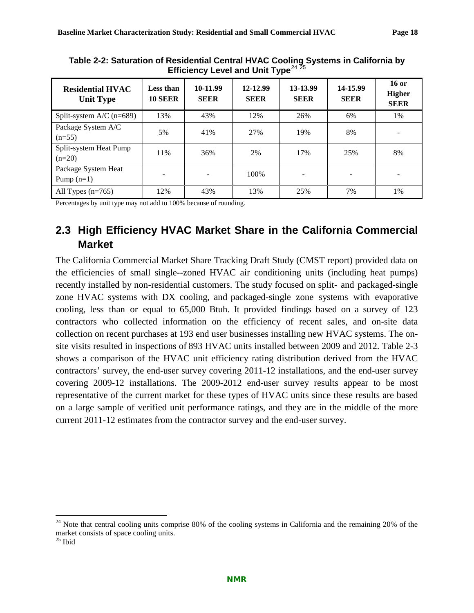| <b>Residential HVAC</b><br><b>Unit Type</b> | Less than<br><b>10 SEER</b> | 10-11.99<br><b>SEER</b> | 12-12.99<br><b>SEER</b> | 13-13.99<br><b>SEER</b> | 14-15.99<br><b>SEER</b> | $16$ or<br><b>Higher</b><br><b>SEER</b> |
|---------------------------------------------|-----------------------------|-------------------------|-------------------------|-------------------------|-------------------------|-----------------------------------------|
| Split-system $A/C$ (n=689)                  | 13%                         | 43%                     | 12%                     | 26%                     | 6%                      | 1%                                      |
| Package System A/C<br>$(n=55)$              | 5%                          | 41%                     | 27%                     | 19%                     | 8%                      |                                         |
| Split-system Heat Pump<br>$(n=20)$          | 11%                         | 36%                     | 2%                      | 17%                     | 25%                     | 8%                                      |
| Package System Heat<br>Pump $(n=1)$         |                             |                         | 100\%                   |                         | -                       |                                         |
| All Types $(n=765)$                         | 12%                         | 43%                     | 13%                     | 25%                     | 7%                      | 1%                                      |

<span id="page-21-1"></span>**Table 2-2: Saturation of Residential Central HVAC Cooling Systems in California by Efficiency Level and Unit Type**<sup>[24](#page-21-2)</sup> [25](#page-21-3)

Percentages by unit type may not add to 100% because of rounding.

### <span id="page-21-0"></span>**2.3 High Efficiency HVAC Market Share in the California Commercial Market**

The California Commercial Market Share Tracking Draft Study (CMST report) provided data on the efficiencies of small single--zoned HVAC air conditioning units (including heat pumps) recently installed by non-residential customers. The study focused on split- and packaged-single zone HVAC systems with DX cooling, and packaged-single zone systems with evaporative cooling, less than or equal to 65,000 Btuh. It provided findings based on a survey of 123 contractors who collected information on the efficiency of recent sales, and on-site data collection on recent purchases at 193 end user businesses installing new HVAC systems. The onsite visits resulted in inspections of 893 HVAC units installed between 2009 and 2012. [Table 2-3](#page-22-1) shows a comparison of the HVAC unit efficiency rating distribution derived from the HVAC contractors' survey, the end-user survey covering 2011-12 installations, and the end-user survey covering 2009-12 installations. The 2009-2012 end-user survey results appear to be most representative of the current market for these types of HVAC units since these results are based on a large sample of verified unit performance ratings, and they are in the middle of the more current 2011-12 estimates from the contractor survey and the end-user survey.

<span id="page-21-2"></span><sup>&</sup>lt;sup>24</sup> Note that central cooling units comprise 80% of the cooling systems in California and the remaining 20% of the market consists of space cooling units.

<span id="page-21-3"></span> $25$  Ibid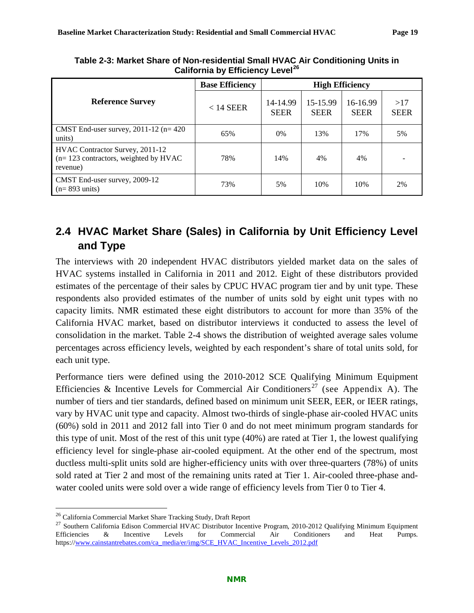|                                                                                       | <b>Base Efficiency</b> | <b>High Efficiency</b>  |                         |                         |                    |  |
|---------------------------------------------------------------------------------------|------------------------|-------------------------|-------------------------|-------------------------|--------------------|--|
| <b>Reference Survey</b>                                                               | $<$ 14 SEER            | 14-14.99<br><b>SEER</b> | 15-15.99<br><b>SEER</b> | 16-16.99<br><b>SEER</b> | >17<br><b>SEER</b> |  |
| CMST End-user survey, $2011-12$ (n= 420<br>units)                                     | 65%                    | $0\%$                   | 13%                     | 17%                     | 5%                 |  |
| HVAC Contractor Survey, 2011-12<br>$(n=123$ contractors, weighted by HVAC<br>revenue) | 78%                    | 14%                     | 4%                      | 4%                      |                    |  |
| CMST End-user survey, 2009-12<br>$(n=893 \text{ units})$                              | 73%                    | 5%                      | 10%                     | 10%                     | 2%                 |  |

<span id="page-22-1"></span>**Table 2-3: Market Share of Non-residential Small HVAC Air Conditioning Units in California by Efficiency Level[26](#page-22-2)**

### <span id="page-22-0"></span>**2.4 HVAC Market Share (Sales) in California by Unit Efficiency Level and Type**

The interviews with 20 independent HVAC distributors yielded market data on the sales of HVAC systems installed in California in 2011 and 2012. Eight of these distributors provided estimates of the percentage of their sales by CPUC HVAC program tier and by unit type. These respondents also provided estimates of the number of units sold by eight unit types with no capacity limits. NMR estimated these eight distributors to account for more than 35% of the California HVAC market, based on distributor interviews it conducted to assess the level of consolidation in the market. [Table 2-4](#page-23-1) shows the distribution of weighted average sales volume percentages across efficiency levels, weighted by each respondent's share of total units sold, for each unit type.

Performance tiers were defined using the 2010-2012 SCE Qualifying Minimum Equipment Efficiencies & Incentive Levels for Commercial Air Conditioners<sup>[27](#page-22-3)</sup> (see Appendix A). The number of tiers and tier standards, defined based on minimum unit SEER, EER, or IEER ratings, vary by HVAC unit type and capacity. Almost two-thirds of single-phase air-cooled HVAC units (60%) sold in 2011 and 2012 fall into Tier 0 and do not meet minimum program standards for this type of unit. Most of the rest of this unit type (40%) are rated at Tier 1, the lowest qualifying efficiency level for single-phase air-cooled equipment. At the other end of the spectrum, most ductless multi-split units sold are higher-efficiency units with over three-quarters (78%) of units sold rated at Tier 2 and most of the remaining units rated at Tier 1. Air-cooled three-phase andwater cooled units were sold over a wide range of efficiency levels from Tier 0 to Tier 4.

<span id="page-22-3"></span><span id="page-22-2"></span><sup>&</sup>lt;sup>26</sup> California Commercial Market Share Tracking Study, Draft Report<br><sup>27</sup> Southern California Edison Commercial HVAC Distributor Incentive Program, 2010-2012 Qualifying Minimum Equipment Efficiencies & Incentive Levels for Commercial Air Conditioners and Heat Pumps. https:/[/www.cainstantrebates.com/ca\\_media/er/img/SCE\\_HVAC\\_Incentive\\_Levels\\_2012.pdf](http://www.cainstantrebates.com/ca_media/er/img/SCE_HVAC_Incentive_Levels_2012.pdf)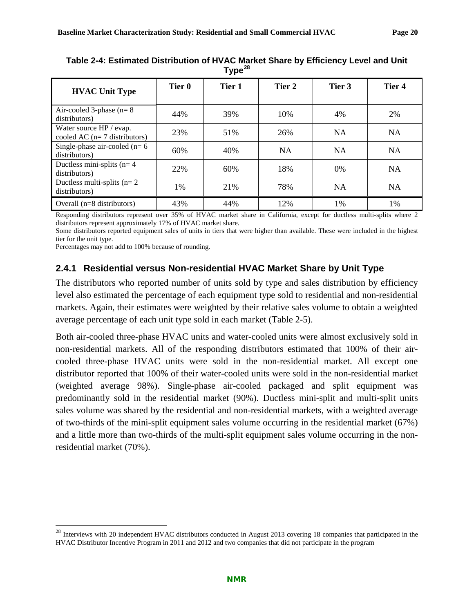|                                                            |        | . <i>.</i> |           |           |           |
|------------------------------------------------------------|--------|------------|-----------|-----------|-----------|
| <b>HVAC Unit Type</b>                                      | Tier 0 | Tier 1     | Tier 2    | Tier 3    | Tier 4    |
| Air-cooled 3-phase ( $n=8$ )<br>distributors)              | 44%    | 39%        | 10%       | 4%        | 2%        |
| Water source HP / evap.<br>cooled AC ( $n=7$ distributors) | 23%    | 51%        | 26%       | <b>NA</b> | <b>NA</b> |
| Single-phase air-cooled ( $n=6$ )<br>distributors)         | 60%    | 40%        | <b>NA</b> | <b>NA</b> | <b>NA</b> |
| Ductless mini-splits ( $n=4$ )<br>distributors)            | 22%    | 60%        | 18%       | 0%        | <b>NA</b> |
| Ductless multi-splits ( $n=2$<br>distributors)             | 1%     | 21%        | 78%       | <b>NA</b> | <b>NA</b> |
| Overall $(n=8$ distributors)                               | 43%    | 44%        | 12%       | 1%        | 1%        |

<span id="page-23-1"></span>**Table 2-4: Estimated Distribution of HVAC Market Share by Efficiency Level and Unit Type[28](#page-23-2)**

Responding distributors represent over 35% of HVAC market share in California, except for ductless multi-splits where 2 distributors represent approximately 17% of HVAC market share.

Some distributors reported equipment sales of units in tiers that were higher than available. These were included in the highest tier for the unit type.

Percentages may not add to 100% because of rounding.

#### <span id="page-23-0"></span>**2.4.1 Residential versus Non-residential HVAC Market Share by Unit Type**

The distributors who reported number of units sold by type and sales distribution by efficiency level also estimated the percentage of each equipment type sold to residential and non-residential markets. Again, their estimates were weighted by their relative sales volume to obtain a weighted average percentage of each unit type sold in each market [\(Table 2-5\)](#page-24-1).

Both air-cooled three-phase HVAC units and water-cooled units were almost exclusively sold in non-residential markets. All of the responding distributors estimated that 100% of their aircooled three-phase HVAC units were sold in the non-residential market. All except one distributor reported that 100% of their water-cooled units were sold in the non-residential market (weighted average 98%). Single-phase air-cooled packaged and split equipment was predominantly sold in the residential market (90%). Ductless mini-split and multi-split units sales volume was shared by the residential and non-residential markets, with a weighted average of two-thirds of the mini-split equipment sales volume occurring in the residential market (67%) and a little more than two-thirds of the multi-split equipment sales volume occurring in the nonresidential market (70%).

<span id="page-23-2"></span><sup>&</sup>lt;sup>28</sup> Interviews with 20 independent HVAC distributors conducted in August 2013 covering 18 companies that participated in the HVAC Distributor Incentive Program in 2011 and 2012 and two companies that did not participate in the program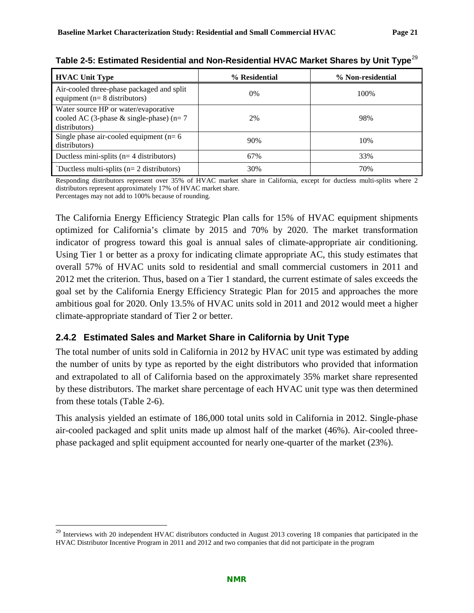| <b>HVAC Unit Type</b>                                                                                | % Residential | % Non-residential |
|------------------------------------------------------------------------------------------------------|---------------|-------------------|
| Air-cooled three-phase packaged and split<br>equipment ( $n=8$ distributors)                         | $0\%$         | 100%              |
| Water source HP or water/evaporative<br>cooled AC (3-phase $\&$ single-phase) (n= 7<br>distributors) | 2%            | 98%               |
| Single phase air-cooled equipment ( $n=6$ )<br>distributors)                                         | 90%           | 10%               |
| Ductless mini-splits ( $n=4$ distributors)                                                           | 67%           | 33%               |
| `Ductless multi-splits ( $n=2$ distributors)                                                         | 30%           | 70%               |

<span id="page-24-1"></span>**Table 2-5: Estimated Residential and Non-Residential HVAC Market Shares by Unit Type**[29](#page-24-2)

Responding distributors represent over 35% of HVAC market share in California, except for ductless multi-splits where 2 distributors represent approximately 17% of HVAC market share.

Percentages may not add to 100% because of rounding.

The California Energy Efficiency Strategic Plan calls for 15% of HVAC equipment shipments optimized for California's climate by 2015 and 70% by 2020. The market transformation indicator of progress toward this goal is annual sales of climate-appropriate air conditioning. Using Tier 1 or better as a proxy for indicating climate appropriate AC, this study estimates that overall 57% of HVAC units sold to residential and small commercial customers in 2011 and 2012 met the criterion. Thus, based on a Tier 1 standard, the current estimate of sales exceeds the goal set by the California Energy Efficiency Strategic Plan for 2015 and approaches the more ambitious goal for 2020. Only 13.5% of HVAC units sold in 2011 and 2012 would meet a higher climate-appropriate standard of Tier 2 or better.

#### <span id="page-24-0"></span>**2.4.2 Estimated Sales and Market Share in California by Unit Type**

The total number of units sold in California in 2012 by HVAC unit type was estimated by adding the number of units by type as reported by the eight distributors who provided that information and extrapolated to all of California based on the approximately 35% market share represented by these distributors. The market share percentage of each HVAC unit type was then determined from these totals [\(Table 2-6\)](#page-25-0).

This analysis yielded an estimate of 186,000 total units sold in California in 2012. Single-phase air-cooled packaged and split units made up almost half of the market (46%). Air-cooled threephase packaged and split equipment accounted for nearly one-quarter of the market (23%).

<span id="page-24-2"></span><sup>&</sup>lt;sup>29</sup> Interviews with 20 independent HVAC distributors conducted in August 2013 covering 18 companies that participated in the HVAC Distributor Incentive Program in 2011 and 2012 and two companies that did not participate in the program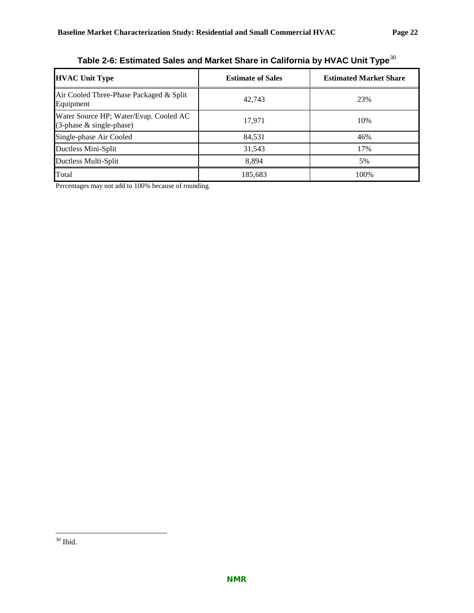<span id="page-25-0"></span>

| <b>HVAC Unit Type</b>                                                 | <b>Estimate of Sales</b> | <b>Estimated Market Share</b> |
|-----------------------------------------------------------------------|--------------------------|-------------------------------|
| Air Cooled Three-Phase Packaged & Split<br>Equipment                  | 42.743                   | 23%                           |
| Water Source HP; Water/Evap. Cooled AC<br>$(3$ -phase & single-phase) | 17,971                   | 10%                           |
| Single-phase Air Cooled                                               | 84,531                   | 46%                           |
| Ductless Mini-Split                                                   | 31,543                   | 17%                           |
| Ductless Multi-Split                                                  | 8.894                    | 5%                            |
| Total                                                                 | 185,683                  | 100%                          |

**Table 2-6: Estimated Sales and Market Share in California by HVAC Unit Type**[30](#page-25-1)

Percentages may not add to 100% because of rounding.

<span id="page-25-1"></span> <sup>30</sup> Ibid.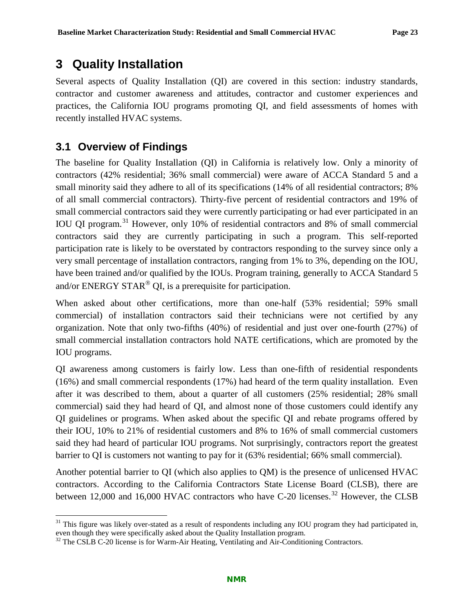### <span id="page-26-0"></span>**3 Quality Installation**

Several aspects of Quality Installation (QI) are covered in this section: industry standards, contractor and customer awareness and attitudes, contractor and customer experiences and practices, the California IOU programs promoting QI, and field assessments of homes with recently installed HVAC systems.

### <span id="page-26-1"></span>**3.1 Overview of Findings**

The baseline for Quality Installation (QI) in California is relatively low. Only a minority of contractors (42% residential; 36% small commercial) were aware of ACCA Standard 5 and a small minority said they adhere to all of its specifications (14% of all residential contractors; 8% of all small commercial contractors). Thirty-five percent of residential contractors and 19% of small commercial contractors said they were currently participating or had ever participated in an IOU QI program.[31](#page-26-2) However, only 10% of residential contractors and 8% of small commercial contractors said they are currently participating in such a program. This self-reported participation rate is likely to be overstated by contractors responding to the survey since only a very small percentage of installation contractors, ranging from 1% to 3%, depending on the IOU, have been trained and/or qualified by the IOUs. Program training, generally to ACCA Standard 5 and/or ENERGY STAR<sup>®</sup> QI, is a prerequisite for participation.

When asked about other certifications, more than one-half (53% residential; 59% small commercial) of installation contractors said their technicians were not certified by any organization. Note that only two-fifths (40%) of residential and just over one-fourth (27%) of small commercial installation contractors hold NATE certifications, which are promoted by the IOU programs.

QI awareness among customers is fairly low. Less than one-fifth of residential respondents (16%) and small commercial respondents (17%) had heard of the term quality installation. Even after it was described to them, about a quarter of all customers (25% residential; 28% small commercial) said they had heard of QI, and almost none of those customers could identify any QI guidelines or programs. When asked about the specific QI and rebate programs offered by their IOU, 10% to 21% of residential customers and 8% to 16% of small commercial customers said they had heard of particular IOU programs. Not surprisingly, contractors report the greatest barrier to QI is customers not wanting to pay for it (63% residential; 66% small commercial).

Another potential barrier to QI (which also applies to QM) is the presence of unlicensed HVAC contractors. According to the California Contractors State License Board (CLSB), there are between 12,000 and 16,000 HVAC contractors who have C-20 licenses.<sup>[32](#page-26-3)</sup> However, the CLSB

<span id="page-26-2"></span> $31$  This figure was likely over-stated as a result of respondents including any IOU program they had participated in, even though they were specifically asked about the Quality Installation program.

<span id="page-26-3"></span> $32$  The CSLB C-20 license is for Warm-Air Heating, Ventilating and Air-Conditioning Contractors.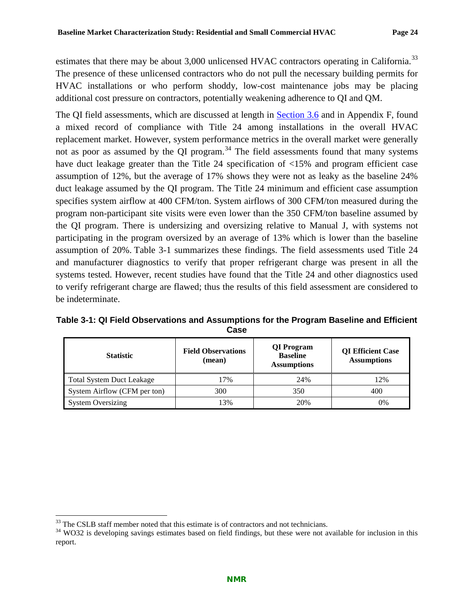estimates that there may be about 3,000 unlicensed HVAC contractors operating in California.<sup>[33](#page-27-1)</sup> The presence of these unlicensed contractors who do not pull the necessary building permits for HVAC installations or who perform shoddy, low-cost maintenance jobs may be placing additional cost pressure on contractors, potentially weakening adherence to QI and QM.

The QI field assessments, which are discussed at length in [Section 3.6](#page-45-0) and in Appendix F, found a mixed record of compliance with Title 24 among installations in the overall HVAC replacement market. However, system performance metrics in the overall market were generally not as poor as assumed by the QI program.<sup>[34](#page-27-2)</sup> The field assessments found that many systems have duct leakage greater than the Title 24 specification of  $\langle 15\%$  and program efficient case assumption of 12%, but the average of 17% shows they were not as leaky as the baseline 24% duct leakage assumed by the QI program. The Title 24 minimum and efficient case assumption specifies system airflow at 400 CFM/ton. System airflows of 300 CFM/ton measured during the program non-participant site visits were even lower than the 350 CFM/ton baseline assumed by the QI program. There is undersizing and oversizing relative to Manual J, with systems not participating in the program oversized by an average of 13% which is lower than the baseline assumption of 20%. [Table 3-1](#page-27-0) summarizes these findings. The field assessments used Title 24 and manufacturer diagnostics to verify that proper refrigerant charge was present in all the systems tested. However, recent studies have found that the Title 24 and other diagnostics used to verify refrigerant charge are flawed; thus the results of this field assessment are considered to be indeterminate.

<span id="page-27-0"></span>

| Table 3-1: QI Field Observations and Assumptions for the Program Baseline and Efficient | Case |  |  |
|-----------------------------------------------------------------------------------------|------|--|--|
|                                                                                         |      |  |  |

| <b>Statistic</b>                 | <b>Field Observations</b><br>(mean) | QI Program<br><b>Baseline</b><br><b>Assumptions</b> | <b>QI</b> Efficient Case<br><b>Assumptions</b> |
|----------------------------------|-------------------------------------|-----------------------------------------------------|------------------------------------------------|
| <b>Total System Duct Leakage</b> | 17%                                 | 24%                                                 | 12%                                            |
| System Airflow (CFM per ton)     | 300                                 | 350                                                 | 400                                            |
| <b>System Oversizing</b>         | 13%                                 | 20%                                                 | $0\%$                                          |

<span id="page-27-2"></span><span id="page-27-1"></span><sup>&</sup>lt;sup>33</sup> The CSLB staff member noted that this estimate is of contractors and not technicians.<br><sup>34</sup> WO32 is developing savings estimates based on field findings, but these were not available for inclusion in this report.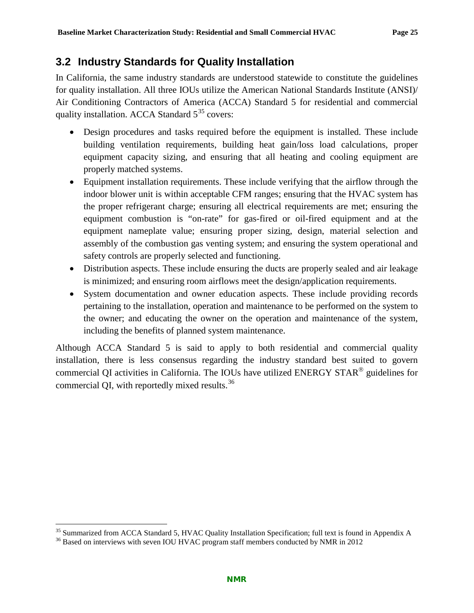### <span id="page-28-0"></span>**3.2 Industry Standards for Quality Installation**

In California, the same industry standards are understood statewide to constitute the guidelines for quality installation. All three IOUs utilize the American National Standards Institute (ANSI)/ Air Conditioning Contractors of America (ACCA) Standard 5 for residential and commercial quality installation. ACCA Standard 5<sup>[35](#page-28-1)</sup> covers:

- Design procedures and tasks required before the equipment is installed. These include building ventilation requirements, building heat gain/loss load calculations, proper equipment capacity sizing, and ensuring that all heating and cooling equipment are properly matched systems.
- Equipment installation requirements. These include verifying that the airflow through the indoor blower unit is within acceptable CFM ranges; ensuring that the HVAC system has the proper refrigerant charge; ensuring all electrical requirements are met; ensuring the equipment combustion is "on-rate" for gas-fired or oil-fired equipment and at the equipment nameplate value; ensuring proper sizing, design, material selection and assembly of the combustion gas venting system; and ensuring the system operational and safety controls are properly selected and functioning.
- Distribution aspects. These include ensuring the ducts are properly sealed and air leakage is minimized; and ensuring room airflows meet the design/application requirements.
- System documentation and owner education aspects. These include providing records pertaining to the installation, operation and maintenance to be performed on the system to the owner; and educating the owner on the operation and maintenance of the system, including the benefits of planned system maintenance.

Although ACCA Standard 5 is said to apply to both residential and commercial quality installation, there is less consensus regarding the industry standard best suited to govern commercial QI activities in California. The IOUs have utilized ENERGY STAR® guidelines for commercial QI, with reportedly mixed results.[36](#page-28-2)

<span id="page-28-1"></span><sup>&</sup>lt;sup>35</sup> Summarized from ACCA Standard 5, HVAC Quality Installation Specification; full text is found in Appendix A  $^{36}$  Based on interviews with seven IOU HVAC program staff members conducted by NMR in 2012

<span id="page-28-2"></span>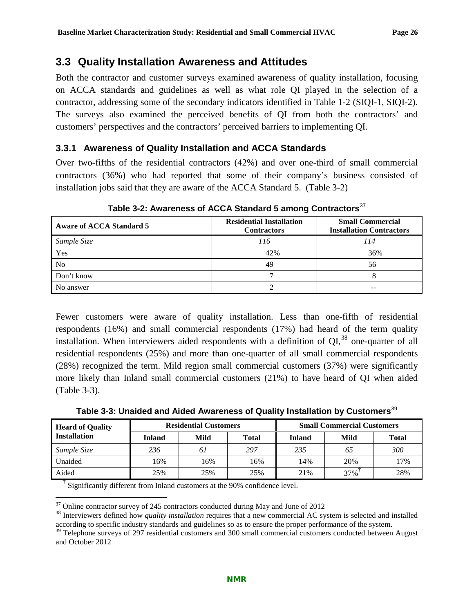### <span id="page-29-0"></span>**3.3 Quality Installation Awareness and Attitudes**

Both the contractor and customer surveys examined awareness of quality installation, focusing on ACCA standards and guidelines as well as what role QI played in the selection of a contractor, addressing some of the secondary indicators identified in [Table 1-2](#page-14-2) (SIQI-1, SIQI-2). The surveys also examined the perceived benefits of QI from both the contractors' and customers' perspectives and the contractors' perceived barriers to implementing QI.

#### <span id="page-29-1"></span>**3.3.1 Awareness of Quality Installation and ACCA Standards**

Over two-fifths of the residential contractors (42%) and over one-third of small commercial contractors (36%) who had reported that some of their company's business consisted of installation jobs said that they are aware of the ACCA Standard 5. [\(Table 3-2\)](#page-29-2)

<span id="page-29-2"></span>

| <b>Aware of ACCA Standard 5</b> | <b>Residential Installation</b><br><b>Contractors</b> | <b>Small Commercial</b><br><b>Installation Contractors</b> |
|---------------------------------|-------------------------------------------------------|------------------------------------------------------------|
| Sample Size                     | 116                                                   | 114                                                        |
| Yes                             | 42%                                                   | 36%                                                        |
| N <sub>o</sub>                  | 49                                                    | 56                                                         |
| Don't know                      |                                                       |                                                            |
| No answer                       |                                                       |                                                            |

Table 3-2: Awareness of ACCA Standard 5 among Contractors<sup>[37](#page-29-4)</sup>

Fewer customers were aware of quality installation. Less than one-fifth of residential respondents (16%) and small commercial respondents (17%) had heard of the term quality installation. When interviewers aided respondents with a definition of  $\text{OL}^{38}$  $\text{OL}^{38}$  $\text{OL}^{38}$  one-quarter of all residential respondents (25%) and more than one-quarter of all small commercial respondents (28%) recognized the term. Mild region small commercial customers (37%) were significantly more likely than Inland small commercial customers (21%) to have heard of QI when aided [\(Table 3-3\)](#page-29-3).

**Table 3-3: Unaided and Aided Awareness of Quality Installation by Customers**[39](#page-29-6)

<span id="page-29-3"></span>

| <b>Heard of Quality</b> | <b>Residential Customers</b> |      |              | <b>Small Commercial Customers</b> |      |              |
|-------------------------|------------------------------|------|--------------|-----------------------------------|------|--------------|
| <b>Installation</b>     | <b>Inland</b>                | Mild | <b>Total</b> | <b>Inland</b>                     | Mild | <b>Total</b> |
| Sample Size             | 236                          | 61   | 297          | 235                               | 65   | 300          |
| Unaided                 | 16%                          | .6%  | 16%          | 14%                               | 20%  | 17%          |
| Aided                   | 25%                          | 25%  | 25%          | 21%                               | 37%  | 28%          |

† Significantly different from Inland customers at the 90% confidence level.

<span id="page-29-5"></span><span id="page-29-4"></span><sup>&</sup>lt;sup>37</sup> Online contractor survey of 245 contractors conducted during May and June of 2012<br><sup>38</sup> Interviewers defined how *quality installation* requires that a new commercial AC system is selected and installed according to specific industry standards and guidelines so as to ensure the proper performance of the system.

<span id="page-29-6"></span><sup>&</sup>lt;sup>39</sup> Telephone surveys of 297 residential customers and 300 small commercial customers conducted between August and October 2012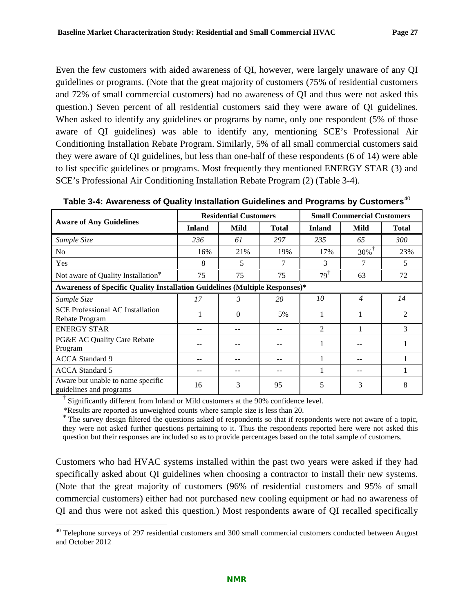Even the few customers with aided awareness of QI, however, were largely unaware of any QI guidelines or programs. (Note that the great majority of customers (75% of residential customers and 72% of small commercial customers) had no awareness of QI and thus were not asked this question.) Seven percent of all residential customers said they were aware of QI guidelines. When asked to identify any guidelines or programs by name, only one respondent (5% of those aware of QI guidelines) was able to identify any, mentioning SCE's Professional Air Conditioning Installation Rebate Program. Similarly, 5% of all small commercial customers said they were aware of QI guidelines, but less than one-half of these respondents (6 of 14) were able to list specific guidelines or programs. Most frequently they mentioned ENERGY STAR (3) and SCE's Professional Air Conditioning Installation Rebate Program (2) [\(Table 3-4\)](#page-30-0).

|                                                                             | <b>Residential Customers</b> |          |              | <b>Small Commercial Customers</b> |                |                |
|-----------------------------------------------------------------------------|------------------------------|----------|--------------|-----------------------------------|----------------|----------------|
| <b>Aware of Any Guidelines</b>                                              | <b>Inland</b>                | Mild     | <b>Total</b> | <b>Inland</b>                     | Mild           | <b>Total</b>   |
| Sample Size                                                                 | 236                          | 61       | 297          | 235                               | 65             | 300            |
| N <sub>o</sub>                                                              | 16%                          | 21%      | 19%          | 17%                               | $30\%$         | 23%            |
| Yes                                                                         | 8                            | 5        |              | 3                                 |                | 5              |
| Not aware of Quality Installation <sup><math>\Psi</math></sup>              | 75                           | 75       | 75           | $79^{\mathrm{T}}$                 | 63             | 72             |
| Awareness of Specific Quality Installation Guidelines (Multiple Responses)* |                              |          |              |                                   |                |                |
| Sample Size                                                                 | 17                           | 3        | 20           | 10                                | $\overline{4}$ | 14             |
| <b>SCE Professional AC Installation</b><br>Rebate Program                   |                              | $\Omega$ | 5%           |                                   |                | $\mathfrak{D}$ |
| <b>ENERGY STAR</b>                                                          |                              |          |              | $\mathfrak{D}$                    |                | 3              |
| PG&E AC Quality Care Rebate<br>Program                                      |                              |          |              |                                   |                |                |
| <b>ACCA</b> Standard 9                                                      |                              |          |              |                                   |                |                |
| <b>ACCA</b> Standard 5                                                      |                              |          |              |                                   |                |                |
| Aware but unable to name specific<br>guidelines and programs                | 16                           | 3        | 95           | 5                                 | 3              | 8              |

<span id="page-30-0"></span>Table 3-4: Awareness of Quality Installation Guidelines and Programs by Customers<sup>[40](#page-30-1)</sup>

† Significantly different from Inland or Mild customers at the 90% confidence level.

\*Results are reported as unweighted counts where sample size is less than 20.

<sup>Ψ</sup> The survey design filtered the questions asked of respondents so that if respondents were not aware of a topic, they were not asked further questions pertaining to it. Thus the respondents reported here were not asked this question but their responses are included so as to provide percentages based on the total sample of customers.

Customers who had HVAC systems installed within the past two years were asked if they had specifically asked about QI guidelines when choosing a contractor to install their new systems. (Note that the great majority of customers (96% of residential customers and 95% of small commercial customers) either had not purchased new cooling equipment or had no awareness of QI and thus were not asked this question.) Most respondents aware of QI recalled specifically

<span id="page-30-1"></span> $40$  Telephone surveys of 297 residential customers and 300 small commercial customers conducted between August and October 2012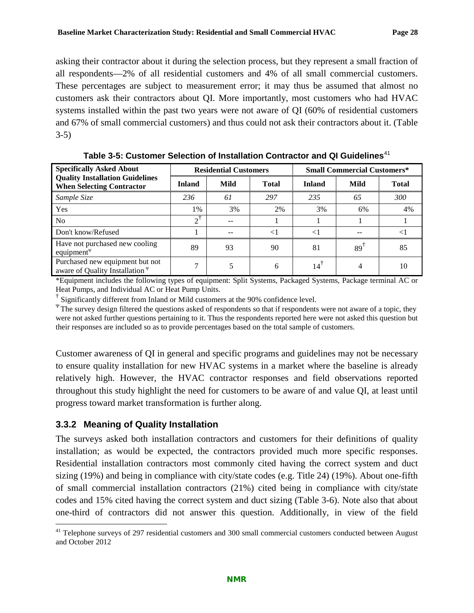asking their contractor about it during the selection process, but they represent a small fraction of all respondents—2% of all residential customers and 4% of all small commercial customers. These percentages are subject to measurement error; it may thus be assumed that almost no customers ask their contractors about QI. More importantly, most customers who had HVAC systems installed within the past two years were not aware of QI (60% of residential customers and 67% of small commercial customers) and thus could not ask their contractors about it. [\(Table](#page-31-1)  [3-5\)](#page-31-1)

<span id="page-31-1"></span>

| <b>Specifically Asked About</b>                                            | <b>Residential Customers</b> |      |              | <b>Small Commercial Customers*</b> |      |              |
|----------------------------------------------------------------------------|------------------------------|------|--------------|------------------------------------|------|--------------|
| <b>Quality Installation Guidelines</b><br><b>When Selecting Contractor</b> | <b>Inland</b>                | Mild | <b>Total</b> | <b>Inland</b>                      | Mild | <b>Total</b> |
| Sample Size                                                                | 236                          | 61   | 297          | 235                                | 65   | 300          |
| Yes                                                                        | $1\%$                        | 3%   | 2%           | 3%                                 | 6%   | 4%           |
| N <sub>o</sub>                                                             | $\gamma^{\dagger}$           |      |              |                                    |      |              |
| Don't know/Refused                                                         |                              |      | $\leq$ 1     |                                    |      |              |
| Have not purchased new cooling<br>equipment <sup><math>\Psi</math></sup>   | 89                           | 93   | 90           | 81                                 | 89   | 85           |
| Purchased new equipment but not<br>aware of Quality Installation $\Psi$    | ⇁                            |      | 6            | 14                                 |      | 10           |

**Table 3-5: Customer Selection of Installation Contractor and QI Guidelines**[41](#page-31-2)

\*Equipment includes the following types of equipment: Split Systems, Packaged Systems, Package terminal AC or Heat Pumps, and Individual AC or Heat Pump Units.<br>
<sup>†</sup> Significantly different from Inland or Mild customers at the 90% confidence level.

<sup>Ψ</sup>The survey design filtered the questions asked of respondents so that if respondents were not aware of a topic, they were not asked further questions pertaining to it. Thus the respondents reported here were not asked this question but their responses are included so as to provide percentages based on the total sample of customers.

Customer awareness of QI in general and specific programs and guidelines may not be necessary to ensure quality installation for new HVAC systems in a market where the baseline is already relatively high. However, the HVAC contractor responses and field observations reported throughout this study highlight the need for customers to be aware of and value QI, at least until progress toward market transformation is further along.

#### <span id="page-31-0"></span>**3.3.2 Meaning of Quality Installation**

The surveys asked both installation contractors and customers for their definitions of quality installation; as would be expected, the contractors provided much more specific responses. Residential installation contractors most commonly cited having the correct system and duct sizing (19%) and being in compliance with city/state codes (e.g. Title 24) (19%). About one-fifth of small commercial installation contractors (21%) cited being in compliance with city/state codes and 15% cited having the correct system and duct sizing [\(Table](#page-32-1) 3-6). Note also that about one-third of contractors did not answer this question. Additionally, in view of the field

<span id="page-31-2"></span><sup>&</sup>lt;sup>41</sup> Telephone surveys of 297 residential customers and 300 small commercial customers conducted between August and October 2012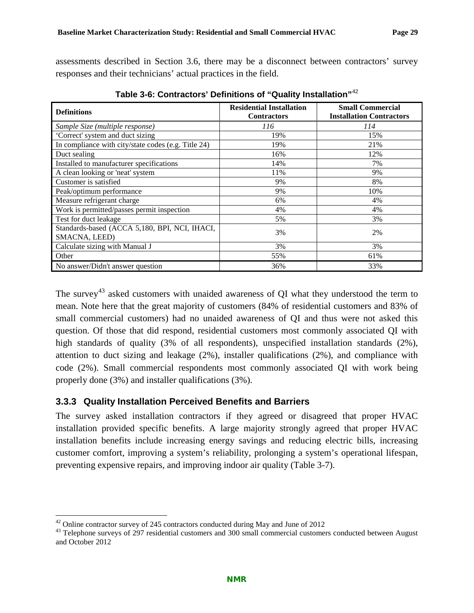assessments described in Section [3.6,](#page-45-0) there may be a disconnect between contractors' survey responses and their technicians' actual practices in the field.

<span id="page-32-1"></span>

| <b>Definitions</b>                                             | <b>Residential Installation</b><br><b>Contractors</b> | <b>Small Commercial</b><br><b>Installation Contractors</b> |  |
|----------------------------------------------------------------|-------------------------------------------------------|------------------------------------------------------------|--|
| Sample Size (multiple response)                                | 116                                                   | 114                                                        |  |
| 'Correct' system and duct sizing                               | 19%                                                   | 15%                                                        |  |
| In compliance with city/state codes (e.g. Title 24)            | 19%                                                   | 21%                                                        |  |
| Duct sealing                                                   | 16%                                                   | 12%                                                        |  |
| Installed to manufacturer specifications                       | 14%                                                   | 7%                                                         |  |
| A clean looking or 'neat' system                               | 11%                                                   | 9%                                                         |  |
| Customer is satisfied                                          | 9%                                                    | 8%                                                         |  |
| Peak/optimum performance                                       | 9%                                                    | 10%                                                        |  |
| Measure refrigerant charge                                     | 6%                                                    | 4%                                                         |  |
| Work is permitted/passes permit inspection                     | 4%                                                    | 4%                                                         |  |
| Test for duct leakage                                          | 5%                                                    | 3%                                                         |  |
| Standards-based (ACCA 5,180, BPI, NCI, IHACI,<br>SMACNA, LEED) | 3%                                                    | 2%                                                         |  |
| Calculate sizing with Manual J                                 | 3%                                                    | 3%                                                         |  |
| Other                                                          | 55%                                                   | 61%                                                        |  |
| No answer/Didn't answer question                               | 36%                                                   | 33%                                                        |  |

**Table 3-6: Contractors' Definitions of "Quality Installation"**[42](#page-32-2)

The survey<sup>[43](#page-32-3)</sup> asked customers with unaided awareness of QI what they understood the term to mean. Note here that the great majority of customers (84% of residential customers and 83% of small commercial customers) had no unaided awareness of QI and thus were not asked this question. Of those that did respond, residential customers most commonly associated QI with high standards of quality (3% of all respondents), unspecified installation standards (2%), attention to duct sizing and leakage (2%), installer qualifications (2%), and compliance with code (2%). Small commercial respondents most commonly associated QI with work being properly done (3%) and installer qualifications (3%).

#### <span id="page-32-0"></span>**3.3.3 Quality Installation Perceived Benefits and Barriers**

The survey asked installation contractors if they agreed or disagreed that proper HVAC installation provided specific benefits. A large majority strongly agreed that proper HVAC installation benefits include increasing energy savings and reducing electric bills, increasing customer comfort, improving a system's reliability, prolonging a system's operational lifespan, preventing expensive repairs, and improving indoor air quality [\(Table 3-7\)](#page-33-0).

<span id="page-32-3"></span><span id="page-32-2"></span><sup>&</sup>lt;sup>42</sup> Online contractor survey of 245 contractors conducted during May and June of 2012<br><sup>43</sup> Telephone surveys of 297 residential customers and 300 small commercial customers conducted between August and October 2012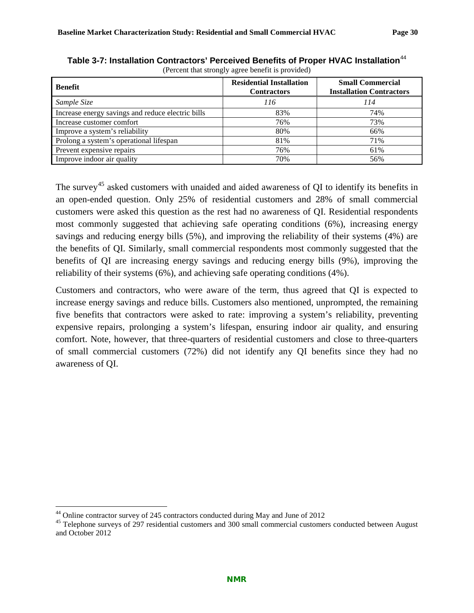| <b>Benefit</b>                                    | <b>Residential Installation</b><br><b>Contractors</b> | <b>Small Commercial</b><br><b>Installation Contractors</b> |
|---------------------------------------------------|-------------------------------------------------------|------------------------------------------------------------|
| Sample Size                                       | 116                                                   | 114                                                        |
| Increase energy savings and reduce electric bills | 83%                                                   | 74%                                                        |
| Increase customer comfort                         | 76%                                                   | 73%                                                        |
| Improve a system's reliability                    | 80%                                                   | 66%                                                        |
| Prolong a system's operational lifespan           | 81%                                                   | 71%                                                        |
| Prevent expensive repairs                         | 76%                                                   | 61%                                                        |
| Improve indoor air quality                        | 70%                                                   | 56%                                                        |

<span id="page-33-0"></span>Table 3-7: Installation Contractors' Perceived Benefits of Proper HVAC Installation<sup>[44](#page-33-1)</sup> (Percent that strongly agree benefit is provided)

The survey<sup>[45](#page-33-2)</sup> asked customers with unaided and aided awareness of QI to identify its benefits in an open-ended question. Only 25% of residential customers and 28% of small commercial customers were asked this question as the rest had no awareness of QI. Residential respondents most commonly suggested that achieving safe operating conditions (6%), increasing energy savings and reducing energy bills (5%), and improving the reliability of their systems (4%) are the benefits of QI. Similarly, small commercial respondents most commonly suggested that the benefits of QI are increasing energy savings and reducing energy bills (9%), improving the reliability of their systems (6%), and achieving safe operating conditions (4%).

Customers and contractors, who were aware of the term, thus agreed that QI is expected to increase energy savings and reduce bills. Customers also mentioned, unprompted, the remaining five benefits that contractors were asked to rate: improving a system's reliability, preventing expensive repairs, prolonging a system's lifespan, ensuring indoor air quality, and ensuring comfort. Note, however, that three-quarters of residential customers and close to three-quarters of small commercial customers (72%) did not identify any QI benefits since they had no awareness of QI.

<span id="page-33-2"></span><span id="page-33-1"></span><sup>&</sup>lt;sup>44</sup> Online contractor survey of 245 contractors conducted during May and June of 2012<br><sup>45</sup> Telephone surveys of 297 residential customers and 300 small commercial customers conducted between August and October 2012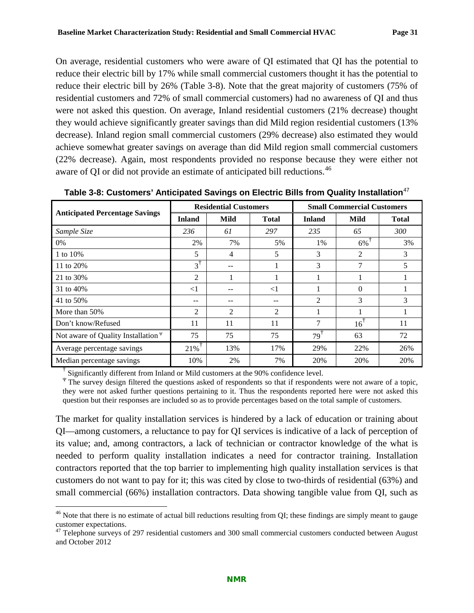On average, residential customers who were aware of QI estimated that QI has the potential to reduce their electric bill by 17% while small commercial customers thought it has the potential to reduce their electric bill by 26% [\(Table 3-8\)](#page-34-0). Note that the great majority of customers (75% of residential customers and 72% of small commercial customers) had no awareness of QI and thus were not asked this question. On average, Inland residential customers (21% decrease) thought they would achieve significantly greater savings than did Mild region residential customers (13% decrease). Inland region small commercial customers (29% decrease) also estimated they would achieve somewhat greater savings on average than did Mild region small commercial customers (22% decrease). Again, most respondents provided no response because they were either not aware of QI or did not provide an estimate of anticipated bill reductions.<sup>[46](#page-34-1)</sup>

|                                          | <b>Residential Customers</b> |               |                | <b>Small Commercial Customers</b> |          |              |
|------------------------------------------|------------------------------|---------------|----------------|-----------------------------------|----------|--------------|
| <b>Anticipated Percentage Savings</b>    | <b>Inland</b>                | Mild          | <b>Total</b>   | <b>Inland</b>                     | Mild     | <b>Total</b> |
| Sample Size                              | 236                          | 61            | 297            | 235                               | 65       | 300          |
| 0%                                       | 2%                           | 7%            | 5%             | 1%                                | $6\%$    | 3%           |
| 1 to 10%                                 | 5                            | 4             | 5              | 3                                 | 2        | 3            |
| 11 to 20%                                | $3^{\dagger}$                | --            |                | 3                                 | 7        | 5            |
| 21 to 30%                                | $\overline{2}$               | 1             |                |                                   |          |              |
| 31 to 40%                                | $<$ 1                        | --            | $\leq$ 1       |                                   | $\Omega$ |              |
| 41 to 50%                                | --                           |               |                | 2                                 | 3        | 3            |
| More than 50%                            | $\mathfrak{D}$               | $\mathcal{D}$ | $\overline{2}$ | 1                                 |          |              |
| Don't know/Refused                       | 11                           | 11            | 11             | 7                                 | 16'      | 11           |
| Not aware of Quality Installation $\Psi$ | 75                           | 75            | 75             | 79'                               | 63       | 72           |
| Average percentage savings               | $21\%$                       | 13%           | 17%            | 29%                               | 22%      | 26%          |
| Median percentage savings                | 10%                          | 2%            | 7%             | 20%                               | 20%      | 20%          |

<span id="page-34-0"></span>**Table 3-8: Customers' Anticipated Savings on Electric Bills from Quality Installation**[47](#page-34-2)

<sup>†</sup> Significantly different from Inland or Mild customers at the 90% confidence level.

<sup>Ψ</sup>The survey design filtered the questions asked of respondents so that if respondents were not aware of a topic, they were not asked further questions pertaining to it. Thus the respondents reported here were not asked this question but their responses are included so as to provide percentages based on the total sample of customers.

The market for quality installation services is hindered by a lack of education or training about QI—among customers, a reluctance to pay for QI services is indicative of a lack of perception of its value; and, among contractors, a lack of technician or contractor knowledge of the what is needed to perform quality installation indicates a need for contractor training. Installation contractors reported that the top barrier to implementing high quality installation services is that customers do not want to pay for it; this was cited by close to two-thirds of residential (63%) and small commercial (66%) installation contractors. Data showing tangible value from QI, such as

<span id="page-34-1"></span> $46$  Note that there is no estimate of actual bill reductions resulting from QI; these findings are simply meant to gauge customer expectations.

<span id="page-34-2"></span><sup>&</sup>lt;sup>47</sup> Telephone surveys of 297 residential customers and 300 small commercial customers conducted between August and October 2012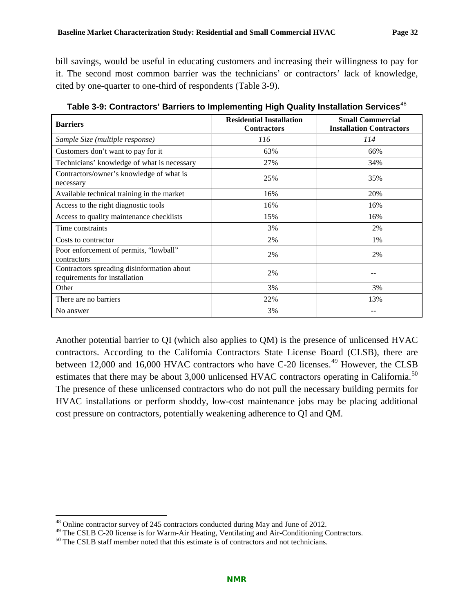bill savings, would be useful in educating customers and increasing their willingness to pay for it. The second most common barrier was the technicians' or contractors' lack of knowledge, cited by one-quarter to one-third of respondents [\(Table 3-9\)](#page-35-0).

| <b>Barriers</b>                                                             | <b>Residential Installation</b><br><b>Contractors</b> | <b>Small Commercial</b><br><b>Installation Contractors</b> |
|-----------------------------------------------------------------------------|-------------------------------------------------------|------------------------------------------------------------|
| Sample Size (multiple response)                                             | 116                                                   | 114                                                        |
| Customers don't want to pay for it                                          | 63%                                                   | 66%                                                        |
| Technicians' knowledge of what is necessary                                 | 27%                                                   | 34%                                                        |
| Contractors/owner's knowledge of what is<br>necessary                       | 25%                                                   | 35%                                                        |
| Available technical training in the market                                  | 16%                                                   | 20%                                                        |
| Access to the right diagnostic tools                                        | 16%                                                   | 16%                                                        |
| Access to quality maintenance checklists                                    | 15%                                                   | 16%                                                        |
| Time constraints                                                            | 3%                                                    | 2%                                                         |
| Costs to contractor                                                         | 2%                                                    | 1%                                                         |
| Poor enforcement of permits, "lowball"<br>contractors                       | 2%                                                    | 2%                                                         |
| Contractors spreading disinformation about<br>requirements for installation | 2%                                                    |                                                            |
| Other                                                                       | 3%                                                    | 3%                                                         |
| There are no barriers                                                       | 22%                                                   | 13%                                                        |
| No answer                                                                   | 3%                                                    |                                                            |

<span id="page-35-0"></span>**Table 3-9: Contractors' Barriers to Implementing High Quality Installation Services**[48](#page-35-1)

Another potential barrier to QI (which also applies to QM) is the presence of unlicensed HVAC contractors. According to the California Contractors State License Board (CLSB), there are between 12,000 and 16,000 HVAC contractors who have C-20 licenses.<sup>[49](#page-35-2)</sup> However, the CLSB estimates that there may be about 3,000 unlicensed HVAC contractors operating in California.<sup>[50](#page-35-3)</sup> The presence of these unlicensed contractors who do not pull the necessary building permits for HVAC installations or perform shoddy, low-cost maintenance jobs may be placing additional cost pressure on contractors, potentially weakening adherence to QI and QM.

<span id="page-35-2"></span><span id="page-35-1"></span><sup>&</sup>lt;sup>48</sup> Online contractor survey of 245 contractors conducted during May and June of 2012.<br><sup>49</sup> The CSLB C-20 license is for Warm-Air Heating, Ventilating and Air-Conditioning Contractors.<br><sup>50</sup> The CSLB staff member noted th

<span id="page-35-3"></span>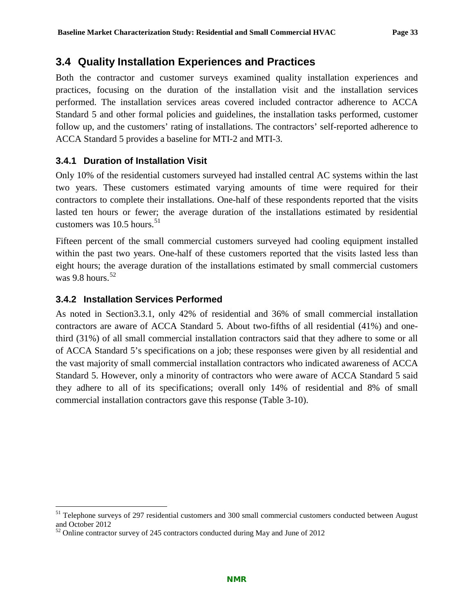## **3.4 Quality Installation Experiences and Practices**

Both the contractor and customer surveys examined quality installation experiences and practices, focusing on the duration of the installation visit and the installation services performed. The installation services areas covered included contractor adherence to ACCA Standard 5 and other formal policies and guidelines, the installation tasks performed, customer follow up, and the customers' rating of installations. The contractors' self-reported adherence to ACCA Standard 5 provides a baseline for MTI-2 and MTI-3.

### **3.4.1 Duration of Installation Visit**

Only 10% of the residential customers surveyed had installed central AC systems within the last two years. These customers estimated varying amounts of time were required for their contractors to complete their installations. One-half of these respondents reported that the visits lasted ten hours or fewer; the average duration of the installations estimated by residential customers was  $10.5$  hours.<sup>[51](#page-36-0)</sup>

Fifteen percent of the small commercial customers surveyed had cooling equipment installed within the past two years. One-half of these customers reported that the visits lasted less than eight hours; the average duration of the installations estimated by small commercial customers was 9.8 hours. [52](#page-36-1)

### **3.4.2 Installation Services Performed**

As noted in [Section3.3.1,](#page-29-0) only 42% of residential and 36% of small commercial installation contractors are aware of ACCA Standard 5. About two-fifths of all residential (41%) and onethird (31%) of all small commercial installation contractors said that they adhere to some or all of ACCA Standard 5's specifications on a job; these responses were given by all residential and the vast majority of small commercial installation contractors who indicated awareness of ACCA Standard 5. However, only a minority of contractors who were aware of ACCA Standard 5 said they adhere to all of its specifications; overall only 14% of residential and 8% of small commercial installation contractors gave this response [\(Table 3-10\)](#page-37-0).

<span id="page-36-0"></span><sup>&</sup>lt;sup>51</sup> Telephone surveys of 297 residential customers and 300 small commercial customers conducted between August and October 2012

<span id="page-36-1"></span> $52$  Online contractor survey of 245 contractors conducted during May and June of 2012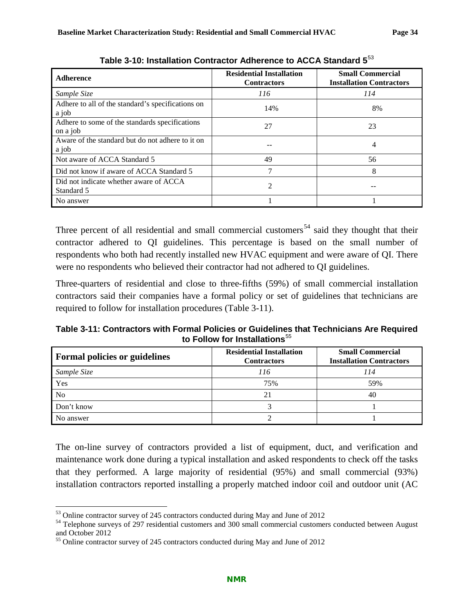<span id="page-37-0"></span>

| <b>Adherence</b>                                           | <b>Residential Installation</b><br><b>Contractors</b> | <b>Small Commercial</b><br><b>Installation Contractors</b> |
|------------------------------------------------------------|-------------------------------------------------------|------------------------------------------------------------|
| Sample Size                                                | 116                                                   | 114                                                        |
| Adhere to all of the standard's specifications on<br>a job | 14%                                                   | 8%                                                         |
| Adhere to some of the standards specifications<br>on a job | 27                                                    | 23                                                         |
| Aware of the standard but do not adhere to it on<br>a job  |                                                       | 4                                                          |
| Not aware of ACCA Standard 5                               | 49                                                    | 56                                                         |
| Did not know if aware of ACCA Standard 5                   | 7                                                     | 8                                                          |
| Did not indicate whether aware of ACCA<br>Standard 5       |                                                       |                                                            |
| No answer                                                  |                                                       |                                                            |

**Table 3-10: Installation Contractor Adherence to ACCA Standard 5**[53](#page-37-2)

Three percent of all residential and small commercial customers<sup>[54](#page-37-3)</sup> said they thought that their contractor adhered to QI guidelines. This percentage is based on the small number of respondents who both had recently installed new HVAC equipment and were aware of QI. There were no respondents who believed their contractor had not adhered to QI guidelines.

Three-quarters of residential and close to three-fifths (59%) of small commercial installation contractors said their companies have a formal policy or set of guidelines that technicians are required to follow for installation procedures [\(Table 3-11\)](#page-37-1).

<span id="page-37-1"></span>**Table 3-11: Contractors with Formal Policies or Guidelines that Technicians Are Required**  to Follow for Installations<sup>[55](#page-37-4)</sup>

| <b>Formal policies or guidelines</b> | <b>Residential Installation</b><br><b>Contractors</b> | <b>Small Commercial</b><br><b>Installation Contractors</b> |
|--------------------------------------|-------------------------------------------------------|------------------------------------------------------------|
| Sample Size                          | 116                                                   | 114                                                        |
| Yes                                  | 75%                                                   | 59%                                                        |
| N <sub>0</sub>                       | 21                                                    | 40                                                         |
| Don't know                           |                                                       |                                                            |
| No answer                            |                                                       |                                                            |

The on-line survey of contractors provided a list of equipment, duct, and verification and maintenance work done during a typical installation and asked respondents to check off the tasks that they performed. A large majority of residential (95%) and small commercial (93%) installation contractors reported installing a properly matched indoor coil and outdoor unit (AC

<span id="page-37-3"></span><span id="page-37-2"></span> $53$  Online contractor survey of 245 contractors conducted during May and June of 2012<br><sup>54</sup> Telephone surveys of 297 residential customers and 300 small commercial customers conducted between August and October 2012

<span id="page-37-4"></span><sup>&</sup>lt;sup>55</sup> Online contractor survey of 245 contractors conducted during May and June of 2012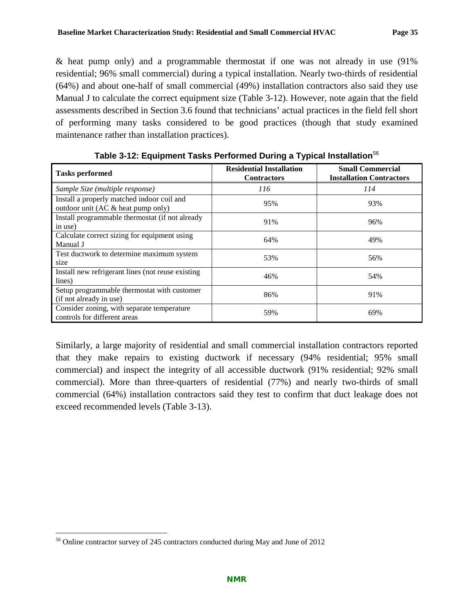& heat pump only) and a programmable thermostat if one was not already in use (91% residential; 96% small commercial) during a typical installation. Nearly two-thirds of residential (64%) and about one-half of small commercial (49%) installation contractors also said they use Manual J to calculate the correct equipment size [\(Table 3-12\)](#page-38-0). However, note again that the field assessments described in Section [3.6](#page-45-0) found that technicians' actual practices in the field fell short of performing many tasks considered to be good practices (though that study examined maintenance rather than installation practices).

<span id="page-38-0"></span>

| <b>Tasks performed</b>                                                              | <b>Residential Installation</b><br><b>Contractors</b> | <b>Small Commercial</b><br><b>Installation Contractors</b> |
|-------------------------------------------------------------------------------------|-------------------------------------------------------|------------------------------------------------------------|
| Sample Size (multiple response)                                                     | 116                                                   | 114                                                        |
| Install a properly matched indoor coil and<br>outdoor unit (AC $\&$ heat pump only) | 95%                                                   | 93%                                                        |
| Install programmable thermostat (if not already<br>in use)                          | 91%                                                   | 96%                                                        |
| Calculate correct sizing for equipment using<br>Manual J                            | 64%                                                   | 49%                                                        |
| Test ductwork to determine maximum system<br>size                                   | 53%                                                   | 56%                                                        |
| Install new refrigerant lines (not reuse existing)<br>lines)                        | 46%                                                   | 54%                                                        |
| Setup programmable thermostat with customer<br>(if not already in use)              | 86%                                                   | 91%                                                        |
| Consider zoning, with separate temperature<br>controls for different areas          | 59%                                                   | 69%                                                        |

**Table 3-12: Equipment Tasks Performed During a Typical Installation**[56](#page-38-1)

Similarly, a large majority of residential and small commercial installation contractors reported that they make repairs to existing ductwork if necessary (94% residential; 95% small commercial) and inspect the integrity of all accessible ductwork (91% residential; 92% small commercial). More than three-quarters of residential (77%) and nearly two-thirds of small commercial (64%) installation contractors said they test to confirm that duct leakage does not exceed recommended levels [\(Table 3-13\)](#page-39-0).

<span id="page-38-1"></span> <sup>56</sup> Online contractor survey of 245 contractors conducted during May and June of 2012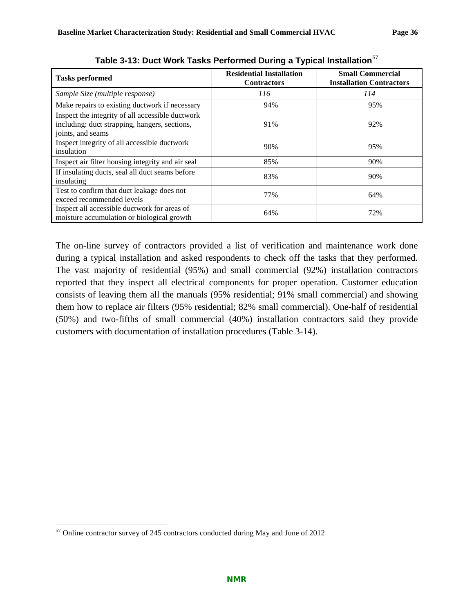<span id="page-39-0"></span>

| <b>Tasks performed</b>                                                                                                 | <b>Residential Installation</b><br><b>Contractors</b> | <b>Small Commercial</b><br><b>Installation Contractors</b> |
|------------------------------------------------------------------------------------------------------------------------|-------------------------------------------------------|------------------------------------------------------------|
| Sample Size (multiple response)                                                                                        | 116                                                   | 114                                                        |
| Make repairs to existing ductwork if necessary                                                                         | 94%                                                   | 95%                                                        |
| Inspect the integrity of all accessible ductwork<br>including: duct strapping, hangers, sections,<br>joints, and seams | 91%                                                   | 92%                                                        |
| Inspect integrity of all accessible ductwork<br>insulation                                                             | 90%                                                   | 95%                                                        |
| Inspect air filter housing integrity and air seal                                                                      | 85%                                                   | 90%                                                        |
| If insulating ducts, seal all duct seams before<br>insulating                                                          | 83%                                                   | 90%                                                        |
| Test to confirm that duct leakage does not<br>exceed recommended levels                                                | 77%                                                   | 64%                                                        |
| Inspect all accessible ductwork for areas of<br>moisture accumulation or biological growth                             | 64%                                                   | 72%                                                        |

**Table 3-13: Duct Work Tasks Performed During a Typical Installation**[57](#page-39-1)

The on-line survey of contractors provided a list of verification and maintenance work done during a typical installation and asked respondents to check off the tasks that they performed. The vast majority of residential (95%) and small commercial (92%) installation contractors reported that they inspect all electrical components for proper operation. Customer education consists of leaving them all the manuals (95% residential; 91% small commercial) and showing them how to replace air filters (95% residential; 82% small commercial). One-half of residential (50%) and two-fifths of small commercial (40%) installation contractors said they provide customers with documentation of installation procedures [\(Table 3-14\)](#page-40-0).

<span id="page-39-1"></span> <sup>57</sup> Online contractor survey of 245 contractors conducted during May and June of 2012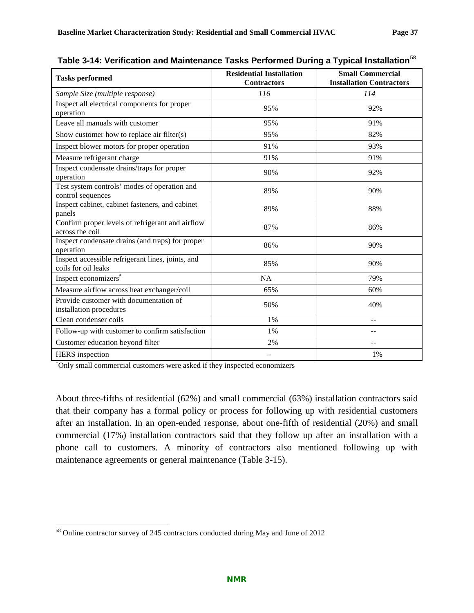| <b>Tasks performed</b>                                                   | <b>Residential Installation</b><br><b>Contractors</b> | <b>Small Commercial</b><br><b>Installation Contractors</b> |
|--------------------------------------------------------------------------|-------------------------------------------------------|------------------------------------------------------------|
| Sample Size (multiple response)                                          | 116                                                   | 114                                                        |
| Inspect all electrical components for proper<br>operation                | 95%                                                   | 92%                                                        |
| Leave all manuals with customer                                          | 95%                                                   | 91%                                                        |
| Show customer how to replace air filter(s)                               | 95%                                                   | 82%                                                        |
| Inspect blower motors for proper operation                               | 91%                                                   | 93%                                                        |
| Measure refrigerant charge                                               | 91%                                                   | 91%                                                        |
| Inspect condensate drains/traps for proper<br>operation                  | 90%                                                   | 92%                                                        |
| Test system controls' modes of operation and<br>control sequences        | 89%                                                   | 90%                                                        |
| Inspect cabinet, cabinet fasteners, and cabinet<br>panels                | 89%                                                   | 88%                                                        |
| Confirm proper levels of refrigerant and airflow<br>across the coil      | 87%                                                   | 86%                                                        |
| Inspect condensate drains (and traps) for proper<br>operation            | 86%                                                   | 90%                                                        |
| Inspect accessible refrigerant lines, joints, and<br>coils for oil leaks | 85%                                                   | 90%                                                        |
| Inspect economizers <sup>*</sup>                                         | NA                                                    | 79%                                                        |
| Measure airflow across heat exchanger/coil                               | 65%                                                   | 60%                                                        |
| Provide customer with documentation of<br>installation procedures        | 50%                                                   | 40%                                                        |
| Clean condenser coils                                                    | 1%                                                    | $-$                                                        |
| Follow-up with customer to confirm satisfaction                          | 1%                                                    |                                                            |
| Customer education beyond filter                                         | 2%                                                    | $\sim$                                                     |
| <b>HERS</b> inspection                                                   | --                                                    | 1%                                                         |

<span id="page-40-0"></span>**Table 3-14: Verification and Maintenance Tasks Performed During a Typical Installation**[58](#page-40-1)

\* Only small commercial customers were asked if they inspected economizers

About three-fifths of residential (62%) and small commercial (63%) installation contractors said that their company has a formal policy or process for following up with residential customers after an installation. In an open-ended response, about one-fifth of residential (20%) and small commercial (17%) installation contractors said that they follow up after an installation with a phone call to customers. A minority of contractors also mentioned following up with maintenance agreements or general maintenance [\(Table 3-15\)](#page-41-0).

<span id="page-40-1"></span> <sup>58</sup> Online contractor survey of 245 contractors conducted during May and June of 2012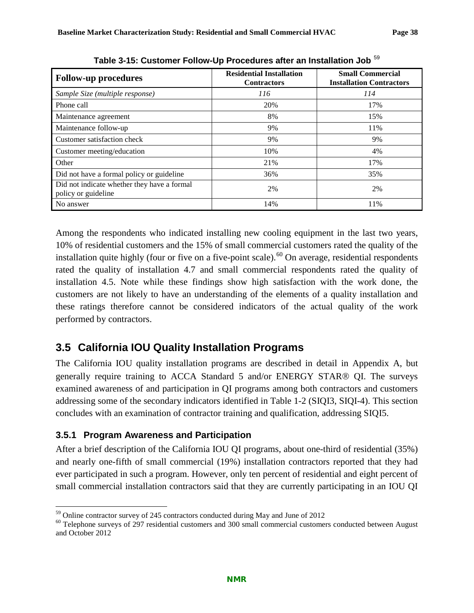<span id="page-41-0"></span>

| <b>Follow-up procedures</b>                                        | <b>Residential Installation</b><br><b>Contractors</b> | <b>Small Commercial</b><br><b>Installation Contractors</b> |
|--------------------------------------------------------------------|-------------------------------------------------------|------------------------------------------------------------|
| Sample Size (multiple response)                                    | 116                                                   | 114                                                        |
| Phone call                                                         | 20%                                                   | 17%                                                        |
| Maintenance agreement                                              | 8%                                                    | 15%                                                        |
| Maintenance follow-up                                              | 9%                                                    | 11%                                                        |
| Customer satisfaction check                                        | 9%                                                    | 9%                                                         |
| Customer meeting/education                                         | 10%                                                   | 4%                                                         |
| Other                                                              | 21%                                                   | 17%                                                        |
| Did not have a formal policy or guideline                          | 36%                                                   | 35%                                                        |
| Did not indicate whether they have a formal<br>policy or guideline | 2%                                                    | 2%                                                         |
| No answer                                                          | 14%                                                   | 11%                                                        |

**Table 3-15: Customer Follow-Up Procedures after an Installation Job** [59](#page-41-1)

Among the respondents who indicated installing new cooling equipment in the last two years, 10% of residential customers and the 15% of small commercial customers rated the quality of the installation quite highly (four or five on a five-point scale).<sup>[60](#page-41-2)</sup> On average, residential respondents rated the quality of installation 4.7 and small commercial respondents rated the quality of installation 4.5. Note while these findings show high satisfaction with the work done, the customers are not likely to have an understanding of the elements of a quality installation and these ratings therefore cannot be considered indicators of the actual quality of the work performed by contractors.

# **3.5 California IOU Quality Installation Programs**

The California IOU quality installation programs are described in detail in Appendix A, but generally require training to ACCA Standard 5 and/or ENERGY STAR® QI. The surveys examined awareness of and participation in QI programs among both contractors and customers addressing some of the secondary indicators identified in [Table 1-2](#page-14-0) (SIQI3, SIQI-4). This section concludes with an examination of contractor training and qualification, addressing SIQI5.

### **3.5.1 Program Awareness and Participation**

After a brief description of the California IOU QI programs, about one-third of residential (35%) and nearly one-fifth of small commercial (19%) installation contractors reported that they had ever participated in such a program. However, only ten percent of residential and eight percent of small commercial installation contractors said that they are currently participating in an IOU QI

<span id="page-41-2"></span><span id="page-41-1"></span> $59$  Online contractor survey of 245 contractors conducted during May and June of 2012<br><sup>60</sup> Telephone surveys of 297 residential customers and 300 small commercial customers conducted between August and October 2012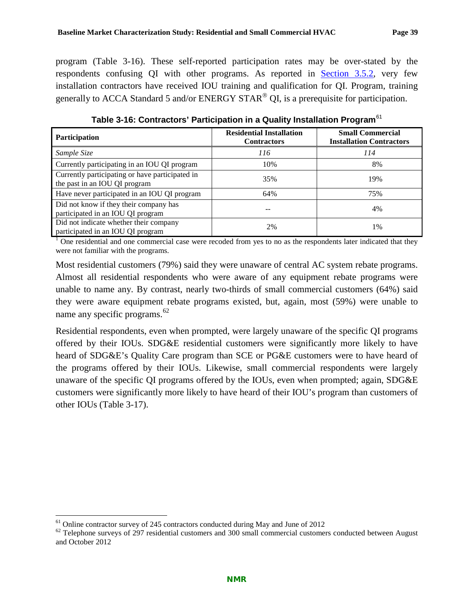program [\(Table 3-16\)](#page-42-0). These self-reported participation rates may be over-stated by the respondents confusing QI with other programs. As reported in [Section 3.5.2,](#page-43-0) very few

<span id="page-42-0"></span>

| Participation                                                                    | <b>Residential Installation</b><br><b>Contractors</b> | <b>Small Commercial</b><br><b>Installation Contractors</b> |
|----------------------------------------------------------------------------------|-------------------------------------------------------|------------------------------------------------------------|
| Sample Size                                                                      | 116                                                   | 114                                                        |
| Currently participating in an IOU QI program                                     | 10%                                                   | 8%                                                         |
| Currently participating or have participated in<br>the past in an IOU QI program | 35%                                                   | 19%                                                        |
| Have never participated in an IOU QI program                                     | 64%                                                   | 75%                                                        |
| Did not know if they their company has<br>participated in an IOU QI program      |                                                       | 4%                                                         |
| Did not indicate whether their company<br>participated in an IOU QI program      | 2%                                                    | 1%                                                         |

**Table 3-16: Contractors' Participation in a Quality Installation Program**[61](#page-42-1)

installation contractors have received IOU training and qualification for QI. Program, training generally to ACCA Standard 5 and/or ENERGY STAR<sup>®</sup> QI, is a prerequisite for participation.

 $<sup>1</sup>$  One residential and one commercial case were recoded from yes to no as the respondents later indicated that they</sup> were not familiar with the programs.

Most residential customers (79%) said they were unaware of central AC system rebate programs. Almost all residential respondents who were aware of any equipment rebate programs were unable to name any. By contrast, nearly two-thirds of small commercial customers (64%) said they were aware equipment rebate programs existed, but, again, most (59%) were unable to name any specific programs.<sup>[62](#page-42-2)</sup>

Residential respondents, even when prompted, were largely unaware of the specific QI programs offered by their IOUs. SDG&E residential customers were significantly more likely to have heard of SDG&E's Quality Care program than SCE or PG&E customers were to have heard of the programs offered by their IOUs. Likewise, small commercial respondents were largely unaware of the specific QI programs offered by the IOUs, even when prompted; again, SDG&E customers were significantly more likely to have heard of their IOU's program than customers of other IOUs [\(Table 3-17\)](#page-43-1).

<span id="page-42-2"></span><span id="page-42-1"></span><sup>&</sup>lt;sup>61</sup> Online contractor survey of 245 contractors conducted during May and June of 2012<br><sup>62</sup> Telephone surveys of 297 residential customers and 300 small commercial customers conducted between August and October 2012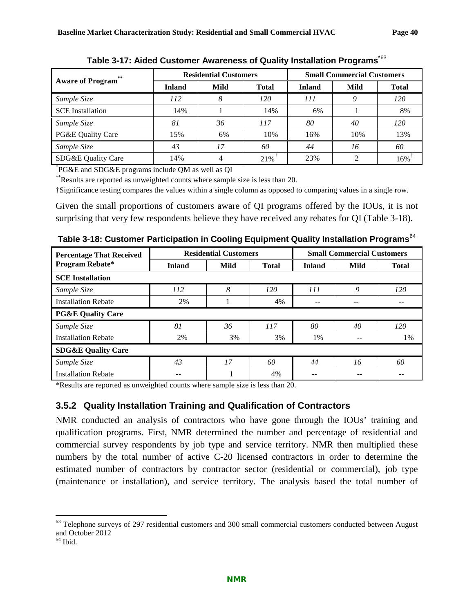<span id="page-43-1"></span>

|                         | <b>Residential Customers</b> |      |              | <b>Small Commercial Customers</b> |      |              |
|-------------------------|------------------------------|------|--------------|-----------------------------------|------|--------------|
| <b>Aware of Program</b> | <b>Inland</b>                | Mild | <b>Total</b> | <b>Inland</b>                     | Mild | <b>Total</b> |
| Sample Size             | 112                          | 8    | 120          | 111                               |      | 120          |
| <b>SCE</b> Installation | 14%                          |      | 14%          | 6%                                |      | 8%           |
| Sample Size             | 81                           | 36   | 117          | 80                                | 40   | 120          |
| PG&E Quality Care       | 15%                          | 6%   | 10%          | 16%                               | 10%  | 13%          |
| Sample Size             | 43                           | 17   | 60           | 44                                | 16   | 60           |
| SDG&E Quality Care      | 14%                          |      | 21%          | 23%                               | ◠    | 16%          |

**Table 3-17: Aided Customer Awareness of Quality Installation Programs\***[63](#page-43-3)

\* PG&E and SDG&E programs include QM as well as QI

\*\*Results are reported as unweighted counts where sample size is less than 20.

†Significance testing compares the values within a single column as opposed to comparing values in a single row.

Given the small proportions of customers aware of QI programs offered by the IOUs, it is not surprising that very few respondents believe they have received any rebates for QI [\(Table 3-18\)](#page-43-2).

| <b>Percentage That Received</b> | <b>Residential Customers</b> |      |              | <b>Small Commercial Customers</b> |      |              |
|---------------------------------|------------------------------|------|--------------|-----------------------------------|------|--------------|
| <b>Program Rebate*</b>          | <b>Inland</b>                | Mild | <b>Total</b> | <b>Inland</b>                     | Mild | <b>Total</b> |
| <b>SCE</b> Installation         |                              |      |              |                                   |      |              |
| Sample Size                     | <i>112</i>                   | 8    | 120          | 111                               | 9    | 120          |
| <b>Installation Rebate</b>      | 2%                           |      | 4%           | --                                | --   | --           |
| <b>PG&amp;E Quality Care</b>    |                              |      |              |                                   |      |              |
| Sample Size                     | 81                           | 36   | 117          | 80                                | 40   | 120          |
| <b>Installation Rebate</b>      | 2%                           | 3%   | 3%           | 1%                                |      | 1%           |
| <b>SDG&amp;E Quality Care</b>   |                              |      |              |                                   |      |              |
| Sample Size                     | 43                           | 17   | 60           | 44                                | 16   | 60           |
| <b>Installation Rebate</b>      |                              |      | 4%           |                                   | --   |              |

<span id="page-43-2"></span>**Table 3-18: Customer Participation in Cooling Equipment Quality Installation Programs**[64](#page-43-4)

\*Results are reported as unweighted counts where sample size is less than 20.

### <span id="page-43-0"></span>**3.5.2 Quality Installation Training and Qualification of Contractors**

NMR conducted an analysis of contractors who have gone through the IOUs' training and qualification programs. First, NMR determined the number and percentage of residential and commercial survey respondents by job type and service territory. NMR then multiplied these numbers by the total number of active C-20 licensed contractors in order to determine the estimated number of contractors by contractor sector (residential or commercial), job type (maintenance or installation), and service territory. The analysis based the total number of

<span id="page-43-3"></span> $63$  Telephone surveys of 297 residential customers and 300 small commercial customers conducted between August and October 2012

<span id="page-43-4"></span> $<sup>64</sup>$  Ibid.</sup>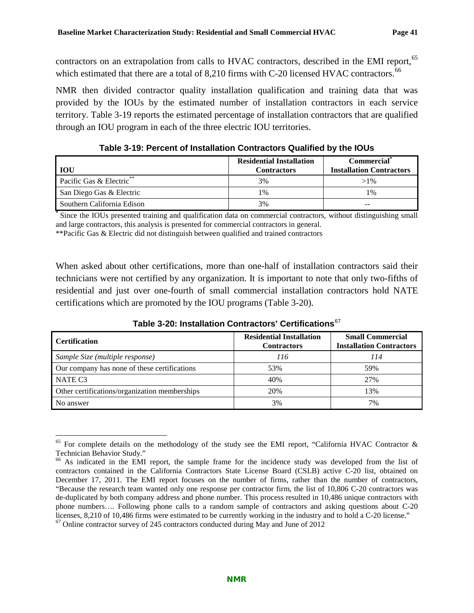contractors on an extrapolation from calls to HVAC contractors, described in the EMI report,<sup>[65](#page-44-2)</sup> which estimated that there are a total of  $8,210$  firms with C-20 licensed HVAC contractors.<sup>[66](#page-44-3)</sup>

NMR then divided contractor quality installation qualification and training data that was provided by the IOUs by the estimated number of installation contractors in each service territory. [Table 3-19](#page-44-0) reports the estimated percentage of installation contractors that are qualified through an IOU program in each of the three electric IOU territories.

<span id="page-44-0"></span>

| <b>IOU</b>                 | <b>Residential Installation</b><br><b>Contractors</b> | <b>Commercial</b><br><b>Installation Contractors</b> |
|----------------------------|-------------------------------------------------------|------------------------------------------------------|
| Pacific Gas & Electric**   | 3%                                                    | $>1\%$                                               |
| San Diego Gas & Electric   | 1%                                                    | 1%                                                   |
| Southern California Edison | 3%                                                    | $- -$                                                |

**Table 3-19: Percent of Installation Contractors Qualified by the IOUs**

**\*** Since the IOUs presented training and qualification data on commercial contractors, without distinguishing small and large contractors, this analysis is presented for commercial contractors in general.

\*\*Pacific Gas & Electric did not distinguish between qualified and trained contractors

When asked about other certifications, more than one-half of installation contractors said their technicians were not certified by any organization. It is important to note that only two-fifths of residential and just over one-fourth of small commercial installation contractors hold NATE certifications which are promoted by the IOU programs [\(Table 3-20\)](#page-44-1).

<span id="page-44-1"></span>

| <b>Certification</b>                          | <b>Residential Installation</b><br><b>Contractors</b> | <b>Small Commercial</b><br><b>Installation Contractors</b> |
|-----------------------------------------------|-------------------------------------------------------|------------------------------------------------------------|
| Sample Size (multiple response)               | 116                                                   | 114                                                        |
| Our company has none of these certifications  | 53%                                                   | 59%                                                        |
| NATE C <sub>3</sub>                           | 40%                                                   | 27%                                                        |
| Other certifications/organization memberships | 20%                                                   | 13%                                                        |
| No answer                                     | 3%                                                    | 7%                                                         |

**Table 3-20: Installation Contractors' Certifications**[67](#page-44-4)

<span id="page-44-2"></span><sup>&</sup>lt;sup>65</sup> For complete details on the methodology of the study see the EMI report, "California HVAC Contractor & Technician Behavior Study."

<span id="page-44-3"></span> $\frac{66}{10}$  As indicated in the EMI report, the sample frame for the incidence study was developed from the list of contractors contained in the California Contractors State License Board (CSLB) active C-20 list, obtained on December 17, 2011. The EMI report focuses on the number of firms, rather than the number of contractors, "Because the research team wanted only one response per contractor firm, the list of 10,806 C-20 contractors was de-duplicated by both company address and phone number. This process resulted in 10,486 unique contractors with phone numbers…. Following phone calls to a random sample of contractors and asking questions about C-20 licenses, 8,210 of 10,486 firms were estimated to be currently working in the industry and to hold a C-20 license."<br><sup>67</sup> Online contractor survey of 245 contractors conducted during May and June of 2012

<span id="page-44-4"></span>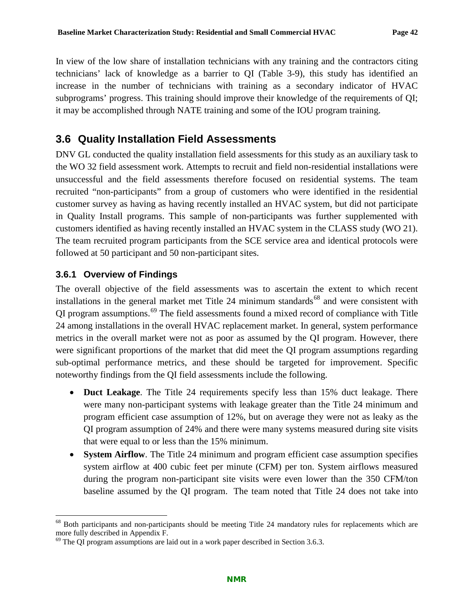In view of the low share of installation technicians with any training and the contractors citing technicians' lack of knowledge as a barrier to QI [\(Table 3-9\)](#page-35-0), this study has identified an increase in the number of technicians with training as a secondary indicator of HVAC subprograms' progress. This training should improve their knowledge of the requirements of QI; it may be accomplished through NATE training and some of the IOU program training.

## <span id="page-45-0"></span>**3.6 Quality Installation Field Assessments**

DNV GL conducted the quality installation field assessments for this study as an auxiliary task to the WO 32 field assessment work. Attempts to recruit and field non-residential installations were unsuccessful and the field assessments therefore focused on residential systems. The team recruited "non-participants" from a group of customers who were identified in the residential customer survey as having as having recently installed an HVAC system, but did not participate in Quality Install programs. This sample of non-participants was further supplemented with customers identified as having recently installed an HVAC system in the CLASS study (WO 21). The team recruited program participants from the SCE service area and identical protocols were followed at 50 participant and 50 non-participant sites.

### **3.6.1 Overview of Findings**

The overall objective of the field assessments was to ascertain the extent to which recent installations in the general market met Title 24 minimum standards<sup>[68](#page-45-1)</sup> and were consistent with QI program assumptions.[69](#page-45-2) The field assessments found a mixed record of compliance with Title 24 among installations in the overall HVAC replacement market. In general, system performance metrics in the overall market were not as poor as assumed by the QI program. However, there were significant proportions of the market that did meet the QI program assumptions regarding sub-optimal performance metrics, and these should be targeted for improvement. Specific noteworthy findings from the QI field assessments include the following.

- **Duct Leakage**. The Title 24 requirements specify less than 15% duct leakage. There were many non-participant systems with leakage greater than the Title 24 minimum and program efficient case assumption of 12%, but on average they were not as leaky as the QI program assumption of 24% and there were many systems measured during site visits that were equal to or less than the 15% minimum.
- **System Airflow**. The Title 24 minimum and program efficient case assumption specifies system airflow at 400 cubic feet per minute (CFM) per ton. System airflows measured during the program non-participant site visits were even lower than the 350 CFM/ton baseline assumed by the QI program. The team noted that Title 24 does not take into

<span id="page-45-1"></span><sup>&</sup>lt;sup>68</sup> Both participants and non-participants should be meeting Title 24 mandatory rules for replacements which are more fully described in Appendix F.

<span id="page-45-2"></span> $\frac{69}{9}$  The QI program assumptions are laid out in a work paper described in Section [3.6.3.](#page-47-0)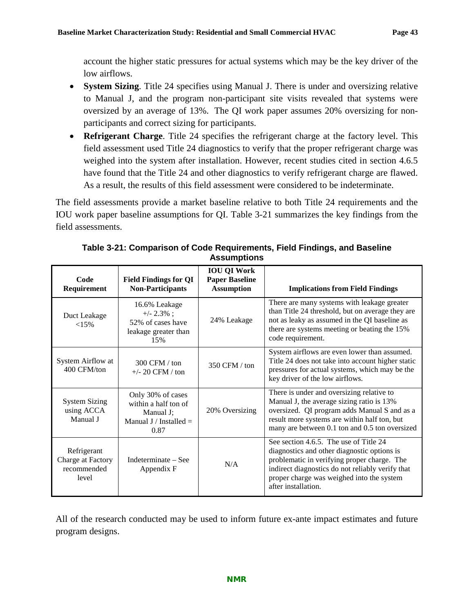account the higher static pressures for actual systems which may be the key driver of the low airflows.

- **System Sizing**. Title 24 specifies using Manual J. There is under and oversizing relative to Manual J, and the program non-participant site visits revealed that systems were oversized by an average of 13%. The QI work paper assumes 20% oversizing for nonparticipants and correct sizing for participants.
- **Refrigerant Charge**. Title 24 specifies the refrigerant charge at the factory level. This field assessment used Title 24 diagnostics to verify that the proper refrigerant charge was weighed into the system after installation. However, recent studies cited in section [4.6.5](#page-81-0) have found that the Title 24 and other diagnostics to verify refrigerant charge are flawed. As a result, the results of this field assessment were considered to be indeterminate.

The field assessments provide a market baseline relative to both Title 24 requirements and the IOU work paper baseline assumptions for QI. [Table 3-21](#page-46-0) summarizes the key findings from the field assessments.

<span id="page-46-0"></span>

| Code<br>Requirement                                      | <b>Field Findings for QI</b><br><b>Non-Participants</b>                                    | <b>IOU QI Work</b><br><b>Paper Baseline</b><br><b>Assumption</b> | <b>Implications from Field Findings</b>                                                                                                                                                                                                                      |
|----------------------------------------------------------|--------------------------------------------------------------------------------------------|------------------------------------------------------------------|--------------------------------------------------------------------------------------------------------------------------------------------------------------------------------------------------------------------------------------------------------------|
| Duct Leakage<br><15%                                     | 16.6% Leakage<br>$+/- 2.3\%$ ;<br>52% of cases have<br>leakage greater than<br>15%         | 24% Leakage                                                      | There are many systems with leakage greater<br>than Title 24 threshold, but on average they are<br>not as leaky as assumed in the QI baseline as<br>there are systems meeting or beating the 15%<br>code requirement.                                        |
| System Airflow at<br>400 CFM/ton                         | $300$ CFM $/$ ton<br>$+/- 20$ CFM / ton                                                    | 350 CFM / ton                                                    | System airflows are even lower than assumed.<br>Title 24 does not take into account higher static<br>pressures for actual systems, which may be the<br>key driver of the low airflows.                                                                       |
| <b>System Sizing</b><br>using ACCA<br>Manual J           | Only 30% of cases<br>within a half ton of<br>Manual J;<br>Manual J / Installed $=$<br>0.87 | 20% Oversizing                                                   | There is under and oversizing relative to<br>Manual J, the average sizing ratio is 13%<br>oversized. QI program adds Manual S and as a<br>result more systems are within half ton, but<br>many are between 0.1 ton and 0.5 ton oversized                     |
| Refrigerant<br>Charge at Factory<br>recommended<br>level | Indeterminate – See<br>Appendix F                                                          | N/A                                                              | See section 4.6.5. The use of Title 24<br>diagnostics and other diagnostic options is<br>problematic in verifying proper charge. The<br>indirect diagnostics do not reliably verify that<br>proper charge was weighed into the system<br>after installation. |

**Table 3-21: Comparison of Code Requirements, Field Findings, and Baseline Assumptions**

All of the research conducted may be used to inform future ex-ante impact estimates and future program designs.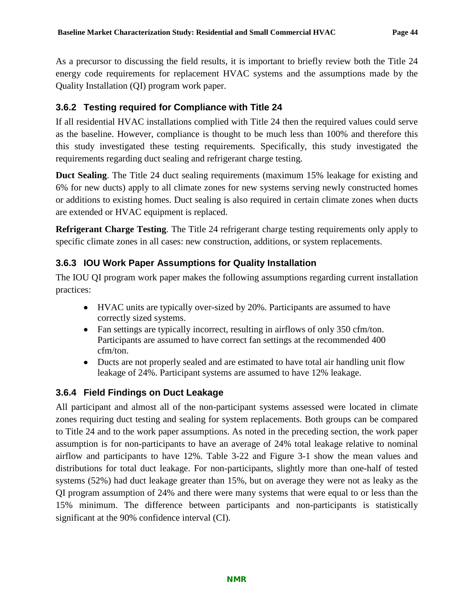As a precursor to discussing the field results, it is important to briefly review both the Title 24 energy code requirements for replacement HVAC systems and the assumptions made by the Quality Installation (QI) program work paper.

### **3.6.2 Testing required for Compliance with Title 24**

If all residential HVAC installations complied with Title 24 then the required values could serve as the baseline. However, compliance is thought to be much less than 100% and therefore this this study investigated these testing requirements. Specifically, this study investigated the requirements regarding duct sealing and refrigerant charge testing.

**Duct Sealing**. The Title 24 duct sealing requirements (maximum 15% leakage for existing and 6% for new ducts) apply to all climate zones for new systems serving newly constructed homes or additions to existing homes. Duct sealing is also required in certain climate zones when ducts are extended or HVAC equipment is replaced.

**Refrigerant Charge Testing**. The Title 24 refrigerant charge testing requirements only apply to specific climate zones in all cases: new construction, additions, or system replacements.

## <span id="page-47-0"></span>**3.6.3 IOU Work Paper Assumptions for Quality Installation**

The IOU QI program work paper makes the following assumptions regarding current installation practices:

- HVAC units are typically over-sized by 20%. Participants are assumed to have correctly sized systems.
- Fan settings are typically incorrect, resulting in airflows of only 350 cfm/ton. Participants are assumed to have correct fan settings at the recommended 400 cfm/ton.
- Ducts are not properly sealed and are estimated to have total air handling unit flow leakage of 24%. Participant systems are assumed to have 12% leakage.

## **3.6.4 Field Findings on Duct Leakage**

All participant and almost all of the non-participant systems assessed were located in climate zones requiring duct testing and sealing for system replacements. Both groups can be compared to Title 24 and to the work paper assumptions. As noted in the preceding section, the work paper assumption is for non-participants to have an average of 24% total leakage relative to nominal airflow and participants to have 12%. [Table 3-22](#page-48-0) and [Figure 3-1](#page-48-1) show the mean values and distributions for total duct leakage. For non-participants, slightly more than one-half of tested systems (52%) had duct leakage greater than 15%, but on average they were not as leaky as the QI program assumption of 24% and there were many systems that were equal to or less than the 15% minimum. The difference between participants and non-participants is statistically significant at the 90% confidence interval (CI).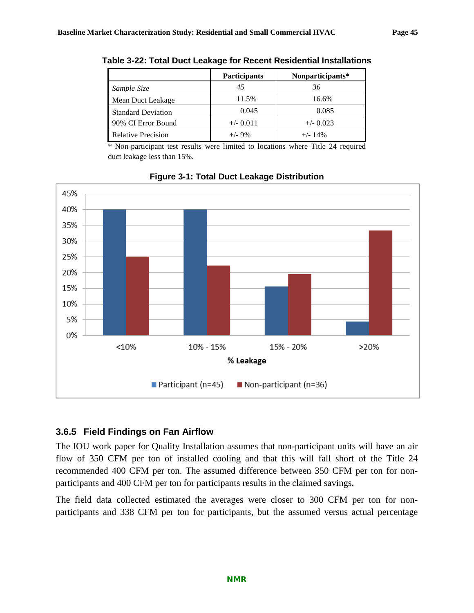|                           | <b>Participants</b> | Nonparticipants* |
|---------------------------|---------------------|------------------|
| Sample Size               | 45                  | 36               |
| Mean Duct Leakage         | 11.5%               | 16.6%            |
| <b>Standard Deviation</b> | 0.045               | 0.085            |
| 90% CI Error Bound        | $+/- 0.011$         | $+/- 0.023$      |
| <b>Relative Precision</b> | $+/-9\%$            | $+/-$ 14%        |

<span id="page-48-0"></span>**Table 3-22: Total Duct Leakage for Recent Residential Installations**

\* Non-participant test results were limited to locations where Title 24 required duct leakage less than 15%.

<span id="page-48-1"></span>

**Figure 3-1: Total Duct Leakage Distribution**

### **3.6.5 Field Findings on Fan Airflow**

The IOU work paper for Quality Installation assumes that non-participant units will have an air flow of 350 CFM per ton of installed cooling and that this will fall short of the Title 24 recommended 400 CFM per ton. The assumed difference between 350 CFM per ton for nonparticipants and 400 CFM per ton for participants results in the claimed savings.

The field data collected estimated the averages were closer to 300 CFM per ton for nonparticipants and 338 CFM per ton for participants, but the assumed versus actual percentage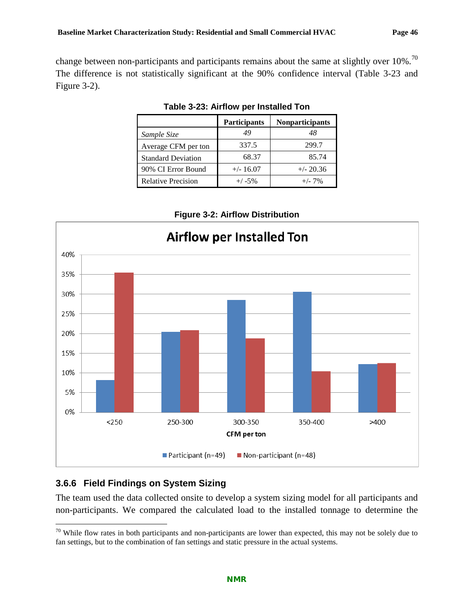<span id="page-49-0"></span>change between non-participants and participants remains about the same at slightly over 10%.<sup>[70](#page-49-2)</sup> The difference is not statistically significant at the 90% confidence interval [\(Table 3-23](#page-49-0) and [Figure 3-2\)](#page-49-1).

|                           | <b>Participants</b> | <b>Nonparticipants</b> |
|---------------------------|---------------------|------------------------|
| Sample Size               | 49                  | 48                     |
| Average CFM per ton       | 337.5               | 299.7                  |
| <b>Standard Deviation</b> | 68.37               | 85.74                  |
| 90% CI Error Bound        | $+/- 16.07$         | $+/- 20.36$            |
| <b>Relative Precision</b> | $+/-5%$             | $+/- 7\%$              |

**Table 3-23: Airflow per Installed Ton**



<span id="page-49-1"></span>

### **3.6.6 Field Findings on System Sizing**

The team used the data collected onsite to develop a system sizing model for all participants and non-participants. We compared the calculated load to the installed tonnage to determine the

<span id="page-49-2"></span> $70$  While flow rates in both participants and non-participants are lower than expected, this may not be solely due to fan settings, but to the combination of fan settings and static pressure in the actual systems.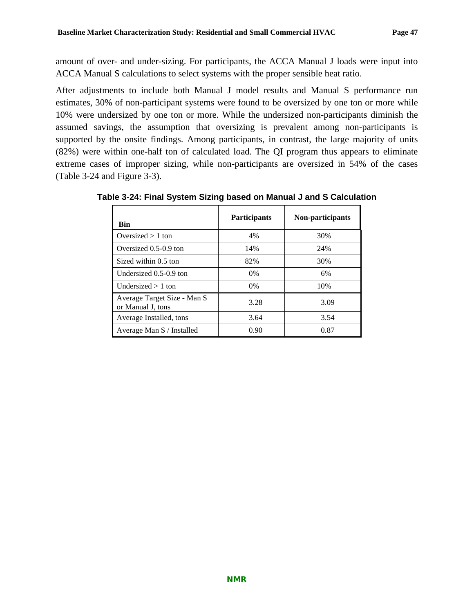amount of over- and under-sizing. For participants, the ACCA Manual J loads were input into ACCA Manual S calculations to select systems with the proper sensible heat ratio.

After adjustments to include both Manual J model results and Manual S performance run estimates, 30% of non-participant systems were found to be oversized by one ton or more while 10% were undersized by one ton or more. While the undersized non-participants diminish the assumed savings, the assumption that oversizing is prevalent among non-participants is supported by the onsite findings. Among participants, in contrast, the large majority of units (82%) were within one-half ton of calculated load. The QI program thus appears to eliminate extreme cases of improper sizing, while non-participants are oversized in 54% of the cases [\(Table 3-24](#page-50-0) and [Figure 3-3\)](#page-51-0).

| <b>Bin</b>                                       | <b>Participants</b> | Non-participants |
|--------------------------------------------------|---------------------|------------------|
| Oversized $> 1$ ton                              | 4%                  | 30%              |
| Oversized 0.5-0.9 ton                            | 14%                 | 24%              |
| Sized within 0.5 ton                             | 82%                 | 30%              |
| Undersized 0.5-0.9 ton                           | $0\%$               | 6%               |
| Undersized $> 1$ ton                             | $0\%$               | 10%              |
| Average Target Size - Man S<br>or Manual J, tons | 3.28                | 3.09             |
| Average Installed, tons                          | 3.64                | 3.54             |
| Average Man S / Installed                        | 0.90                | 0.87             |

<span id="page-50-0"></span>**Table 3-24: Final System Sizing based on Manual J and S Calculation**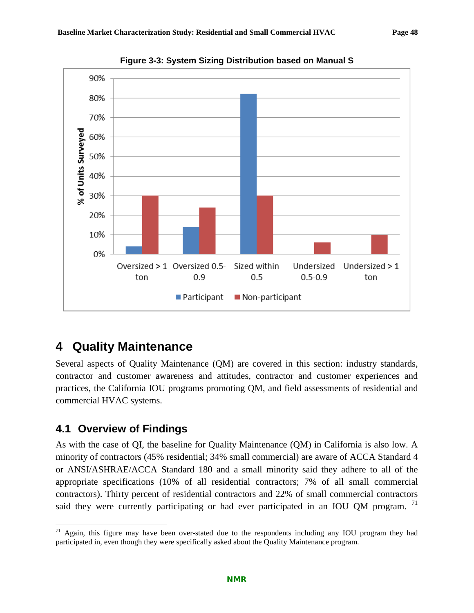<span id="page-51-0"></span>

**Figure 3-3: System Sizing Distribution based on Manual S**

# **4 Quality Maintenance**

Several aspects of Quality Maintenance (QM) are covered in this section: industry standards, contractor and customer awareness and attitudes, contractor and customer experiences and practices, the California IOU programs promoting QM, and field assessments of residential and commercial HVAC systems.

## **4.1 Overview of Findings**

As with the case of QI, the baseline for Quality Maintenance (QM) in California is also low. A minority of contractors (45% residential; 34% small commercial) are aware of ACCA Standard 4 or ANSI/ASHRAE/ACCA Standard 180 and a small minority said they adhere to all of the appropriate specifications (10% of all residential contractors; 7% of all small commercial contractors). Thirty percent of residential contractors and 22% of small commercial contractors said they were currently participating or had ever participated in an IOU QM program.<sup>[71](#page-51-1)</sup>

<span id="page-51-1"></span>Again, this figure may have been over-stated due to the respondents including any IOU program they had participated in, even though they were specifically asked about the Quality Maintenance program.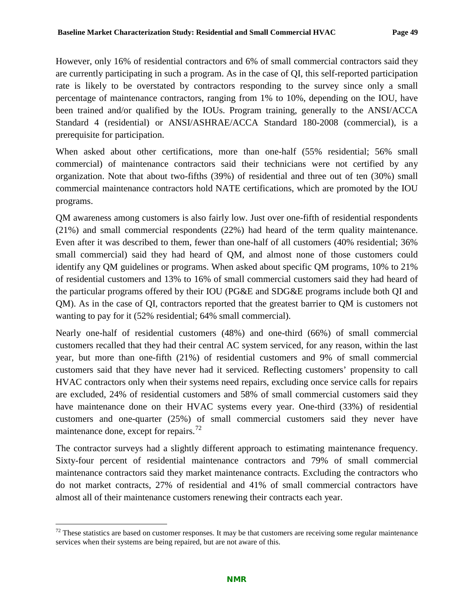However, only 16% of residential contractors and 6% of small commercial contractors said they are currently participating in such a program. As in the case of QI, this self-reported participation rate is likely to be overstated by contractors responding to the survey since only a small percentage of maintenance contractors, ranging from 1% to 10%, depending on the IOU, have been trained and/or qualified by the IOUs. Program training, generally to the ANSI/ACCA Standard 4 (residential) or ANSI/ASHRAE/ACCA Standard 180-2008 (commercial), is a prerequisite for participation.

When asked about other certifications, more than one-half (55% residential; 56% small commercial) of maintenance contractors said their technicians were not certified by any organization. Note that about two-fifths (39%) of residential and three out of ten (30%) small commercial maintenance contractors hold NATE certifications, which are promoted by the IOU programs.

QM awareness among customers is also fairly low. Just over one-fifth of residential respondents (21%) and small commercial respondents (22%) had heard of the term quality maintenance. Even after it was described to them, fewer than one-half of all customers (40% residential; 36% small commercial) said they had heard of QM, and almost none of those customers could identify any QM guidelines or programs. When asked about specific QM programs, 10% to 21% of residential customers and 13% to 16% of small commercial customers said they had heard of the particular programs offered by their IOU (PG&E and SDG&E programs include both QI and QM). As in the case of QI, contractors reported that the greatest barrier to QM is customers not wanting to pay for it (52% residential; 64% small commercial).

Nearly one-half of residential customers (48%) and one-third (66%) of small commercial customers recalled that they had their central AC system serviced, for any reason, within the last year, but more than one-fifth (21%) of residential customers and 9% of small commercial customers said that they have never had it serviced. Reflecting customers' propensity to call HVAC contractors only when their systems need repairs, excluding once service calls for repairs are excluded, 24% of residential customers and 58% of small commercial customers said they have maintenance done on their HVAC systems every year. One-third (33%) of residential customers and one-quarter (25%) of small commercial customers said they never have maintenance done, except for repairs.<sup>[72](#page-52-0)</sup>

The contractor surveys had a slightly different approach to estimating maintenance frequency. Sixty-four percent of residential maintenance contractors and 79% of small commercial maintenance contractors said they market maintenance contracts. Excluding the contractors who do not market contracts, 27% of residential and 41% of small commercial contractors have almost all of their maintenance customers renewing their contracts each year.

<span id="page-52-0"></span> $72$  These statistics are based on customer responses. It may be that customers are receiving some regular maintenance services when their systems are being repaired, but are not aware of this.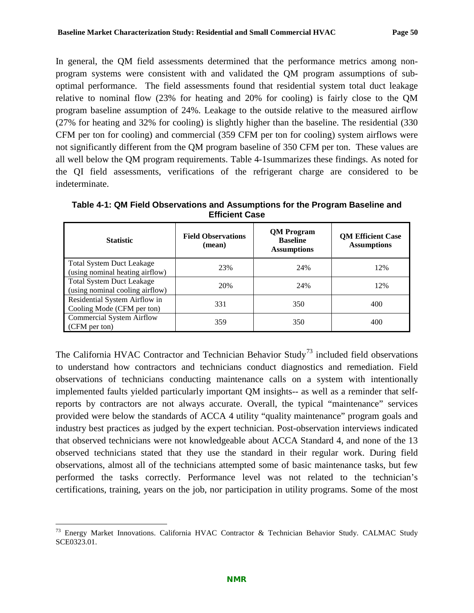In general, the QM field assessments determined that the performance metrics among nonprogram systems were consistent with and validated the QM program assumptions of suboptimal performance. The field assessments found that residential system total duct leakage relative to nominal flow (23% for heating and 20% for cooling) is fairly close to the QM program baseline assumption of 24%. Leakage to the outside relative to the measured airflow (27% for heating and 32% for cooling) is slightly higher than the baseline. The residential (330 CFM per ton for cooling) and commercial (359 CFM per ton for cooling) system airflows were not significantly different from the QM program baseline of 350 CFM per ton. These values are all well below the QM program requirements. [Table 4-1s](#page-53-0)ummarizes these findings. As noted for the QI field assessments, verifications of the refrigerant charge are considered to be indeterminate.

| <b>Statistic</b>                                                    | <b>Field Observations</b><br>(mean) | <b>QM</b> Program<br><b>Baseline</b><br><b>Assumptions</b> | <b>QM Efficient Case</b><br><b>Assumptions</b> |
|---------------------------------------------------------------------|-------------------------------------|------------------------------------------------------------|------------------------------------------------|
| <b>Total System Duct Leakage</b><br>(using nominal heating airflow) | 23%                                 | 24%                                                        | 12%                                            |
| <b>Total System Duct Leakage</b><br>(using nominal cooling airflow) | 20%                                 | 24%                                                        | 12%                                            |
| Residential System Airflow in<br>Cooling Mode (CFM per ton)         | 331                                 | 350                                                        | 400                                            |
| <b>Commercial System Airflow</b><br>(CFM per ton)                   | 359                                 | 350                                                        | 400                                            |

<span id="page-53-0"></span>**Table 4-1: QM Field Observations and Assumptions for the Program Baseline and Efficient Case**

The California HVAC Contractor and Technician Behavior Study<sup>[73](#page-53-1)</sup> included field observations to understand how contractors and technicians conduct diagnostics and remediation. Field observations of technicians conducting maintenance calls on a system with intentionally implemented faults yielded particularly important QM insights-- as well as a reminder that selfreports by contractors are not always accurate. Overall, the typical "maintenance" services provided were below the standards of ACCA 4 utility "quality maintenance" program goals and industry best practices as judged by the expert technician. Post-observation interviews indicated that observed technicians were not knowledgeable about ACCA Standard 4, and none of the 13 observed technicians stated that they use the standard in their regular work. During field observations, almost all of the technicians attempted some of basic maintenance tasks, but few performed the tasks correctly. Performance level was not related to the technician's certifications, training, years on the job, nor participation in utility programs. Some of the most

<span id="page-53-1"></span> $73$  Energy Market Innovations. California HVAC Contractor & Technician Behavior Study. CALMAC Study SCE0323.01.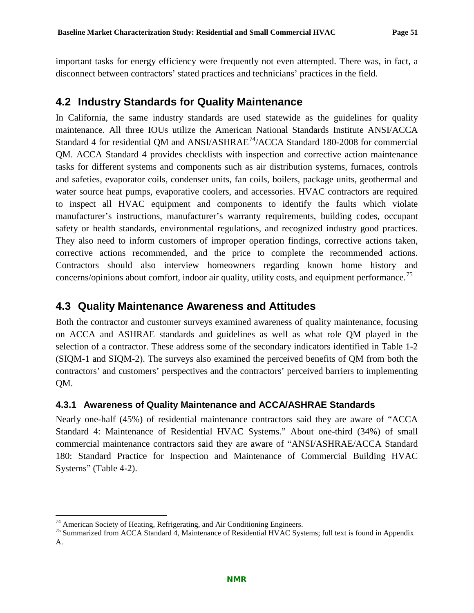important tasks for energy efficiency were frequently not even attempted. There was, in fact, a disconnect between contractors' stated practices and technicians' practices in the field.

## **4.2 Industry Standards for Quality Maintenance**

In California, the same industry standards are used statewide as the guidelines for quality maintenance. All three IOUs utilize the American National Standards Institute ANSI/ACCA Standard 4 for residential OM and  $ANSI/ASHRAE^{74}/ACCA$  $ANSI/ASHRAE^{74}/ACCA$  $ANSI/ASHRAE^{74}/ACCA$  Standard 180-2008 for commercial QM. ACCA Standard 4 provides checklists with inspection and corrective action maintenance tasks for different systems and components such as air distribution systems, furnaces, controls and safeties, evaporator coils, condenser units, fan coils, boilers, package units, geothermal and water source heat pumps, evaporative coolers, and accessories. HVAC contractors are required to inspect all HVAC equipment and components to identify the faults which violate manufacturer's instructions, manufacturer's warranty requirements, building codes, occupant safety or health standards, environmental regulations, and recognized industry good practices. They also need to inform customers of improper operation findings, corrective actions taken, corrective actions recommended, and the price to complete the recommended actions. Contractors should also interview homeowners regarding known home history and concerns/opinions about comfort, indoor air quality, utility costs, and equipment performance.<sup>[75](#page-54-1)</sup>

## **4.3 Quality Maintenance Awareness and Attitudes**

Both the contractor and customer surveys examined awareness of quality maintenance, focusing on ACCA and ASHRAE standards and guidelines as well as what role QM played in the selection of a contractor. These address some of the secondary indicators identified in [Table 1-2](#page-14-0) (SIQM-1 and SIQM-2). The surveys also examined the perceived benefits of QM from both the contractors' and customers' perspectives and the contractors' perceived barriers to implementing QM.

### <span id="page-54-2"></span>**4.3.1 Awareness of Quality Maintenance and ACCA/ASHRAE Standards**

Nearly one-half (45%) of residential maintenance contractors said they are aware of "ACCA Standard 4: Maintenance of Residential HVAC Systems." About one-third (34%) of small commercial maintenance contractors said they are aware of "ANSI/ASHRAE/ACCA Standard 180: Standard Practice for Inspection and Maintenance of Commercial Building HVAC Systems" [\(Table 4-2\)](#page-55-0).

<span id="page-54-1"></span><span id="page-54-0"></span><sup>&</sup>lt;sup>74</sup> American Society of Heating, Refrigerating, and Air Conditioning Engineers.<br><sup>75</sup> Summarized from ACCA Standard 4, Maintenance of Residential HVAC Systems; full text is found in Appendix A.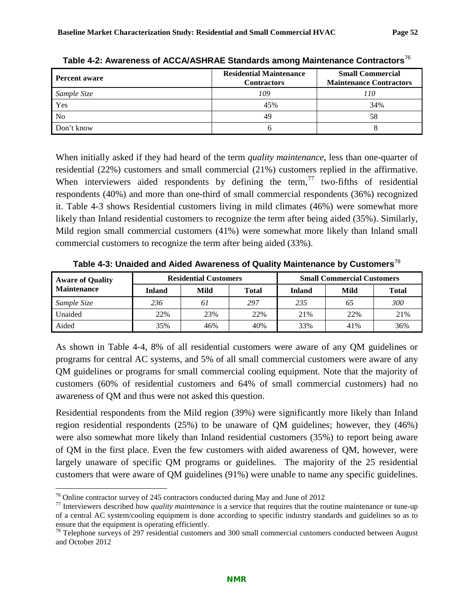| <b>Percent aware</b> | <b>Residential Maintenance</b><br><b>Contractors</b> | <b>Small Commercial</b><br><b>Maintenance Contractors</b> |  |
|----------------------|------------------------------------------------------|-----------------------------------------------------------|--|
| Sample Size          | 109                                                  | 110                                                       |  |
| Yes                  | 45%                                                  | 34%                                                       |  |
| N <sub>o</sub>       | 49                                                   | 58                                                        |  |
| Don't know           |                                                      |                                                           |  |

<span id="page-55-0"></span>**Table 4-2: Awareness of ACCA/ASHRAE Standards among Maintenance Contractors**[76](#page-55-2)

When initially asked if they had heard of the term *quality maintenance*, less than one-quarter of residential (22%) customers and small commercial (21%) customers replied in the affirmative. When interviewers aided respondents by defining the term,  $\frac{7}{7}$  two-fifths of residential respondents (40%) and more than one-third of small commercial respondents (36%) recognized it. [Table 4-3](#page-55-1) shows Residential customers living in mild climates (46%) were somewhat more likely than Inland residential customers to recognize the term after being aided (35%). Similarly, Mild region small commercial customers (41%) were somewhat more likely than Inland small commercial customers to recognize the term after being aided (33%).

<span id="page-55-1"></span>

| <b>Aware of Quality</b> |               | <b>Residential Customers</b> |       | <b>Small Commercial Customers</b> |      |       |  |
|-------------------------|---------------|------------------------------|-------|-----------------------------------|------|-------|--|
| <b>Maintenance</b>      | <b>Inland</b> | Mild                         | Total | Inland                            | Mild | Total |  |
| Sample Size             | 236           | 61                           | 297   | 235                               | 65   | 300   |  |
| Unaided                 | 22%           | 23%                          | 22%   | 21%                               | 22%  | 21%   |  |
| Aided                   | 35%           | 46%                          | 40%   | 33%                               | 41%  | 36%   |  |

**Table 4-3: Unaided and Aided Awareness of Quality Maintenance by Customers**[78](#page-55-4)

As shown in [Table 4-4,](#page-56-0) 8% of all residential customers were aware of any QM guidelines or programs for central AC systems, and 5% of all small commercial customers were aware of any QM guidelines or programs for small commercial cooling equipment. Note that the majority of customers (60% of residential customers and 64% of small commercial customers) had no awareness of QM and thus were not asked this question.

Residential respondents from the Mild region (39%) were significantly more likely than Inland region residential respondents (25%) to be unaware of QM guidelines; however, they (46%) were also somewhat more likely than Inland residential customers (35%) to report being aware of QM in the first place. Even the few customers with aided awareness of QM, however, were largely unaware of specific QM programs or guidelines. The majority of the 25 residential customers that were aware of QM guidelines (91%) were unable to name any specific guidelines.

<span id="page-55-3"></span><span id="page-55-2"></span><sup>&</sup>lt;sup>76</sup> Online contractor survey of 245 contractors conducted during May and June of 2012<br><sup>77</sup> Interviewers described how *quality maintenance* is a service that requires that the routine maintenance or tune-up of a central AC system/cooling equipment is done according to specific industry standards and guidelines so as to

<span id="page-55-4"></span> $^{78}$  Telephone surveys of 297 residential customers and 300 small commercial customers conducted between August and October 2012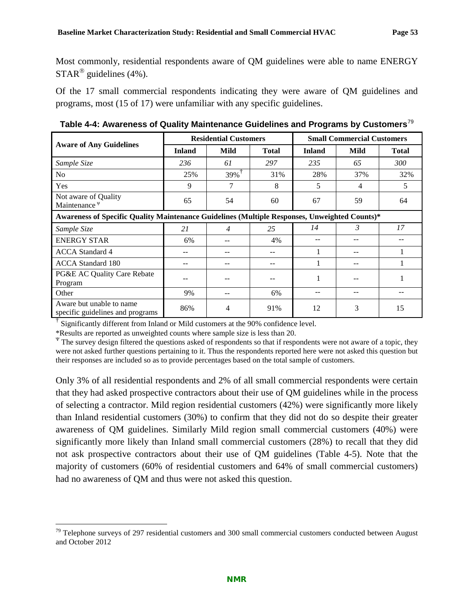Most commonly, residential respondents aware of QM guidelines were able to name ENERGY  $STAR^{\circledR}$  guidelines (4%).

Of the 17 small commercial respondents indicating they were aware of QM guidelines and programs, most (15 of 17) were unfamiliar with any specific guidelines.

|                                                                                               |               | <b>Residential Customers</b> |              | <b>Small Commercial Customers</b> |      |              |  |
|-----------------------------------------------------------------------------------------------|---------------|------------------------------|--------------|-----------------------------------|------|--------------|--|
| <b>Aware of Any Guidelines</b>                                                                | <b>Inland</b> | <b>Mild</b>                  | <b>Total</b> | <b>Inland</b>                     | Mild | <b>Total</b> |  |
| Sample Size                                                                                   | 236           | 61                           | 297          | 235                               | 65   | 300          |  |
| N <sub>o</sub>                                                                                | 25%           | 39%                          | 31%          | 28%                               | 37%  | 32%          |  |
| Yes                                                                                           | 9             |                              | 8            | 5                                 | 4    | 5            |  |
| Not aware of Quality<br>Maintenance $\Psi$                                                    | 65            | 54                           | 60           | 67                                | 59   | 64           |  |
| Awareness of Specific Quality Maintenance Guidelines (Multiple Responses, Unweighted Counts)* |               |                              |              |                                   |      |              |  |
| Sample Size                                                                                   | 21            | 4                            | 25           | 14                                | 3    | 17           |  |
| <b>ENERGY STAR</b>                                                                            | 6%            |                              | 4%           |                                   |      |              |  |
| <b>ACCA</b> Standard 4                                                                        | --            |                              | --           |                                   |      |              |  |
| <b>ACCA</b> Standard 180                                                                      |               |                              |              |                                   |      |              |  |
| PG&E AC Quality Care Rebate<br>Program                                                        |               |                              |              |                                   |      |              |  |
| Other                                                                                         | 9%            |                              | 6%           |                                   | --   |              |  |
| Aware but unable to name<br>specific guidelines and programs                                  | 86%           | 4                            | 91%          | 12                                | 3    | 15           |  |

<span id="page-56-0"></span>**Table 4-4: Awareness of Quality Maintenance Guidelines and Programs by Customers**[79](#page-56-1)

† Significantly different from Inland or Mild customers at the 90% confidence level.

\*Results are reported as unweighted counts where sample size is less than 20.

<sup>Ψ</sup> The survey design filtered the questions asked of respondents so that if respondents were not aware of a topic, they were not asked further questions pertaining to it. Thus the respondents reported here were not asked this question but their responses are included so as to provide percentages based on the total sample of customers.

Only 3% of all residential respondents and 2% of all small commercial respondents were certain that they had asked prospective contractors about their use of QM guidelines while in the process of selecting a contractor. Mild region residential customers (42%) were significantly more likely than Inland residential customers (30%) to confirm that they did not do so despite their greater awareness of QM guidelines. Similarly Mild region small commercial customers (40%) were significantly more likely than Inland small commercial customers (28%) to recall that they did not ask prospective contractors about their use of QM guidelines [\(Table 4-5\)](#page-57-0). Note that the majority of customers (60% of residential customers and 64% of small commercial customers) had no awareness of QM and thus were not asked this question.

<span id="page-56-1"></span> $79$  Telephone surveys of 297 residential customers and 300 small commercial customers conducted between August and October 2012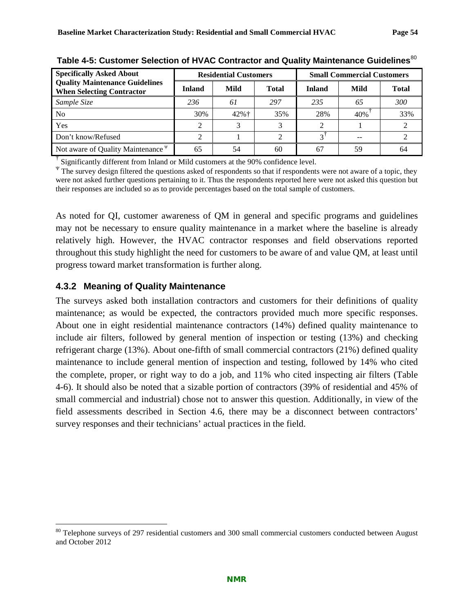| <b>Specifically Asked About</b>                                           |               | <b>Residential Customers</b> |              | <b>Small Commercial Customers</b> |      |              |
|---------------------------------------------------------------------------|---------------|------------------------------|--------------|-----------------------------------|------|--------------|
| <b>Quality Maintenance Guidelines</b><br><b>When Selecting Contractor</b> | <b>Inland</b> | <b>Mild</b>                  | <b>Total</b> | <b>Inland</b>                     | Mild | <b>Total</b> |
| Sample Size                                                               | 236           | 61                           | 297          | 235                               | 65   | 300          |
| N <sub>0</sub>                                                            | 30%           | $42%$ †                      | 35%          | 28%                               | 40%  | 33%          |
| Yes                                                                       |               |                              |              |                                   |      |              |
| Don't know/Refused                                                        |               |                              |              | $\mathbf{\overline{3}}$           | --   |              |
| Not aware of Quality Maintenance $\Psi$                                   | 65            | 54                           | 60           | 67                                | 59   | 64           |

<span id="page-57-0"></span>Table 4-5: Customer Selection of HVAC Contractor and Quality Maintenance Guidelines<sup>[80](#page-57-1)</sup>

 $\dagger$  Significantly different from Inland or Mild customers at the 90% confidence level.

<sup>Ψ</sup> The survey design filtered the questions asked of respondents so that if respondents were not aware of a topic, they were not asked further questions pertaining to it. Thus the respondents reported here were not asked this question but their responses are included so as to provide percentages based on the total sample of customers.

As noted for QI, customer awareness of QM in general and specific programs and guidelines may not be necessary to ensure quality maintenance in a market where the baseline is already relatively high. However, the HVAC contractor responses and field observations reported throughout this study highlight the need for customers to be aware of and value QM, at least until progress toward market transformation is further along.

### **4.3.2 Meaning of Quality Maintenance**

The surveys asked both installation contractors and customers for their definitions of quality maintenance; as would be expected, the contractors provided much more specific responses. About one in eight residential maintenance contractors (14%) defined quality maintenance to include air filters, followed by general mention of inspection or testing (13%) and checking refrigerant charge (13%). About one-fifth of small commercial contractors (21%) defined quality maintenance to include general mention of inspection and testing, followed by 14% who cited the complete, proper, or right way to do a job, and 11% who cited inspecting air filters [\(Table](#page-58-0)  [4-6\)](#page-58-0). It should also be noted that a sizable portion of contractors (39% of residential and 45% of small commercial and industrial) chose not to answer this question. Additionally, in view of the field assessments described in Section [4.6,](#page-76-0) there may be a disconnect between contractors' survey responses and their technicians' actual practices in the field.

<span id="page-57-1"></span><sup>&</sup>lt;sup>80</sup> Telephone surveys of 297 residential customers and 300 small commercial customers conducted between August and October 2012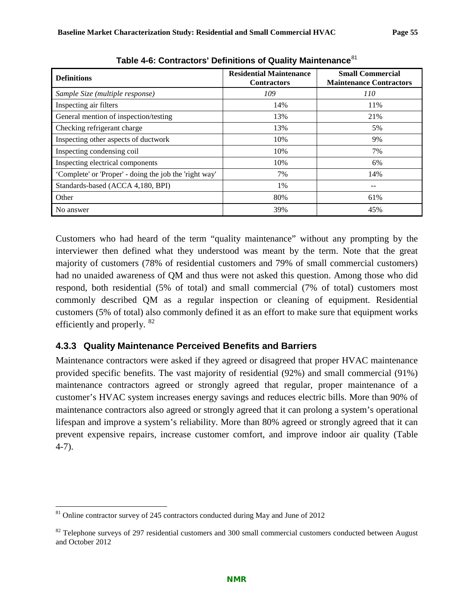<span id="page-58-0"></span>

| <b>Definitions</b>                                     | <b>Residential Maintenance</b><br><b>Contractors</b> | <b>Small Commercial</b><br><b>Maintenance Contractors</b> |  |
|--------------------------------------------------------|------------------------------------------------------|-----------------------------------------------------------|--|
| Sample Size (multiple response)                        | 109                                                  | 110                                                       |  |
| Inspecting air filters                                 | 14%                                                  | 11%                                                       |  |
| General mention of inspection/testing                  | 13%                                                  | 21%                                                       |  |
| Checking refrigerant charge                            | 13%                                                  | 5%                                                        |  |
| Inspecting other aspects of ductwork                   | 10%                                                  | 9%                                                        |  |
| Inspecting condensing coil                             | 10%                                                  | 7%                                                        |  |
| Inspecting electrical components                       | 10%                                                  | 6%                                                        |  |
| 'Complete' or 'Proper' - doing the job the 'right way' | 7%                                                   | 14%                                                       |  |
| Standards-based (ACCA 4,180, BPI)                      | 1%                                                   |                                                           |  |
| Other                                                  | 80%                                                  | 61%                                                       |  |
| No answer                                              | 39%                                                  | 45%                                                       |  |

**Table 4-6: Contractors' Definitions of Quality Maintenance**[81](#page-58-1)

Customers who had heard of the term "quality maintenance" without any prompting by the interviewer then defined what they understood was meant by the term. Note that the great majority of customers (78% of residential customers and 79% of small commercial customers) had no unaided awareness of QM and thus were not asked this question. Among those who did respond, both residential (5% of total) and small commercial (7% of total) customers most commonly described QM as a regular inspection or cleaning of equipment. Residential customers (5% of total) also commonly defined it as an effort to make sure that equipment works efficiently and properly. [82](#page-58-2)

### **4.3.3 Quality Maintenance Perceived Benefits and Barriers**

Maintenance contractors were asked if they agreed or disagreed that proper HVAC maintenance provided specific benefits. The vast majority of residential (92%) and small commercial (91%) maintenance contractors agreed or strongly agreed that regular, proper maintenance of a customer's HVAC system increases energy savings and reduces electric bills. More than 90% of maintenance contractors also agreed or strongly agreed that it can prolong a system's operational lifespan and improve a system's reliability. More than 80% agreed or strongly agreed that it can prevent expensive repairs, increase customer comfort, and improve indoor air quality [\(Table](#page-59-0)  [4-7\)](#page-59-0).

<span id="page-58-1"></span><sup>&</sup>lt;sup>81</sup> Online contractor survey of 245 contractors conducted during May and June of 2012

<span id="page-58-2"></span> $82$  Telephone surveys of 297 residential customers and 300 small commercial customers conducted between August and October 2012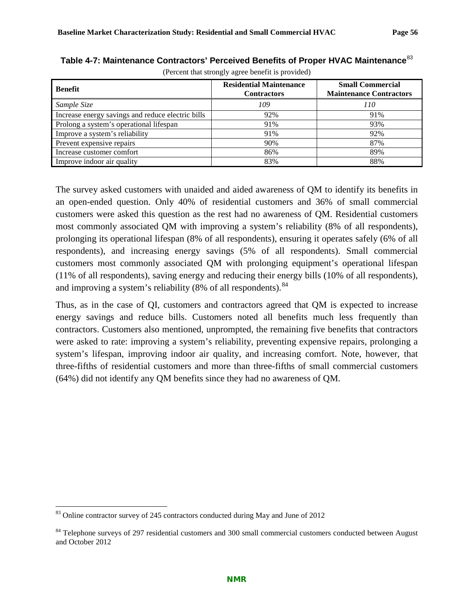| Benefit                                           | <b>Residential Maintenance</b><br><b>Contractors</b> | <b>Small Commercial</b><br><b>Maintenance Contractors</b> |  |
|---------------------------------------------------|------------------------------------------------------|-----------------------------------------------------------|--|
| Sample Size                                       | 109                                                  | 110                                                       |  |
| Increase energy savings and reduce electric bills | 92%                                                  | 91%                                                       |  |
| Prolong a system's operational lifespan           | 91%                                                  | 93%                                                       |  |
| Improve a system's reliability                    | 91%                                                  | 92%                                                       |  |
| Prevent expensive repairs                         | 90%                                                  | 87%                                                       |  |
| Increase customer comfort                         | 86%                                                  | 89%                                                       |  |
| Improve indoor air quality                        | 83%                                                  | 88%                                                       |  |

<span id="page-59-0"></span>**Table 4-7: Maintenance Contractors' Perceived Benefits of Proper HVAC Maintenance**[83](#page-59-1)

(Percent that strongly agree benefit is provided)

The survey asked customers with unaided and aided awareness of QM to identify its benefits in an open-ended question. Only 40% of residential customers and 36% of small commercial customers were asked this question as the rest had no awareness of QM. Residential customers most commonly associated QM with improving a system's reliability (8% of all respondents), prolonging its operational lifespan (8% of all respondents), ensuring it operates safely (6% of all respondents), and increasing energy savings (5% of all respondents). Small commercial customers most commonly associated QM with prolonging equipment's operational lifespan (11% of all respondents), saving energy and reducing their energy bills (10% of all respondents), and improving a system's reliability  $(8\% \text{ of all respondents})$ .<sup>[84](#page-59-2)</sup>

Thus, as in the case of QI, customers and contractors agreed that QM is expected to increase energy savings and reduce bills. Customers noted all benefits much less frequently than contractors. Customers also mentioned, unprompted, the remaining five benefits that contractors were asked to rate: improving a system's reliability, preventing expensive repairs, prolonging a system's lifespan, improving indoor air quality, and increasing comfort. Note, however, that three-fifths of residential customers and more than three-fifths of small commercial customers (64%) did not identify any QM benefits since they had no awareness of QM.

<span id="page-59-1"></span><sup>&</sup>lt;sup>83</sup> Online contractor survey of 245 contractors conducted during May and June of 2012

<span id="page-59-2"></span><sup>&</sup>lt;sup>84</sup> Telephone surveys of 297 residential customers and 300 small commercial customers conducted between August and October 2012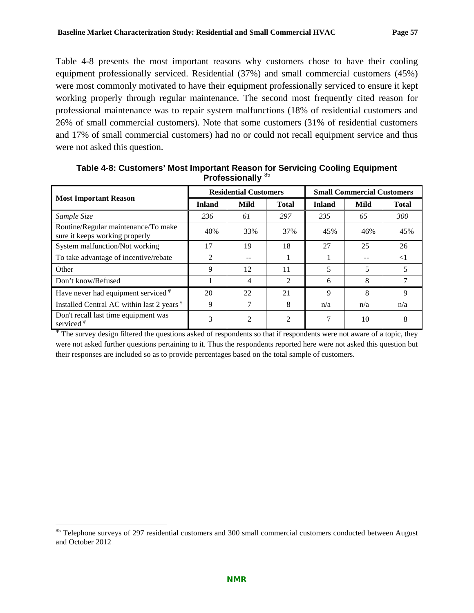[Table 4-8](#page-60-0) presents the most important reasons why customers chose to have their cooling equipment professionally serviced. Residential (37%) and small commercial customers (45%) were most commonly motivated to have their equipment professionally serviced to ensure it kept working properly through regular maintenance. The second most frequently cited reason for professional maintenance was to repair system malfunctions (18% of residential customers and 26% of small commercial customers). Note that some customers (31% of residential customers and 17% of small commercial customers) had no or could not recall equipment service and thus were not asked this question.

|                                                                       |               | <b>Residential Customers</b> |                | <b>Small Commercial Customers</b> |      |              |  |
|-----------------------------------------------------------------------|---------------|------------------------------|----------------|-----------------------------------|------|--------------|--|
| <b>Most Important Reason</b>                                          | <b>Inland</b> | <b>Mild</b>                  | <b>Total</b>   | <b>Inland</b>                     | Mild | <b>Total</b> |  |
| Sample Size                                                           | 236           | 61                           | 297            | 235                               | 65   | <i>300</i>   |  |
| Routine/Regular maintenance/To make<br>sure it keeps working properly | 40%           | 33%                          | 37%            | 45%                               | 46%  | 45%          |  |
| System malfunction/Not working                                        | 17            | 19                           | 18             | 27                                | 25   | 26           |  |
| To take advantage of incentive/rebate                                 | $\mathcal{L}$ |                              |                |                                   |      | $<$ 1        |  |
| Other                                                                 | 9             | 12                           | 11             | 5                                 | 5    | 5            |  |
| Don't know/Refused                                                    |               | 4                            | $\mathfrak{D}$ | 6                                 | 8    |              |  |
| Have never had equipment serviced $\Psi$                              | 20            | 22                           | 21             | 9                                 | 8    | 9            |  |
| Installed Central AC within last 2 years $\Psi$                       | 9             |                              | 8              | n/a                               | n/a  | n/a          |  |
| Don't recall last time equipment was<br>serviced $\Psi$               | 3             | $\mathfrak{D}$               | 2              |                                   | 10   | 8            |  |

<span id="page-60-0"></span>**Table 4-8: Customers' Most Important Reason for Servicing Cooling Equipment Professionally** [85](#page-60-1)

The survey design filtered the questions asked of respondents so that if respondents were not aware of a topic, they were not asked further questions pertaining to it. Thus the respondents reported here were not asked this question but their responses are included so as to provide percentages based on the total sample of customers.

<span id="page-60-1"></span><sup>&</sup>lt;sup>85</sup> Telephone surveys of 297 residential customers and 300 small commercial customers conducted between August and October 2012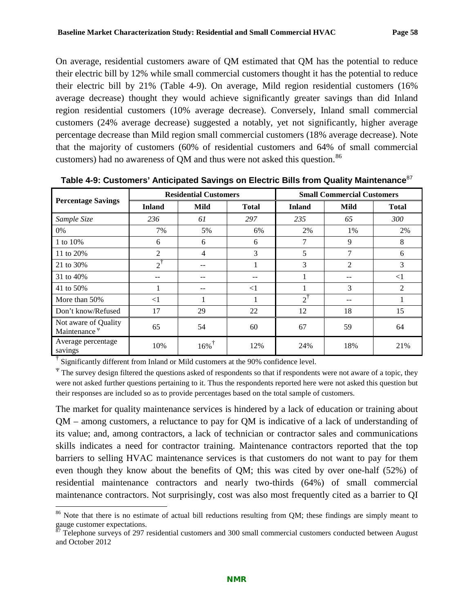On average, residential customers aware of QM estimated that QM has the potential to reduce their electric bill by 12% while small commercial customers thought it has the potential to reduce their electric bill by 21% [\(Table 4-9\)](#page-61-0). On average, Mild region residential customers (16% average decrease) thought they would achieve significantly greater savings than did Inland region residential customers (10% average decrease). Conversely, Inland small commercial customers (24% average decrease) suggested a notably, yet not significantly, higher average percentage decrease than Mild region small commercial customers (18% average decrease). Note that the majority of customers (60% of residential customers and 64% of small commercial customers) had no awareness of QM and thus were not asked this question.<sup>[86](#page-61-1)</sup>

|                                                  | <b>Residential Customers</b> |                     |              | <b>Small Commercial Customers</b> |      |              |  |
|--------------------------------------------------|------------------------------|---------------------|--------------|-----------------------------------|------|--------------|--|
| <b>Percentage Savings</b>                        | <b>Inland</b>                | Mild                | <b>Total</b> | <b>Inland</b>                     | Mild | <b>Total</b> |  |
| Sample Size                                      | 236                          | 61                  | 297          | 235                               | 65   | 300          |  |
| $0\%$                                            | 7%                           | 5%                  | 6%           | 2%                                | 1%   | 2%           |  |
| 1 to 10%                                         | 6                            | 6                   | 6            | 7                                 | 9    | 8            |  |
| 11 to 20%                                        | $\mathfrak{D}$               | 4                   | 3            | 5                                 | 7    | 6            |  |
| 21 to 30%                                        | $2^1$                        | $- -$               |              | 3                                 | 2    | 3            |  |
| 31 to 40%                                        | --                           | --                  |              |                                   |      | $\leq$ 1     |  |
| 41 to 50%                                        |                              | --                  | $\leq$ 1     |                                   | 3    | 2            |  |
| More than 50%                                    | $\leq$ 1                     |                     |              | $\mathcal{D}^{\dagger}$           | --   |              |  |
| Don't know/Refused                               | 17                           | 29                  | 22           | 12                                | 18   | 15           |  |
| Not aware of Quality<br>Maintenance <sup>y</sup> | 65                           | 54                  | 60           | 67                                | 59   | 64           |  |
| Average percentage<br>savings                    | 10%                          | $16\%$ <sup>T</sup> | 12%          | 24%                               | 18%  | 21%          |  |

<span id="page-61-0"></span>**Table 4-9: Customers' Anticipated Savings on Electric Bills from Quality Maintenance**[87](#page-61-2)

<sup>†</sup> Significantly different from Inland or Mild customers at the 90% confidence level.

 $\Psi$  The survey design filtered the questions asked of respondents so that if respondents were not aware of a topic, they were not asked further questions pertaining to it. Thus the respondents reported here were not asked this question but their responses are included so as to provide percentages based on the total sample of customers.

The market for quality maintenance services is hindered by a lack of education or training about QM – among customers, a reluctance to pay for QM is indicative of a lack of understanding of its value; and, among contractors, a lack of technician or contractor sales and communications skills indicates a need for contractor training. Maintenance contractors reported that the top barriers to selling HVAC maintenance services is that customers do not want to pay for them even though they know about the benefits of QM; this was cited by over one-half (52%) of residential maintenance contractors and nearly two-thirds (64%) of small commercial maintenance contractors. Not surprisingly, cost was also most frequently cited as a barrier to QI

<span id="page-61-1"></span><sup>&</sup>lt;sup>86</sup> Note that there is no estimate of actual bill reductions resulting from OM; these findings are simply meant to gauge customer expectations.

<span id="page-61-2"></span><sup>87</sup> Telephone surveys of 297 residential customers and 300 small commercial customers conducted between August and October 2012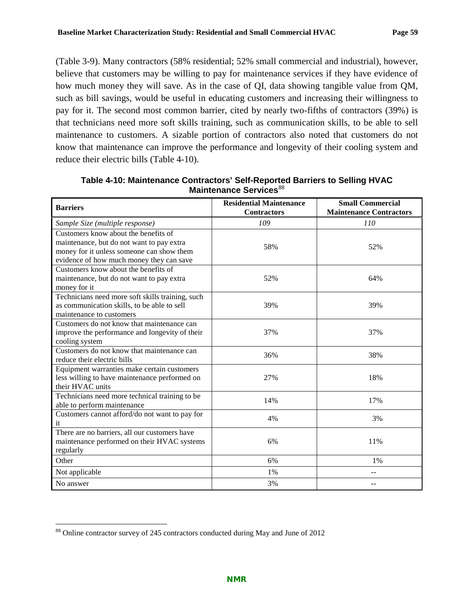[\(Table 3-9\)](#page-35-0). Many contractors (58% residential; 52% small commercial and industrial), however, believe that customers may be willing to pay for maintenance services if they have evidence of how much money they will save. As in the case of QI, data showing tangible value from QM, such as bill savings, would be useful in educating customers and increasing their willingness to pay for it. The second most common barrier, cited by nearly two-fifths of contractors (39%) is that technicians need more soft skills training, such as communication skills, to be able to sell maintenance to customers. A sizable portion of contractors also noted that customers do not know that maintenance can improve the performance and longevity of their cooling system and reduce their electric bills [\(Table 4-10\)](#page-62-0).

| <b>Barriers</b>                                              | <b>Residential Maintenance</b><br><b>Contractors</b> | <b>Small Commercial</b><br><b>Maintenance Contractors</b> |
|--------------------------------------------------------------|------------------------------------------------------|-----------------------------------------------------------|
| Sample Size (multiple response)                              | 109                                                  | 110                                                       |
| Customers know about the benefits of                         |                                                      |                                                           |
| maintenance, but do not want to pay extra                    | 58%                                                  | 52%                                                       |
| money for it unless someone can show them                    |                                                      |                                                           |
| evidence of how much money they can save                     |                                                      |                                                           |
| Customers know about the benefits of                         |                                                      |                                                           |
| maintenance, but do not want to pay extra                    | 52%                                                  | 64%                                                       |
| money for it                                                 |                                                      |                                                           |
| Technicians need more soft skills training, such             |                                                      |                                                           |
| as communication skills, to be able to sell                  | 39%                                                  | 39%                                                       |
| maintenance to customers                                     |                                                      |                                                           |
| Customers do not know that maintenance can                   |                                                      |                                                           |
| improve the performance and longevity of their               | 37%                                                  | 37%                                                       |
| cooling system<br>Customers do not know that maintenance can |                                                      |                                                           |
| reduce their electric bills                                  | 36%                                                  | 38%                                                       |
| Equipment warranties make certain customers                  |                                                      |                                                           |
| less willing to have maintenance performed on                | 27%                                                  | 18%                                                       |
| their HVAC units                                             |                                                      |                                                           |
| Technicians need more technical training to be               |                                                      |                                                           |
| able to perform maintenance                                  | 14%                                                  | 17%                                                       |
| Customers cannot afford/do not want to pay for               | 4%                                                   | 3%                                                        |
| it                                                           |                                                      |                                                           |
| There are no barriers, all our customers have                |                                                      |                                                           |
| maintenance performed on their HVAC systems                  | 6%                                                   | 11%                                                       |
| regularly                                                    |                                                      |                                                           |
| Other                                                        | 6%                                                   | 1%                                                        |
| Not applicable                                               | 1%                                                   |                                                           |
| No answer                                                    | 3%                                                   |                                                           |

<span id="page-62-0"></span>**Table 4-10: Maintenance Contractors' Self-Reported Barriers to Selling HVAC Maintenance Services**<sup>[88](#page-62-1)</sup>

<span id="page-62-1"></span> <sup>88</sup> Online contractor survey of 245 contractors conducted during May and June of 2012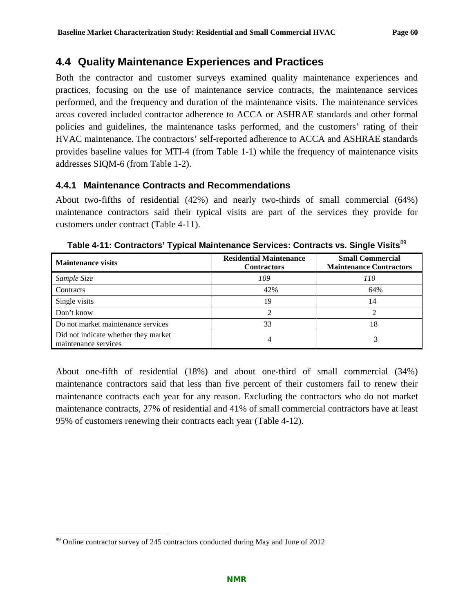### **4.4 Quality Maintenance Experiences and Practices**

Both the contractor and customer surveys examined quality maintenance experiences and practices, focusing on the use of maintenance service contracts, the maintenance services performed, and the frequency and duration of the maintenance visits. The maintenance services areas covered included contractor adherence to ACCA or ASHRAE standards and other formal policies and guidelines, the maintenance tasks performed, and the customers' rating of their HVAC maintenance. The contractors' self-reported adherence to ACCA and ASHRAE standards provides baseline values for MTI-4 (from [Table 1-1\)](#page-14-1) while the frequency of maintenance visits addresses SIQM-6 (from [Table 1-2\)](#page-14-0).

#### **4.4.1 Maintenance Contracts and Recommendations**

About two-fifths of residential (42%) and nearly two-thirds of small commercial (64%) maintenance contractors said their typical visits are part of the services they provide for customers under contract [\(Table 4-11\)](#page-63-0).

| <b>Maintenance visits</b>                                    | <b>Residential Maintenance</b><br><b>Contractors</b> | <b>Small Commercial</b><br><b>Maintenance Contractors</b> |
|--------------------------------------------------------------|------------------------------------------------------|-----------------------------------------------------------|
| Sample Size                                                  | 109                                                  | 110                                                       |
| Contracts                                                    | 42%                                                  | 64%                                                       |
| Single visits                                                | 19                                                   | 14                                                        |
| Don't know                                                   | ∍                                                    |                                                           |
| Do not market maintenance services                           | 33                                                   | 18                                                        |
| Did not indicate whether they market<br>maintenance services |                                                      |                                                           |

<span id="page-63-0"></span>**Table 4-11: Contractors' Typical Maintenance Services: Contracts vs. Single Visits**[89](#page-63-1)

About one-fifth of residential (18%) and about one-third of small commercial (34%) maintenance contractors said that less than five percent of their customers fail to renew their maintenance contracts each year for any reason. Excluding the contractors who do not market maintenance contracts, 27% of residential and 41% of small commercial contractors have at least 95% of customers renewing their contracts each year [\(Table 4-12\)](#page-64-0).

<span id="page-63-1"></span> <sup>89</sup> Online contractor survey of 245 contractors conducted during May and June of 2012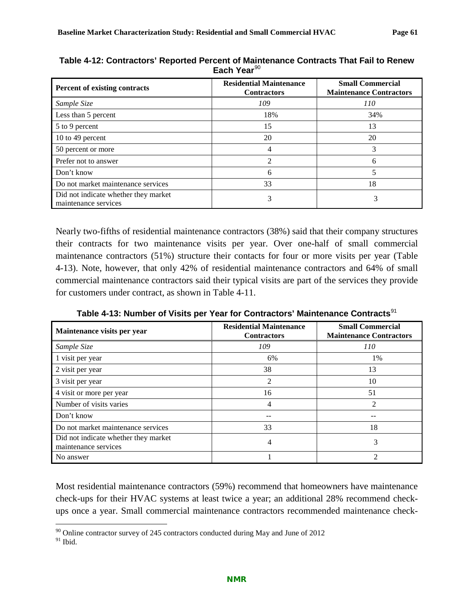| Percent of existing contracts                                | <b>Residential Maintenance</b><br><b>Contractors</b> | <b>Small Commercial</b><br><b>Maintenance Contractors</b> |
|--------------------------------------------------------------|------------------------------------------------------|-----------------------------------------------------------|
| Sample Size                                                  | 109                                                  | 110                                                       |
| Less than 5 percent                                          | 18%                                                  | 34%                                                       |
| 5 to 9 percent                                               | 15                                                   | 13                                                        |
| 10 to 49 percent                                             | 20                                                   | 20                                                        |
| 50 percent or more                                           |                                                      |                                                           |
| Prefer not to answer                                         | 2                                                    | 6                                                         |
| Don't know                                                   | 6                                                    |                                                           |
| Do not market maintenance services                           | 33                                                   | 18                                                        |
| Did not indicate whether they market<br>maintenance services |                                                      | 3                                                         |

<span id="page-64-0"></span>**Table 4-12: Contractors' Reported Percent of Maintenance Contracts That Fail to Renew Each Year**[90](#page-64-2)

Nearly two-fifths of residential maintenance contractors (38%) said that their company structures their contracts for two maintenance visits per year. Over one-half of small commercial maintenance contractors (51%) structure their contacts for four or more visits per year [\(Table](#page-64-1)  [4-13\)](#page-64-1). Note, however, that only 42% of residential maintenance contractors and 64% of small commercial maintenance contractors said their typical visits are part of the services they provide for customers under contract, as shown in [Table 4-11.](#page-63-0)

<span id="page-64-1"></span>

| Maintenance visits per year                                  | <b>Residential Maintenance</b><br><b>Contractors</b> | <b>Small Commercial</b><br><b>Maintenance Contractors</b> |
|--------------------------------------------------------------|------------------------------------------------------|-----------------------------------------------------------|
| Sample Size                                                  | 109                                                  | <i>110</i>                                                |
| 1 visit per year                                             | 6%                                                   | 1%                                                        |
| 2 visit per year                                             | 38                                                   | 13                                                        |
| 3 visit per year                                             | 2                                                    | 10                                                        |
| 4 visit or more per year                                     | 16                                                   | 51                                                        |
| Number of visits varies                                      | 4                                                    | $\mathcal{D}_{\mathcal{L}}$                               |
| Don't know                                                   |                                                      |                                                           |
| Do not market maintenance services                           | 33                                                   | 18                                                        |
| Did not indicate whether they market<br>maintenance services |                                                      | 3                                                         |
| No answer                                                    |                                                      | っ                                                         |

**Table 4-13: Number of Visits per Year for Contractors' Maintenance Contracts**[91](#page-64-3)

Most residential maintenance contractors (59%) recommend that homeowners have maintenance check-ups for their HVAC systems at least twice a year; an additional 28% recommend checkups once a year. Small commercial maintenance contractors recommended maintenance check-

<span id="page-64-2"></span> $90$  Online contractor survey of 245 contractors conducted during May and June of 2012

<span id="page-64-3"></span> $91$  Ibid.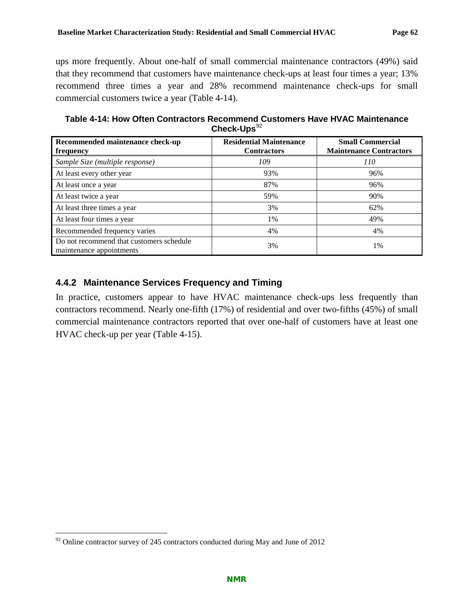ups more frequently. About one-half of small commercial maintenance contractors (49%) said that they recommend that customers have maintenance check-ups at least four times a year; 13% recommend three times a year and 28% recommend maintenance check-ups for small commercial customers twice a year [\(Table 4-14\)](#page-65-0).

<span id="page-65-0"></span>**Table 4-14: How Often Contractors Recommend Customers Have HVAC Maintenance**  Check-Ups<sup>[92](#page-65-1)</sup>

| Recommended maintenance check-up<br>frequency                        | <b>Residential Maintenance</b><br><b>Contractors</b> | <b>Small Commercial</b><br><b>Maintenance Contractors</b> |
|----------------------------------------------------------------------|------------------------------------------------------|-----------------------------------------------------------|
| Sample Size (multiple response)                                      | 109                                                  | 110                                                       |
| At least every other year                                            | 93%                                                  | 96%                                                       |
| At least once a year                                                 | 87%                                                  | 96%                                                       |
| At least twice a year                                                | 59%                                                  | 90%                                                       |
| At least three times a year                                          | 3%                                                   | 62%                                                       |
| At least four times a year                                           | 1%                                                   | 49%                                                       |
| Recommended frequency varies                                         | 4%                                                   | 4%                                                        |
| Do not recommend that customers schedule<br>maintenance appointments | 3%                                                   | 1%                                                        |

### **4.4.2 Maintenance Services Frequency and Timing**

In practice, customers appear to have HVAC maintenance check-ups less frequently than contractors recommend. Nearly one-fifth (17%) of residential and over two-fifths (45%) of small commercial maintenance contractors reported that over one-half of customers have at least one HVAC check-up per year [\(Table 4-15\)](#page-66-0).

<span id="page-65-1"></span> $92$  Online contractor survey of 245 contractors conducted during May and June of 2012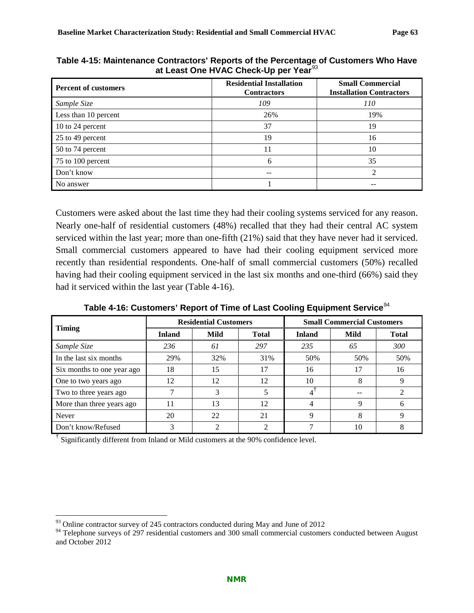| <b>Percent of customers</b> | <b>Residential Installation</b><br><b>Contractors</b> | <b>Small Commercial</b><br><b>Installation Contractors</b> |
|-----------------------------|-------------------------------------------------------|------------------------------------------------------------|
| Sample Size                 | 109                                                   | 110                                                        |
| Less than 10 percent        | 26%                                                   | 19%                                                        |
| 10 to 24 percent            | 37                                                    | 19                                                         |
| 25 to 49 percent            | 19                                                    | 16                                                         |
| 50 to 74 percent            | 11                                                    | 10                                                         |
| 75 to 100 percent           | 6                                                     | 35                                                         |
| Don't know                  |                                                       |                                                            |
| No answer                   |                                                       |                                                            |

<span id="page-66-0"></span>**Table 4-15: Maintenance Contractors' Reports of the Percentage of Customers Who Have at Least One HVAC Check-Up per Year**[93](#page-66-2)

Customers were asked about the last time they had their cooling systems serviced for any reason. Nearly one-half of residential customers (48%) recalled that they had their central AC system serviced within the last year; more than one-fifth (21%) said that they have never had it serviced. Small commercial customers appeared to have had their cooling equipment serviced more recently than residential respondents. One-half of small commercial customers (50%) recalled having had their cooling equipment serviced in the last six months and one-third (66%) said they had it serviced within the last year [\(Table 4-16\)](#page-66-1).

Table 4-16: Customers' Report of Time of Last Cooling Equipment Service<sup>[94](#page-66-3)</sup>

<span id="page-66-1"></span>

|                            | <b>Residential Customers</b> |      |              | <b>Small Commercial Customers</b> |      |              |
|----------------------------|------------------------------|------|--------------|-----------------------------------|------|--------------|
| <b>Timing</b>              | <b>Inland</b>                | Mild | <b>Total</b> | <b>Inland</b>                     | Mild | <b>Total</b> |
| Sample Size                | 236                          | 61   | 297          | 235                               | 65   | 300          |
| In the last six months     | 29%                          | 32%  | 31%          | 50%                               | 50%  | 50%          |
| Six months to one year ago | 18                           | 15   | 17           | 16                                | 17   | 16           |
| One to two years ago       | 12                           | 12   | 12           | 10                                | 8    |              |
| Two to three years ago     |                              | 3    |              |                                   | --   |              |
| More than three years ago  | 11                           | 13   | 12           | 4                                 | 9    | h            |
| <b>Never</b>               | 20                           | 22   | 21           | 9                                 | 8    |              |
| Don't know/Refused         | 3                            |      |              |                                   | 10   |              |

<sup>†</sup> Significantly different from Inland or Mild customers at the 90% confidence level.

 $93$  Online contractor survey of 245 contractors conducted during May and June of 2012

<span id="page-66-3"></span><span id="page-66-2"></span><sup>&</sup>lt;sup>94</sup> Telephone surveys of 297 residential customers and 300 small commercial customers conducted between August and October 2012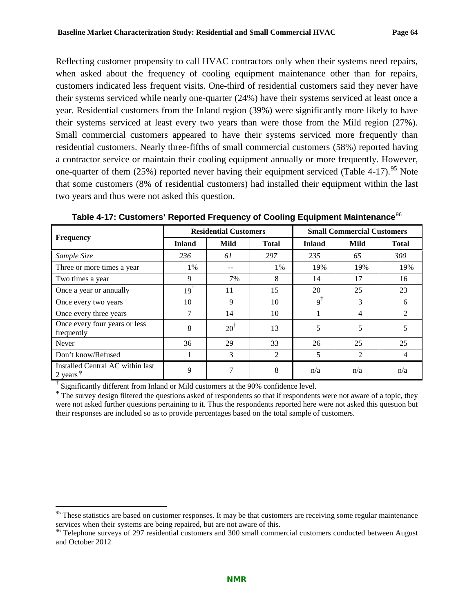Reflecting customer propensity to call HVAC contractors only when their systems need repairs, when asked about the frequency of cooling equipment maintenance other than for repairs, customers indicated less frequent visits. One-third of residential customers said they never have their systems serviced while nearly one-quarter (24%) have their systems serviced at least once a year. Residential customers from the Inland region (39%) were significantly more likely to have their systems serviced at least every two years than were those from the Mild region (27%). Small commercial customers appeared to have their systems serviced more frequently than residential customers. Nearly three-fifths of small commercial customers (58%) reported having a contractor service or maintain their cooling equipment annually or more frequently. However, one-quarter of them  $(25%)$  reported never having their equipment serviced [\(Table 4-17\)](#page-67-0).<sup>[95](#page-67-1)</sup> Note that some customers (8% of residential customers) had installed their equipment within the last two years and thus were not asked this question.

|                                                    | <b>Residential Customers</b> |                |                | <b>Small Commercial Customers</b> |      |                |
|----------------------------------------------------|------------------------------|----------------|----------------|-----------------------------------|------|----------------|
| <b>Frequency</b>                                   | <b>Inland</b>                | Mild           | <b>Total</b>   | <b>Inland</b>                     | Mild | <b>Total</b>   |
| Sample Size                                        | 236                          | 61             | 297            | 235                               | 65   | 300            |
| Three or more times a year                         | 1%                           |                | 1%             | 19%                               | 19%  | 19%            |
| Two times a year                                   | 9                            | 7%             | 8              | 14                                | 17   | 16             |
| Once a year or annually                            | $19^{\dagger}$               | 11             | 15             | 20                                | 25   | 23             |
| Once every two years                               | 10                           | 9              | 10             | $\mathsf{Q}^{\dagger}$            | 3    | 6              |
| Once every three years                             | 7                            | 14             | 10             |                                   | 4    | $\mathfrak{D}$ |
| Once every four years or less<br>frequently        | 8                            | $20^{\dagger}$ | 13             | 5                                 | 5    | 5              |
| Never                                              | 36                           | 29             | 33             | 26                                | 25   | 25             |
| Don't know/Refused                                 |                              | 3              | $\overline{2}$ | 5                                 | 2    | 4              |
| Installed Central AC within last<br>2 years $\Psi$ | 9                            | 7              | 8              | n/a                               | n/a  | n/a            |

<span id="page-67-0"></span>Table 4-17: Customers' Reported Frequency of Cooling Equipment Maintenance<sup>[96](#page-67-2)</sup>

† Significantly different from Inland or Mild customers at the 90% confidence level.

<sup>Ψ</sup> The survey design filtered the questions asked of respondents so that if respondents were not aware of a topic, they were not asked further questions pertaining to it. Thus the respondents reported here were not asked this question but their responses are included so as to provide percentages based on the total sample of customers.

<span id="page-67-1"></span><sup>&</sup>lt;sup>95</sup> These statistics are based on customer responses. It may be that customers are receiving some regular maintenance services when their systems are being repaired, but are not aware of this.

<span id="page-67-2"></span><sup>&</sup>lt;sup>96</sup> Telephone surveys of 297 residential customers and 300 small commercial customers conducted between August and October 2012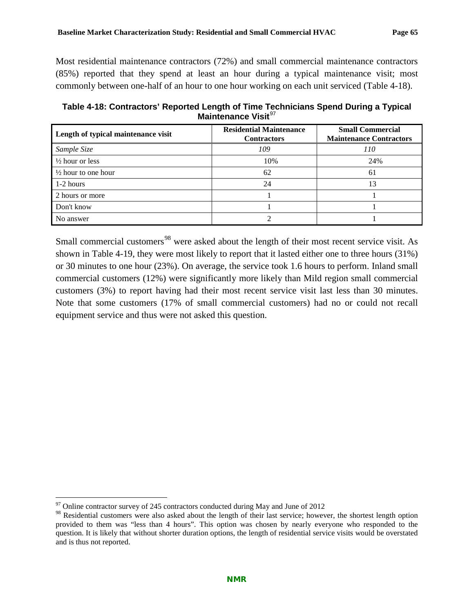Most residential maintenance contractors (72%) and small commercial maintenance contractors (85%) reported that they spend at least an hour during a typical maintenance visit; most commonly between one-half of an hour to one hour working on each unit serviced [\(Table 4-18\)](#page-68-0).

<span id="page-68-0"></span>**Table 4-18: Contractors' Reported Length of Time Technicians Spend During a Typical Maintenance Visit<sup>[97](#page-68-1)</sup>** 

| Length of typical maintenance visit | <b>Residential Maintenance</b><br><b>Contractors</b> | <b>Small Commercial</b><br><b>Maintenance Contractors</b> |
|-------------------------------------|------------------------------------------------------|-----------------------------------------------------------|
| Sample Size                         | 109                                                  | <i>110</i>                                                |
| $\frac{1}{2}$ hour or less          | 10%                                                  | 24%                                                       |
| $\frac{1}{2}$ hour to one hour      | 62                                                   | 61                                                        |
| $1-2$ hours                         | 24                                                   | 13                                                        |
| 2 hours or more                     |                                                      |                                                           |
| Don't know                          |                                                      |                                                           |
| No answer                           |                                                      |                                                           |

Small commercial customers<sup>[98](#page-68-2)</sup> were asked about the length of their most recent service visit. As shown in [Table 4-19,](#page-69-0) they were most likely to report that it lasted either one to three hours (31%) or 30 minutes to one hour (23%). On average, the service took 1.6 hours to perform. Inland small commercial customers (12%) were significantly more likely than Mild region small commercial customers (3%) to report having had their most recent service visit last less than 30 minutes. Note that some customers (17% of small commercial customers) had no or could not recall equipment service and thus were not asked this question.

<span id="page-68-1"></span> $97$  Online contractor survey of 245 contractors conducted during May and June of 2012

<span id="page-68-2"></span><sup>&</sup>lt;sup>98</sup> Residential customers were also asked about the length of their last service; however, the shortest length option provided to them was "less than 4 hours". This option was chosen by nearly everyone who responded to the question. It is likely that without shorter duration options, the length of residential service visits would be overstated and is thus not reported.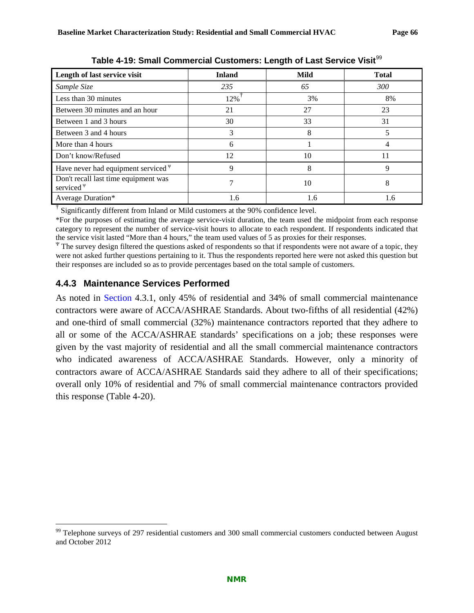<span id="page-69-0"></span>

| Length of last service visit                            | <b>Inland</b> | Mild | <b>Total</b> |
|---------------------------------------------------------|---------------|------|--------------|
| Sample Size                                             | 235           | 65   | 300          |
| Less than 30 minutes                                    | 12%           | 3%   | 8%           |
| Between 30 minutes and an hour                          | 21            | 27   | 23           |
| Between 1 and 3 hours                                   | 30            | 33   | 31           |
| Between 3 and 4 hours                                   | 3             | 8    | 5            |
| More than 4 hours                                       | 6             |      |              |
| Don't know/Refused                                      | 12            | 10   | 11           |
| Have never had equipment serviced $\Psi$                | 9             | 8    | 9            |
| Don't recall last time equipment was<br>serviced $\Psi$ |               | 10   | 8            |
| Average Duration*                                       | 1.6           | 1.6  | 1.6          |

**Table 4-19: Small Commercial Customers: Length of Last Service Visit<sup>[99](#page-69-1)</sup>** 

† Significantly different from Inland or Mild customers at the 90% confidence level.

\*For the purposes of estimating the average service-visit duration, the team used the midpoint from each response category to represent the number of service-visit hours to allocate to each respondent. If respondents indicated that the service visit lasted "More than 4 hours," the team used values of 5 as proxies for their responses.

 $\Psi$  The survey design filtered the questions asked of respondents so that if respondents were not aware of a topic, they were not asked further questions pertaining to it. Thus the respondents reported here were not asked this question but their responses are included so as to provide percentages based on the total sample of customers.

### **4.4.3 Maintenance Services Performed**

As noted in [Section](#page-54-2) [4.3.1,](#page-54-2) only 45% of residential and 34% of small commercial maintenance contractors were aware of ACCA/ASHRAE Standards. About two-fifths of all residential (42%) and one-third of small commercial (32%) maintenance contractors reported that they adhere to all or some of the ACCA/ASHRAE standards' specifications on a job; these responses were given by the vast majority of residential and all the small commercial maintenance contractors who indicated awareness of ACCA/ASHRAE Standards. However, only a minority of contractors aware of ACCA/ASHRAE Standards said they adhere to all of their specifications; overall only 10% of residential and 7% of small commercial maintenance contractors provided this response [\(Table 4-20\)](#page-70-0).

<span id="page-69-1"></span><sup>&</sup>lt;sup>99</sup> Telephone surveys of 297 residential customers and 300 small commercial customers conducted between August and October 2012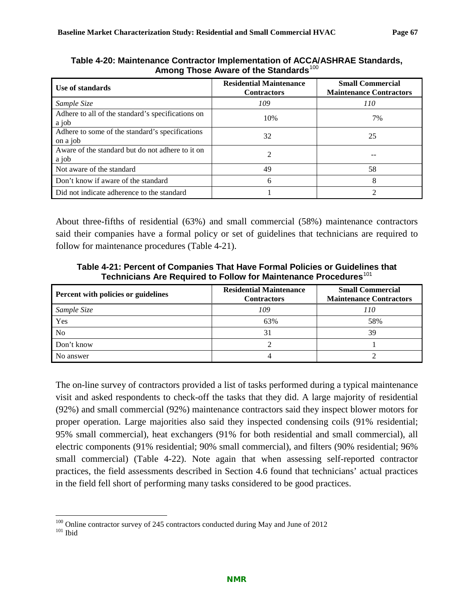| Use of standards                                            | <b>Residential Maintenance</b><br><b>Contractors</b> | <b>Small Commercial</b><br><b>Maintenance Contractors</b> |
|-------------------------------------------------------------|------------------------------------------------------|-----------------------------------------------------------|
| Sample Size                                                 | 109                                                  | 110                                                       |
| Adhere to all of the standard's specifications on<br>a job  | 10%                                                  | 7%                                                        |
| Adhere to some of the standard's specifications<br>on a job | 32                                                   | 25                                                        |
| Aware of the standard but do not adhere to it on<br>a job   | 2                                                    |                                                           |
| Not aware of the standard                                   | 49                                                   | 58                                                        |
| Don't know if aware of the standard                         | 6                                                    | 8                                                         |
| Did not indicate adherence to the standard                  |                                                      |                                                           |

<span id="page-70-0"></span>**Table 4-20: Maintenance Contractor Implementation of ACCA/ASHRAE Standards,**  Among Those Aware of the Standards<sup>[100](#page-70-2)</sup>

About three-fifths of residential (63%) and small commercial (58%) maintenance contractors said their companies have a formal policy or set of guidelines that technicians are required to follow for maintenance procedures [\(Table 4-21\)](#page-70-1).

<span id="page-70-1"></span>**Table 4-21: Percent of Companies That Have Formal Policies or Guidelines that Technicians Are Required to Follow for Maintenance Procedures**[101](#page-70-3)

| Percent with policies or guidelines | <b>Residential Maintenance</b><br><b>Contractors</b> | <b>Small Commercial</b><br><b>Maintenance Contractors</b> |
|-------------------------------------|------------------------------------------------------|-----------------------------------------------------------|
| Sample Size                         | 109                                                  | 110                                                       |
| Yes                                 | 63%                                                  | 58%                                                       |
| No                                  | 31                                                   | 39                                                        |
| Don't know                          |                                                      |                                                           |
| No answer                           |                                                      |                                                           |

The on-line survey of contractors provided a list of tasks performed during a typical maintenance visit and asked respondents to check-off the tasks that they did. A large majority of residential (92%) and small commercial (92%) maintenance contractors said they inspect blower motors for proper operation. Large majorities also said they inspected condensing coils (91% residential; 95% small commercial), heat exchangers (91% for both residential and small commercial), all electric components (91% residential; 90% small commercial), and filters (90% residential; 96% small commercial) [\(Table 4-22\)](#page-71-0). Note again that when assessing self-reported contractor practices, the field assessments described in Section [4.6](#page-76-0) found that technicians' actual practices in the field fell short of performing many tasks considered to be good practices.

<span id="page-70-3"></span><span id="page-70-2"></span> $^{100}$  Online contractor survey of 245 contractors conducted during May and June of 2012  $^{101}$  Ibid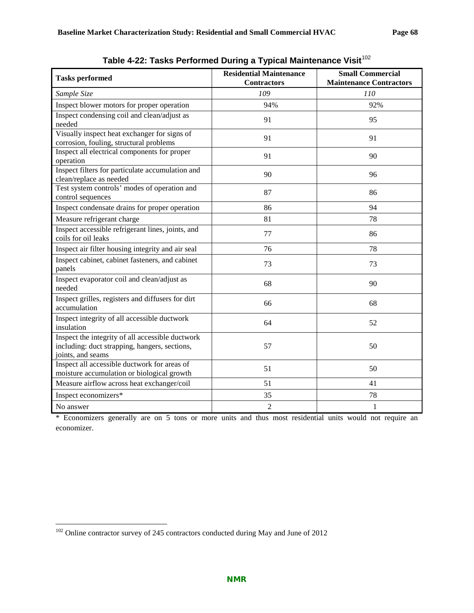<span id="page-71-0"></span>

| <b>Tasks performed</b>                                                                                                 | <b>Residential Maintenance</b><br><b>Contractors</b> | <b>Small Commercial</b><br><b>Maintenance Contractors</b> |
|------------------------------------------------------------------------------------------------------------------------|------------------------------------------------------|-----------------------------------------------------------|
| Sample Size                                                                                                            | 109                                                  | 110                                                       |
| Inspect blower motors for proper operation                                                                             | 94%                                                  | 92%                                                       |
| Inspect condensing coil and clean/adjust as<br>needed                                                                  | 91                                                   | 95                                                        |
| Visually inspect heat exchanger for signs of<br>corrosion, fouling, structural problems                                | 91                                                   | 91                                                        |
| Inspect all electrical components for proper<br>operation                                                              | 91                                                   | 90                                                        |
| Inspect filters for particulate accumulation and<br>clean/replace as needed                                            | 90                                                   | 96                                                        |
| Test system controls' modes of operation and<br>control sequences                                                      | 87                                                   | 86                                                        |
| Inspect condensate drains for proper operation                                                                         | 86                                                   | 94                                                        |
| Measure refrigerant charge                                                                                             | 81                                                   | 78                                                        |
| Inspect accessible refrigerant lines, joints, and<br>coils for oil leaks                                               | 77                                                   | 86                                                        |
| Inspect air filter housing integrity and air seal                                                                      | 76                                                   | 78                                                        |
| Inspect cabinet, cabinet fasteners, and cabinet<br>panels                                                              | 73                                                   | 73                                                        |
| Inspect evaporator coil and clean/adjust as<br>needed                                                                  | 68                                                   | 90                                                        |
| Inspect grilles, registers and diffusers for dirt<br>accumulation                                                      | 66                                                   | 68                                                        |
| Inspect integrity of all accessible ductwork<br>insulation                                                             | 64                                                   | 52                                                        |
| Inspect the integrity of all accessible ductwork<br>including: duct strapping, hangers, sections,<br>joints, and seams | 57                                                   | 50                                                        |
| Inspect all accessible ductwork for areas of<br>moisture accumulation or biological growth                             | 51                                                   | 50                                                        |
| Measure airflow across heat exchanger/coil                                                                             | 51                                                   | 41                                                        |
| Inspect economizers*                                                                                                   | 35                                                   | 78                                                        |
| No answer                                                                                                              | $\overline{2}$                                       | $\mathbf{1}$                                              |

Table 4-22: Tasks Performed During a Typical Maintenance Visit<sup>[102](#page-71-1)</sup>

\* Economizers generally are on 5 tons or more units and thus most residential units would not require an economizer.

<span id="page-71-1"></span> <sup>102</sup> Online contractor survey of 245 contractors conducted during May and June of 2012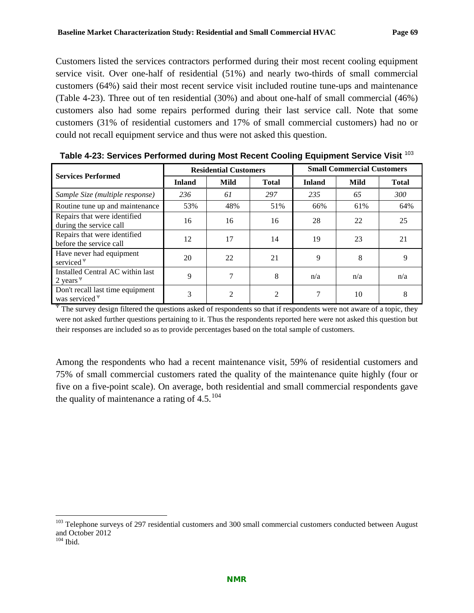Customers listed the services contractors performed during their most recent cooling equipment service visit. Over one-half of residential (51%) and nearly two-thirds of small commercial customers (64%) said their most recent service visit included routine tune-ups and maintenance [\(Table 4-23\)](#page-72-0). Three out of ten residential (30%) and about one-half of small commercial (46%) customers also had some repairs performed during their last service call. Note that some customers (31% of residential customers and 17% of small commercial customers) had no or could not recall equipment service and thus were not asked this question.

| <b>Services Performed</b>                               | <b>Residential Customers</b> |                |                | <b>Small Commercial Customers</b> |      |              |
|---------------------------------------------------------|------------------------------|----------------|----------------|-----------------------------------|------|--------------|
|                                                         | <b>Inland</b>                | Mild           | <b>Total</b>   | <b>Inland</b>                     | Mild | <b>Total</b> |
| Sample Size (multiple response)                         | 236                          | 61             | 297            | 235                               | 65   | <i>300</i>   |
| Routine tune up and maintenance                         | 53%                          | 48%            | 51%            | 66%                               | 61%  | 64%          |
| Repairs that were identified<br>during the service call | 16                           | 16             | 16             | 28                                | 22   | 25           |
| Repairs that were identified<br>before the service call | 12                           | 17             | 14             | 19                                | 23   | 21           |
| Have never had equipment<br>serviced $\Psi$             | 20                           | 22             | 21             | 9                                 | 8    | 9            |
| Installed Central AC within last<br>2 years $\Psi$      | 9                            | 7              | 8              | n/a                               | n/a  | n/a          |
| Don't recall last time equipment<br>was serviced $\Psi$ | 3                            | $\mathfrak{D}$ | $\mathfrak{D}$ |                                   | 10   | 8            |

<span id="page-72-0"></span>**Table 4-23: Services Performed during Most Recent Cooling Equipment Service Visit** [103](#page-72-1)

The survey design filtered the questions asked of respondents so that if respondents were not aware of a topic, they were not asked further questions pertaining to it. Thus the respondents reported here were not asked this question but their responses are included so as to provide percentages based on the total sample of customers.

Among the respondents who had a recent maintenance visit, 59% of residential customers and 75% of small commercial customers rated the quality of the maintenance quite highly (four or five on a five-point scale). On average, both residential and small commercial respondents gave the quality of maintenance a rating of  $4.5^{104}$  $4.5^{104}$  $4.5^{104}$ 

<span id="page-72-1"></span><sup>&</sup>lt;sup>103</sup> Telephone surveys of 297 residential customers and 300 small commercial customers conducted between August and October 2012

<span id="page-72-2"></span> $104$  Ibid.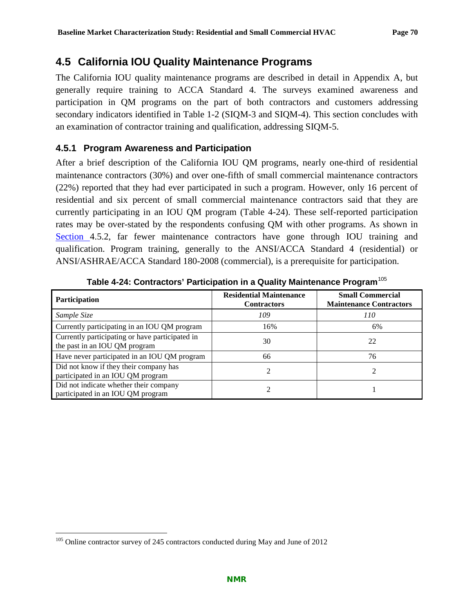# **4.5 California IOU Quality Maintenance Programs**

The California IOU quality maintenance programs are described in detail in Appendix A, but generally require training to ACCA Standard 4. The surveys examined awareness and participation in QM programs on the part of both contractors and customers addressing secondary indicators identified in [Table 1-2](#page-14-0) (SIQM-3 and SIQM-4). This section concludes with an examination of contractor training and qualification, addressing SIQM-5.

## **4.5.1 Program Awareness and Participation**

After a brief description of the California IOU QM programs, nearly one-third of residential maintenance contractors (30%) and over one-fifth of small commercial maintenance contractors (22%) reported that they had ever participated in such a program. However, only 16 percent of residential and six percent of small commercial maintenance contractors said that they are currently participating in an IOU QM program [\(Table 4-24\)](#page-73-0). These self-reported participation rates may be over-stated by the respondents confusing QM with other programs. As shown in [Section](#page-75-0) [4.5.2,](#page-75-0) far fewer maintenance contractors have gone through IOU training and qualification. Program training, generally to the ANSI/ACCA Standard 4 (residential) or ANSI/ASHRAE/ACCA Standard 180-2008 (commercial), is a prerequisite for participation.

<span id="page-73-0"></span>

| <b>Participation</b>                                                             | <b>Residential Maintenance</b><br><b>Contractors</b> | <b>Small Commercial</b><br><b>Maintenance Contractors</b> |
|----------------------------------------------------------------------------------|------------------------------------------------------|-----------------------------------------------------------|
| Sample Size                                                                      | 109                                                  | 110                                                       |
| Currently participating in an IOU QM program                                     | 16%                                                  | 6%                                                        |
| Currently participating or have participated in<br>the past in an IOU QM program | 30                                                   | 22                                                        |
| Have never participated in an IOU QM program                                     | 66                                                   | 76                                                        |
| Did not know if they their company has<br>participated in an IOU QM program      |                                                      |                                                           |
| Did not indicate whether their company<br>participated in an IOU QM program      |                                                      |                                                           |

**Table 4-24: Contractors' Participation in a Quality Maintenance Program**[105](#page-73-1)

<span id="page-73-1"></span><sup>&</sup>lt;sup>105</sup> Online contractor survey of 245 contractors conducted during May and June of 2012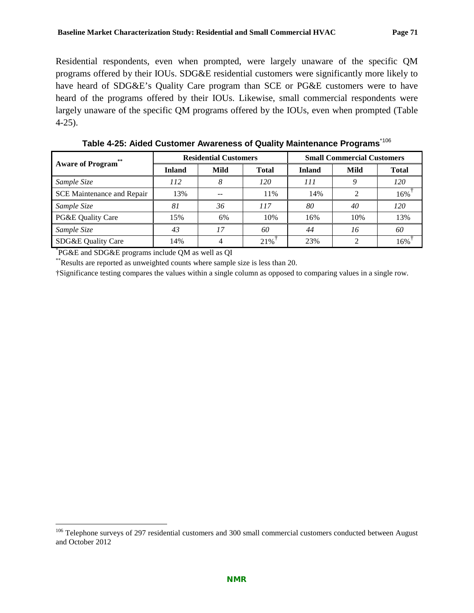Residential respondents, even when prompted, were largely unaware of the specific QM programs offered by their IOUs. SDG&E residential customers were significantly more likely to have heard of SDG&E's Quality Care program than SCE or PG&E customers were to have heard of the programs offered by their IOUs. Likewise, small commercial respondents were largely unaware of the specific QM programs offered by the IOUs, even when prompted [\(Table](#page-74-0)  [4-25\)](#page-74-0).

<span id="page-74-0"></span>

| <b>Aware of Program</b> ** | <b>Residential Customers</b> |      |              | <b>Small Commercial Customers</b> |      |              |
|----------------------------|------------------------------|------|--------------|-----------------------------------|------|--------------|
|                            | <b>Inland</b>                | Mild | <b>Total</b> | <b>Inland</b>                     | Mild | <b>Total</b> |
| Sample Size                | 112                          |      | 120          | 111                               |      | 120          |
| SCE Maintenance and Repair | 13%                          |      | 11%          | 14%                               |      | 16%          |
| Sample Size                | 81                           | 36   | 117          | 80                                | 40   | 120          |
| PG&E Quality Care          | 15%                          | 6%   | 10%          | 16%                               | 10%  | 13%          |
| Sample Size                | 43                           | 17   | 60           | 44                                | 16   | 60           |
| SDG&E Quality Care         | 14%                          | 4    | 21%          | 23%                               |      | 16%          |

**Table 4-25: Aided Customer Awareness of Quality Maintenance Programs**\*[106](#page-74-1)

\* PG&E and SDG&E programs include QM as well as QI

\*\*Results are reported as unweighted counts where sample size is less than 20.

†Significance testing compares the values within a single column as opposed to comparing values in a single row.

<span id="page-74-1"></span><sup>&</sup>lt;sup>106</sup> Telephone surveys of 297 residential customers and 300 small commercial customers conducted between August and October 2012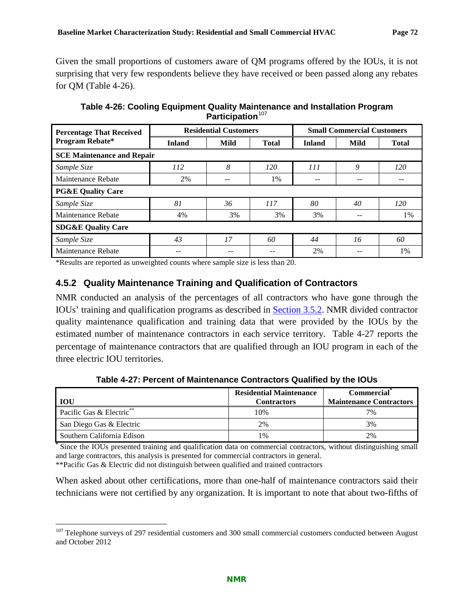Given the small proportions of customers aware of QM programs offered by the IOUs, it is not surprising that very few respondents believe they have received or been passed along any rebates for QM [\(Table 4-26\)](#page-75-1).

**Table 4-26: Cooling Equipment Quality Maintenance and Installation Program**  Participation<sup>[107](#page-75-3)</sup>

<span id="page-75-1"></span>

| <b>Percentage That Received</b>   | <b>Residential Customers</b> |      | <b>Small Commercial Customers</b> |               |      |              |
|-----------------------------------|------------------------------|------|-----------------------------------|---------------|------|--------------|
| Program Rebate*                   | <b>Inland</b>                | Mild | <b>Total</b>                      | <b>Inland</b> | Mild | <b>Total</b> |
| <b>SCE Maintenance and Repair</b> |                              |      |                                   |               |      |              |
| Sample Size                       | 112                          | 8    | 120                               | <i>111</i>    | 9    | 120          |
| Maintenance Rebate                | 2%                           | --   | 1%                                |               |      |              |
| <b>PG&amp;E Quality Care</b>      |                              |      |                                   |               |      |              |
| Sample Size                       | 81                           | 36   | 117                               | 80            | 40   | 120          |
| Maintenance Rebate                | 4%                           | 3%   | 3%                                | 3%            | --   | 1%           |
| <b>SDG&amp;E Quality Care</b>     |                              |      |                                   |               |      |              |
| Sample Size                       | 43                           | 17   | 60                                | 44            | 16   | 60           |
| Maintenance Rebate                |                              |      |                                   | 2%            |      | 1%           |

\*Results are reported as unweighted counts where sample size is less than 20.

## <span id="page-75-0"></span>**4.5.2 Quality Maintenance Training and Qualification of Contractors**

NMR conducted an analysis of the percentages of all contractors who have gone through the IOUs' training and qualification programs as described in [Section 3.5.2.](#page-43-0) NMR divided contractor quality maintenance qualification and training data that were provided by the IOUs by the estimated number of maintenance contractors in each service territory. [Table 4-27](#page-75-2) reports the percentage of maintenance contractors that are qualified through an IOU program in each of the three electric IOU territories.

**Table 4-27: Percent of Maintenance Contractors Qualified by the IOUs**

<span id="page-75-2"></span>

| <b>IOU</b>                 | <b>Residential Maintenance</b><br><b>Contractors</b> | <b>Commercial</b><br><b>Maintenance Contractors</b> |
|----------------------------|------------------------------------------------------|-----------------------------------------------------|
| Pacific Gas & Electric**   | 10%                                                  | 7%                                                  |
| San Diego Gas & Electric   | 2%                                                   | 3%                                                  |
| Southern California Edison | $1\%$                                                | 2%                                                  |

**\*** Since the IOUs presented training and qualification data on commercial contractors, without distinguishing small and large contractors, this analysis is presented for commercial contractors in general.

\*\*Pacific Gas & Electric did not distinguish between qualified and trained contractors

When asked about other certifications, more than one-half of maintenance contractors said their technicians were not certified by any organization. It is important to note that about two-fifths of

<span id="page-75-3"></span><sup>&</sup>lt;sup>107</sup> Telephone surveys of 297 residential customers and 300 small commercial customers conducted between August and October 2012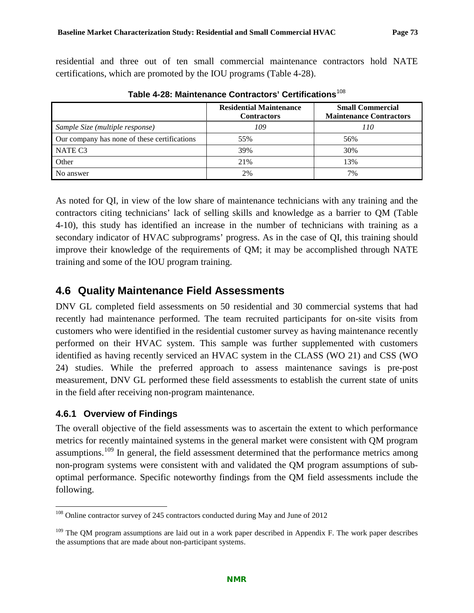residential and three out of ten small commercial maintenance contractors hold NATE certifications, which are promoted by the IOU programs [\(Table 4-28\)](#page-76-0).

<span id="page-76-0"></span>

|                                              | <b>Residential Maintenance</b><br><b>Contractors</b> | <b>Small Commercial</b><br><b>Maintenance Contractors</b> |
|----------------------------------------------|------------------------------------------------------|-----------------------------------------------------------|
| Sample Size (multiple response)              | 109                                                  | 110                                                       |
| Our company has none of these certifications | 55%                                                  | 56%                                                       |
| NATE C <sub>3</sub>                          | 39%                                                  | 30%                                                       |
| Other                                        | 21%                                                  | 13%                                                       |
| No answer                                    | 2%                                                   | 7%                                                        |

**Table 4-28: Maintenance Contractors' Certifications**[108](#page-76-1)

As noted for QI, in view of the low share of maintenance technicians with any training and the contractors citing technicians' lack of selling skills and knowledge as a barrier to QM [\(Table](#page-62-0)  [4-10\)](#page-62-0), this study has identified an increase in the number of technicians with training as a secondary indicator of HVAC subprograms' progress. As in the case of QI, this training should improve their knowledge of the requirements of QM; it may be accomplished through NATE training and some of the IOU program training.

# **4.6 Quality Maintenance Field Assessments**

DNV GL completed field assessments on 50 residential and 30 commercial systems that had recently had maintenance performed. The team recruited participants for on-site visits from customers who were identified in the residential customer survey as having maintenance recently performed on their HVAC system. This sample was further supplemented with customers identified as having recently serviced an HVAC system in the CLASS (WO 21) and CSS (WO 24) studies. While the preferred approach to assess maintenance savings is pre-post measurement, DNV GL performed these field assessments to establish the current state of units in the field after receiving non-program maintenance.

# **4.6.1 Overview of Findings**

The overall objective of the field assessments was to ascertain the extent to which performance metrics for recently maintained systems in the general market were consistent with QM program assumptions.<sup>[109](#page-76-2)</sup> In general, the field assessment determined that the performance metrics among non-program systems were consistent with and validated the QM program assumptions of suboptimal performance. Specific noteworthy findings from the QM field assessments include the following.

<span id="page-76-1"></span><sup>&</sup>lt;sup>108</sup> Online contractor survey of 245 contractors conducted during May and June of 2012

<span id="page-76-2"></span><sup>&</sup>lt;sup>109</sup> The QM program assumptions are laid out in a work paper described in Appendix F. The work paper describes the assumptions that are made about non-participant systems.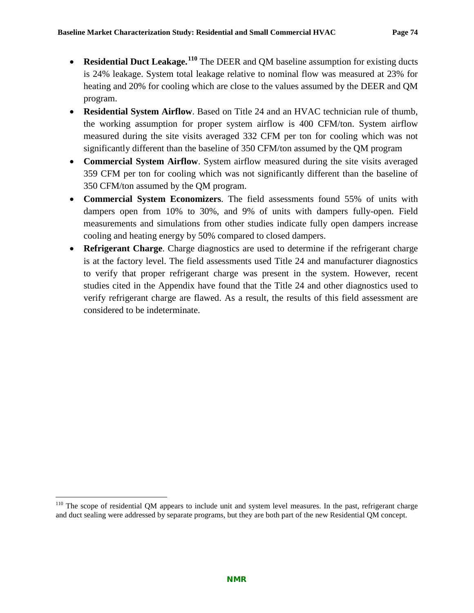- **Residential Duct Leakage.**<sup>[110](#page-77-0)</sup> The DEER and QM baseline assumption for existing ducts is 24% leakage. System total leakage relative to nominal flow was measured at 23% for heating and 20% for cooling which are close to the values assumed by the DEER and QM program.
- **Residential System Airflow**. Based on Title 24 and an HVAC technician rule of thumb, the working assumption for proper system airflow is 400 CFM/ton. System airflow measured during the site visits averaged 332 CFM per ton for cooling which was not significantly different than the baseline of 350 CFM/ton assumed by the QM program
- **Commercial System Airflow**. System airflow measured during the site visits averaged 359 CFM per ton for cooling which was not significantly different than the baseline of 350 CFM/ton assumed by the QM program.
- **Commercial System Economizers**. The field assessments found 55% of units with dampers open from 10% to 30%, and 9% of units with dampers fully-open. Field measurements and simulations from other studies indicate fully open dampers increase cooling and heating energy by 50% compared to closed dampers.
- **Refrigerant Charge**. Charge diagnostics are used to determine if the refrigerant charge is at the factory level. The field assessments used Title 24 and manufacturer diagnostics to verify that proper refrigerant charge was present in the system. However, recent studies cited in the Appendix have found that the Title 24 and other diagnostics used to verify refrigerant charge are flawed. As a result, the results of this field assessment are considered to be indeterminate.

<span id="page-77-0"></span> $110$  The scope of residential QM appears to include unit and system level measures. In the past, refrigerant charge and duct sealing were addressed by separate programs, but they are both part of the new Residential QM concept.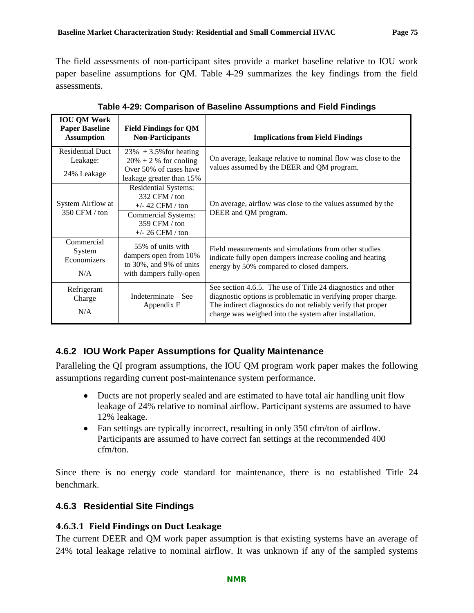The field assessments of non-participant sites provide a market baseline relative to IOU work paper baseline assumptions for QM. [Table 4-29](#page-78-0) summarizes the key findings from the field assessments.

<span id="page-78-0"></span>

| <b>IOU QM Work</b><br><b>Paper Baseline</b><br><b>Assumption</b> | <b>Field Findings for QM</b><br><b>Non-Participants</b>                                                                                 | <b>Implications from Field Findings</b>                                                                                                                                                                                                                |
|------------------------------------------------------------------|-----------------------------------------------------------------------------------------------------------------------------------------|--------------------------------------------------------------------------------------------------------------------------------------------------------------------------------------------------------------------------------------------------------|
| <b>Residential Duct</b><br>Leakage:<br>24% Leakage               | $23\% + 3.5\%$ for heating<br>$20\% \pm 2\%$ for cooling<br>Over 50% of cases have<br>leakage greater than 15%                          | On average, leakage relative to nominal flow was close to the<br>values assumed by the DEER and QM program.                                                                                                                                            |
| System Airflow at<br>350 CFM / ton                               | <b>Residential Systems:</b><br>332 CFM / ton<br>$+/- 42$ CFM / ton<br><b>Commercial Systems:</b><br>359 CFM / ton<br>$+/- 26$ CFM / ton | On average, airflow was close to the values assumed by the<br>DEER and QM program.                                                                                                                                                                     |
| Commercial<br>System<br>Economizers<br>N/A                       | 55% of units with<br>dampers open from 10%<br>to 30%, and 9% of units<br>with dampers fully-open                                        | Field measurements and simulations from other studies<br>indicate fully open dampers increase cooling and heating<br>energy by 50% compared to closed dampers.                                                                                         |
| Refrigerant<br>Charge<br>N/A                                     | Indeterminate – See<br>Appendix F                                                                                                       | See section 4.6.5. The use of Title 24 diagnostics and other<br>diagnostic options is problematic in verifying proper charge.<br>The indirect diagnostics do not reliably verify that proper<br>charge was weighed into the system after installation. |

**Table 4-29: Comparison of Baseline Assumptions and Field Findings** 

# **4.6.2 IOU Work Paper Assumptions for Quality Maintenance**

Paralleling the QI program assumptions, the IOU QM program work paper makes the following assumptions regarding current post-maintenance system performance.

- Ducts are not properly sealed and are estimated to have total air handling unit flow leakage of 24% relative to nominal airflow. Participant systems are assumed to have 12% leakage.
- Fan settings are typically incorrect, resulting in only 350 cfm/ton of airflow. Participants are assumed to have correct fan settings at the recommended 400 cfm/ton.

Since there is no energy code standard for maintenance, there is no established Title 24 benchmark.

### **4.6.3 Residential Site Findings**

#### **4.6.3.1 Field Findings on Duct Leakage**

The current DEER and QM work paper assumption is that existing systems have an average of 24% total leakage relative to nominal airflow. It was unknown if any of the sampled systems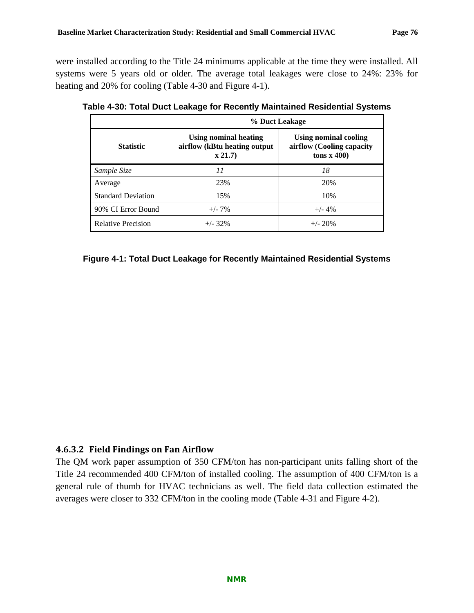were installed according to the Title 24 minimums applicable at the time they were installed. All systems were 5 years old or older. The average total leakages were close to 24%: 23% for heating and 20% for cooling [\(Table 4-30](#page-79-0) and [Figure 4-1\)](#page-79-1).

|                           | % Duct Leakage                                                  |                                                                              |  |  |  |
|---------------------------|-----------------------------------------------------------------|------------------------------------------------------------------------------|--|--|--|
| <b>Statistic</b>          | Using nominal heating<br>airflow (kBtu heating output<br>x 21.7 | Using nominal cooling<br>airflow (Cooling capacity<br>tons $\mathbf{x}$ 400) |  |  |  |
| Sample Size               | 11                                                              | 18                                                                           |  |  |  |
| Average                   | 23%                                                             | 20%                                                                          |  |  |  |
| <b>Standard Deviation</b> | 15%                                                             | 10%                                                                          |  |  |  |
| 90% CI Error Bound        | $+/- 7\%$                                                       | $+/- 4%$                                                                     |  |  |  |
| <b>Relative Precision</b> | $+/- 32\%$                                                      | $+/- 20%$                                                                    |  |  |  |

<span id="page-79-0"></span>**Table 4-30: Total Duct Leakage for Recently Maintained Residential Systems**

<span id="page-79-1"></span>**Figure 4-1: Total Duct Leakage for Recently Maintained Residential Systems**

#### **4.6.3.2 Field Findings on Fan Airflow**

<span id="page-79-2"></span>The QM work paper assumption of 350 CFM/ton has non-participant units falling short of the Title 24 recommended 400 CFM/ton of installed cooling. The assumption of 400 CFM/ton is a general rule of thumb for HVAC technicians as well. The field data collection estimated the averages were closer to 332 CFM/ton in the cooling mode [\(Table 4-31](#page-79-2) and [Figure 4-2\)](#page-80-0).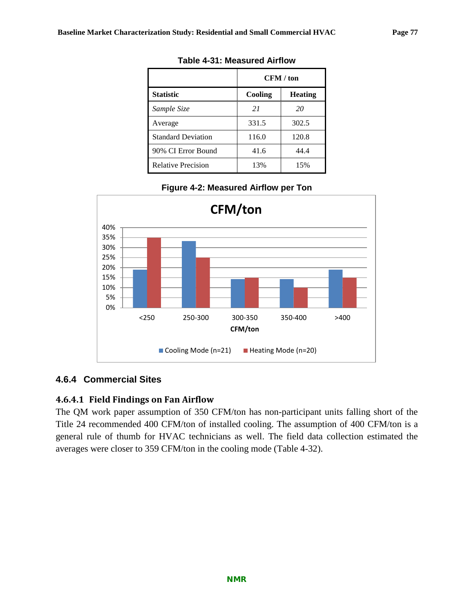|                           | CFM / ton |                |  |
|---------------------------|-----------|----------------|--|
| <b>Statistic</b>          | Cooling   | <b>Heating</b> |  |
| Sample Size               | 21        | 20             |  |
| Average                   | 331.5     | 302.5          |  |
| <b>Standard Deviation</b> | 116.0     | 120.8          |  |
| 90% CI Error Bound        | 41.6      | 44.4           |  |
| <b>Relative Precision</b> | 13%       | 15%            |  |

#### **Table 4-31: Measured Airflow**



<span id="page-80-0"></span>

### **4.6.4 Commercial Sites**

### **4.6.4.1 Field Findings on Fan Airflow**

<span id="page-80-1"></span>The QM work paper assumption of 350 CFM/ton has non-participant units falling short of the Title 24 recommended 400 CFM/ton of installed cooling. The assumption of 400 CFM/ton is a general rule of thumb for HVAC technicians as well. The field data collection estimated the averages were closer to 359 CFM/ton in the cooling mode [\(Table 4-32\)](#page-80-1).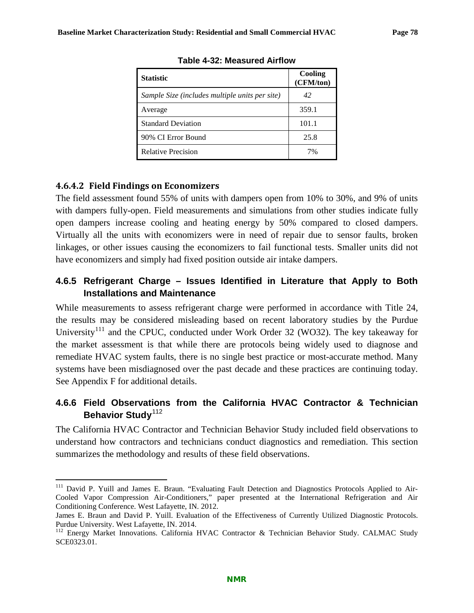| <b>Statistic</b>                               | Cooling<br>(CFM/ton) |
|------------------------------------------------|----------------------|
| Sample Size (includes multiple units per site) | 42                   |
| Average                                        | 359.1                |
| <b>Standard Deviation</b>                      | 101.1                |
| 90% CI Error Bound                             | 25.8                 |
| <b>Relative Precision</b>                      | 7%                   |

**Table 4-32: Measured Airflow**

## **4.6.4.2 Field Findings on Economizers**

The field assessment found 55% of units with dampers open from 10% to 30%, and 9% of units with dampers fully-open. Field measurements and simulations from other studies indicate fully open dampers increase cooling and heating energy by 50% compared to closed dampers. Virtually all the units with economizers were in need of repair due to sensor faults, broken linkages, or other issues causing the economizers to fail functional tests. Smaller units did not have economizers and simply had fixed position outside air intake dampers.

# <span id="page-81-0"></span>**4.6.5 Refrigerant Charge – Issues Identified in Literature that Apply to Both Installations and Maintenance**

While measurements to assess refrigerant charge were performed in accordance with Title 24, the results may be considered misleading based on recent laboratory studies by the Purdue University<sup>[111](#page-81-1)</sup> and the CPUC, conducted under Work Order 32 (WO32). The key takeaway for the market assessment is that while there are protocols being widely used to diagnose and remediate HVAC system faults, there is no single best practice or most-accurate method. Many systems have been misdiagnosed over the past decade and these practices are continuing today. See Appendix F for additional details.

## **4.6.6 Field Observations from the California HVAC Contractor & Technician Behavior Study**<sup>[112](#page-81-2)</sup>

The California HVAC Contractor and Technician Behavior Study included field observations to understand how contractors and technicians conduct diagnostics and remediation. This section summarizes the methodology and results of these field observations.

<span id="page-81-1"></span><sup>&</sup>lt;sup>111</sup> David P. Yuill and James E. Braun. "Evaluating Fault Detection and Diagnostics Protocols Applied to Air-Cooled Vapor Compression Air-Conditioners," paper presented at the International Refrigeration and Air Conditioning Conference. West Lafayette, IN. 2012.

James E. Braun and David P. Yuill. Evaluation of the Effectiveness of Currently Utilized Diagnostic Protocols. Purdue University. West Lafayette, IN. 2014.

<span id="page-81-2"></span><sup>&</sup>lt;sup>112</sup> Energy Market Innovations. California HVAC Contractor & Technician Behavior Study. CALMAC Study SCE0323.01.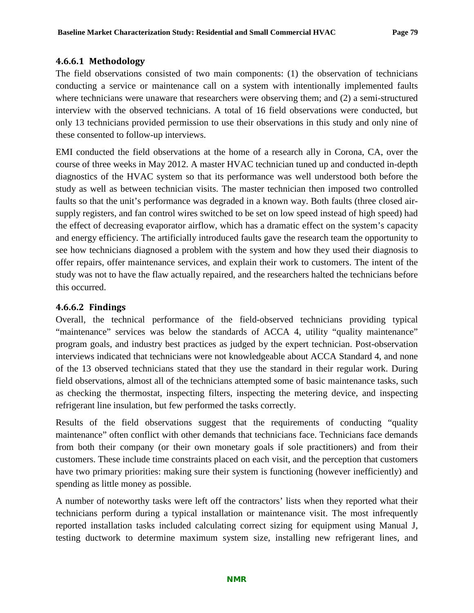#### **4.6.6.1 Methodology**

The field observations consisted of two main components: (1) the observation of technicians conducting a service or maintenance call on a system with intentionally implemented faults where technicians were unaware that researchers were observing them; and (2) a semi-structured interview with the observed technicians. A total of 16 field observations were conducted, but only 13 technicians provided permission to use their observations in this study and only nine of these consented to follow-up interviews.

EMI conducted the field observations at the home of a research ally in Corona, CA, over the course of three weeks in May 2012. A master HVAC technician tuned up and conducted in-depth diagnostics of the HVAC system so that its performance was well understood both before the study as well as between technician visits. The master technician then imposed two controlled faults so that the unit's performance was degraded in a known way. Both faults (three closed airsupply registers, and fan control wires switched to be set on low speed instead of high speed) had the effect of decreasing evaporator airflow, which has a dramatic effect on the system's capacity and energy efficiency. The artificially introduced faults gave the research team the opportunity to see how technicians diagnosed a problem with the system and how they used their diagnosis to offer repairs, offer maintenance services, and explain their work to customers. The intent of the study was not to have the flaw actually repaired, and the researchers halted the technicians before this occurred.

#### **4.6.6.2 Findings**

Overall, the technical performance of the field-observed technicians providing typical "maintenance" services was below the standards of ACCA 4, utility "quality maintenance" program goals, and industry best practices as judged by the expert technician. Post-observation interviews indicated that technicians were not knowledgeable about ACCA Standard 4, and none of the 13 observed technicians stated that they use the standard in their regular work. During field observations, almost all of the technicians attempted some of basic maintenance tasks, such as checking the thermostat, inspecting filters, inspecting the metering device, and inspecting refrigerant line insulation, but few performed the tasks correctly.

Results of the field observations suggest that the requirements of conducting "quality maintenance" often conflict with other demands that technicians face. Technicians face demands from both their company (or their own monetary goals if sole practitioners) and from their customers. These include time constraints placed on each visit, and the perception that customers have two primary priorities: making sure their system is functioning (however inefficiently) and spending as little money as possible.

A number of noteworthy tasks were left off the contractors' lists when they reported what their technicians perform during a typical installation or maintenance visit. The most infrequently reported installation tasks included calculating correct sizing for equipment using Manual J, testing ductwork to determine maximum system size, installing new refrigerant lines, and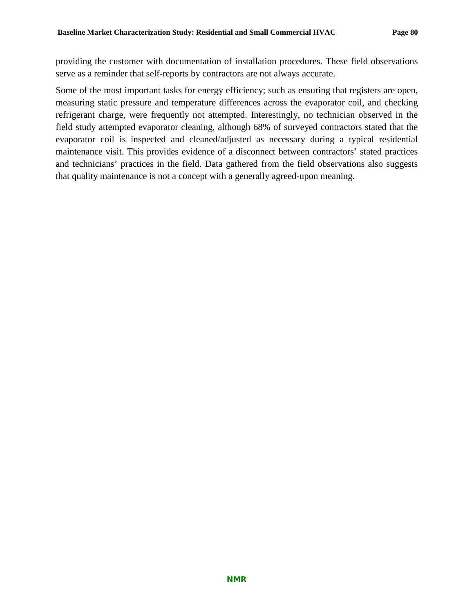providing the customer with documentation of installation procedures. These field observations serve as a reminder that self-reports by contractors are not always accurate.

Some of the most important tasks for energy efficiency; such as ensuring that registers are open, measuring static pressure and temperature differences across the evaporator coil, and checking refrigerant charge, were frequently not attempted. Interestingly, no technician observed in the field study attempted evaporator cleaning, although 68% of surveyed contractors stated that the evaporator coil is inspected and cleaned/adjusted as necessary during a typical residential maintenance visit. This provides evidence of a disconnect between contractors' stated practices and technicians' practices in the field. Data gathered from the field observations also suggests that quality maintenance is not a concept with a generally agreed-upon meaning.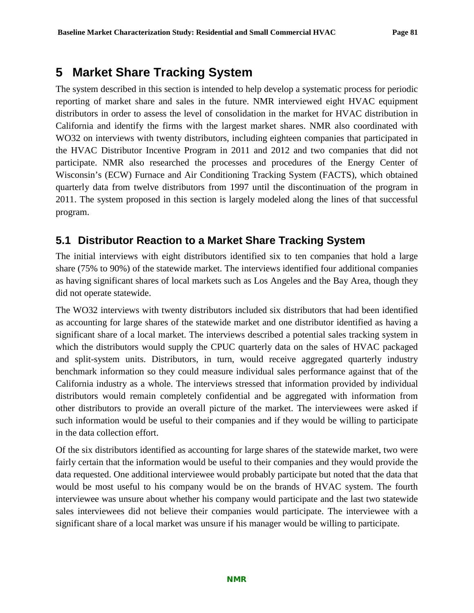# **5 Market Share Tracking System**

The system described in this section is intended to help develop a systematic process for periodic reporting of market share and sales in the future. NMR interviewed eight HVAC equipment distributors in order to assess the level of consolidation in the market for HVAC distribution in California and identify the firms with the largest market shares. NMR also coordinated with WO32 on interviews with twenty distributors, including eighteen companies that participated in the HVAC Distributor Incentive Program in 2011 and 2012 and two companies that did not participate. NMR also researched the processes and procedures of the Energy Center of Wisconsin's (ECW) Furnace and Air Conditioning Tracking System (FACTS), which obtained quarterly data from twelve distributors from 1997 until the discontinuation of the program in 2011. The system proposed in this section is largely modeled along the lines of that successful program.

# <span id="page-84-0"></span>**5.1 Distributor Reaction to a Market Share Tracking System**

The initial interviews with eight distributors identified six to ten companies that hold a large share (75% to 90%) of the statewide market. The interviews identified four additional companies as having significant shares of local markets such as Los Angeles and the Bay Area, though they did not operate statewide.

The WO32 interviews with twenty distributors included six distributors that had been identified as accounting for large shares of the statewide market and one distributor identified as having a significant share of a local market. The interviews described a potential sales tracking system in which the distributors would supply the CPUC quarterly data on the sales of HVAC packaged and split-system units. Distributors, in turn, would receive aggregated quarterly industry benchmark information so they could measure individual sales performance against that of the California industry as a whole. The interviews stressed that information provided by individual distributors would remain completely confidential and be aggregated with information from other distributors to provide an overall picture of the market. The interviewees were asked if such information would be useful to their companies and if they would be willing to participate in the data collection effort.

Of the six distributors identified as accounting for large shares of the statewide market, two were fairly certain that the information would be useful to their companies and they would provide the data requested. One additional interviewee would probably participate but noted that the data that would be most useful to his company would be on the brands of HVAC system. The fourth interviewee was unsure about whether his company would participate and the last two statewide sales interviewees did not believe their companies would participate. The interviewee with a significant share of a local market was unsure if his manager would be willing to participate.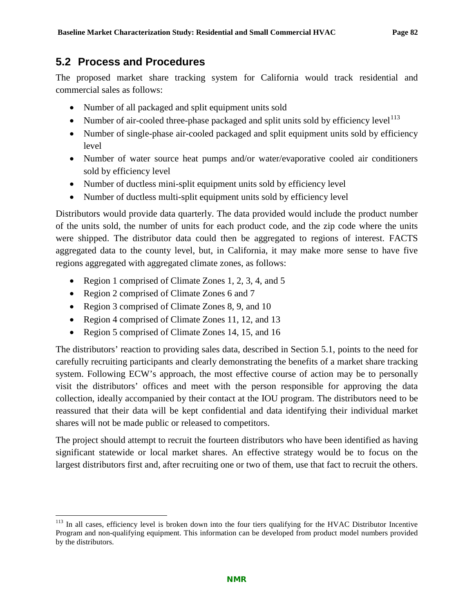# **5.2 Process and Procedures**

The proposed market share tracking system for California would track residential and commercial sales as follows:

- Number of all packaged and split equipment units sold
- Number of air-cooled three-phase packaged and split units sold by efficiency level  $113$
- Number of single-phase air-cooled packaged and split equipment units sold by efficiency level
- Number of water source heat pumps and/or water/evaporative cooled air conditioners sold by efficiency level
- Number of ductless mini-split equipment units sold by efficiency level
- Number of ductless multi-split equipment units sold by efficiency level

Distributors would provide data quarterly. The data provided would include the product number of the units sold, the number of units for each product code, and the zip code where the units were shipped. The distributor data could then be aggregated to regions of interest. FACTS aggregated data to the county level, but, in California, it may make more sense to have five regions aggregated with aggregated climate zones, as follows:

- Region 1 comprised of Climate Zones 1, 2, 3, 4, and 5
- Region 2 comprised of Climate Zones 6 and 7
- Region 3 comprised of Climate Zones 8, 9, and 10
- Region 4 comprised of Climate Zones 11, 12, and 13
- Region 5 comprised of Climate Zones 14, 15, and 16

The distributors' reaction to providing sales data, described in [Section 5.1,](#page-84-0) points to the need for carefully recruiting participants and clearly demonstrating the benefits of a market share tracking system. Following ECW's approach, the most effective course of action may be to personally visit the distributors' offices and meet with the person responsible for approving the data collection, ideally accompanied by their contact at the IOU program. The distributors need to be reassured that their data will be kept confidential and data identifying their individual market shares will not be made public or released to competitors.

The project should attempt to recruit the fourteen distributors who have been identified as having significant statewide or local market shares. An effective strategy would be to focus on the largest distributors first and, after recruiting one or two of them, use that fact to recruit the others.

<span id="page-85-0"></span><sup>&</sup>lt;sup>113</sup> In all cases, efficiency level is broken down into the four tiers qualifying for the HVAC Distributor Incentive Program and non-qualifying equipment. This information can be developed from product model numbers provided by the distributors.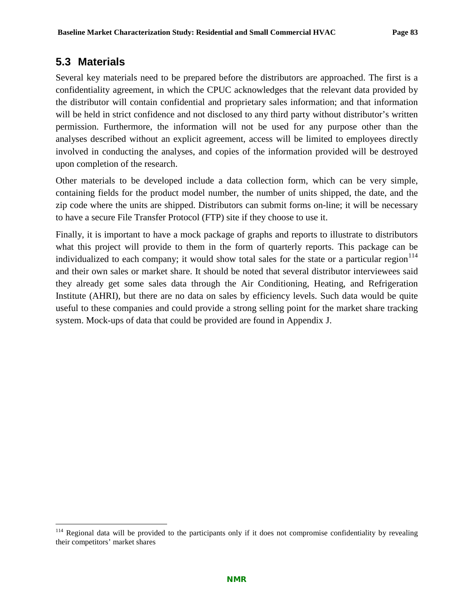# **5.3 Materials**

Several key materials need to be prepared before the distributors are approached. The first is a confidentiality agreement, in which the CPUC acknowledges that the relevant data provided by the distributor will contain confidential and proprietary sales information; and that information will be held in strict confidence and not disclosed to any third party without distributor's written permission. Furthermore, the information will not be used for any purpose other than the analyses described without an explicit agreement, access will be limited to employees directly involved in conducting the analyses, and copies of the information provided will be destroyed upon completion of the research.

Other materials to be developed include a data collection form, which can be very simple, containing fields for the product model number, the number of units shipped, the date, and the zip code where the units are shipped. Distributors can submit forms on-line; it will be necessary to have a secure File Transfer Protocol (FTP) site if they choose to use it.

Finally, it is important to have a mock package of graphs and reports to illustrate to distributors what this project will provide to them in the form of quarterly reports. This package can be individualized to each company; it would show total sales for the state or a particular region $114$ and their own sales or market share. It should be noted that several distributor interviewees said they already get some sales data through the Air Conditioning, Heating, and Refrigeration Institute (AHRI), but there are no data on sales by efficiency levels. Such data would be quite useful to these companies and could provide a strong selling point for the market share tracking system. Mock-ups of data that could be provided are found in Appendix J.

<span id="page-86-0"></span><sup>&</sup>lt;sup>114</sup> Regional data will be provided to the participants only if it does not compromise confidentiality by revealing their competitors' market shares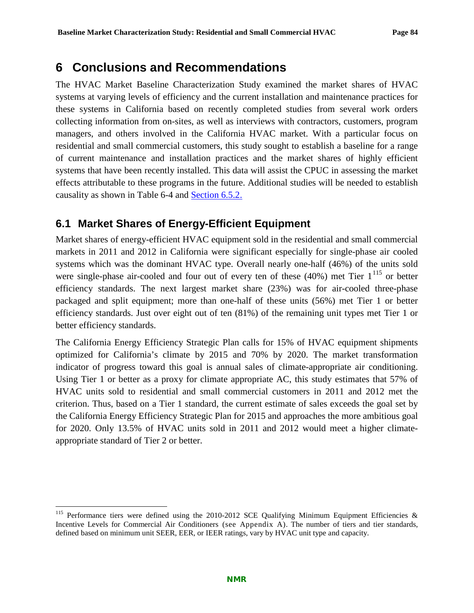# **6 Conclusions and Recommendations**

The HVAC Market Baseline Characterization Study examined the market shares of HVAC systems at varying levels of efficiency and the current installation and maintenance practices for these systems in California based on recently completed studies from several work orders collecting information from on-sites, as well as interviews with contractors, customers, program managers, and others involved in the California HVAC market. With a particular focus on residential and small commercial customers, this study sought to establish a baseline for a range of current maintenance and installation practices and the market shares of highly efficient systems that have been recently installed. This data will assist the CPUC in assessing the market effects attributable to these programs in the future. Additional studies will be needed to establish causality as shown in [Table 6-4](#page-94-0) and [Section 6.5.2.](#page-95-0)

# **6.1 Market Shares of Energy-Efficient Equipment**

Market shares of energy-efficient HVAC equipment sold in the residential and small commercial markets in 2011 and 2012 in California were significant especially for single-phase air cooled systems which was the dominant HVAC type. Overall nearly one-half (46%) of the units sold were single-phase air-cooled and four out of every ten of these  $(40%)$  met Tier  $1^{115}$  $1^{115}$  $1^{115}$  or better efficiency standards. The next largest market share (23%) was for air-cooled three-phase packaged and split equipment; more than one-half of these units (56%) met Tier 1 or better efficiency standards. Just over eight out of ten (81%) of the remaining unit types met Tier 1 or better efficiency standards.

The California Energy Efficiency Strategic Plan calls for 15% of HVAC equipment shipments optimized for California's climate by 2015 and 70% by 2020. The market transformation indicator of progress toward this goal is annual sales of climate-appropriate air conditioning. Using Tier 1 or better as a proxy for climate appropriate AC, this study estimates that 57% of HVAC units sold to residential and small commercial customers in 2011 and 2012 met the criterion. Thus, based on a Tier 1 standard, the current estimate of sales exceeds the goal set by the California Energy Efficiency Strategic Plan for 2015 and approaches the more ambitious goal for 2020. Only 13.5% of HVAC units sold in 2011 and 2012 would meet a higher climateappropriate standard of Tier 2 or better.

<span id="page-87-0"></span><sup>&</sup>lt;sup>115</sup> Performance tiers were defined using the 2010-2012 SCE Qualifying Minimum Equipment Efficiencies & Incentive Levels for Commercial Air Conditioners (see Appendix A). The number of tiers and tier standards, defined based on minimum unit SEER, EER, or IEER ratings, vary by HVAC unit type and capacity.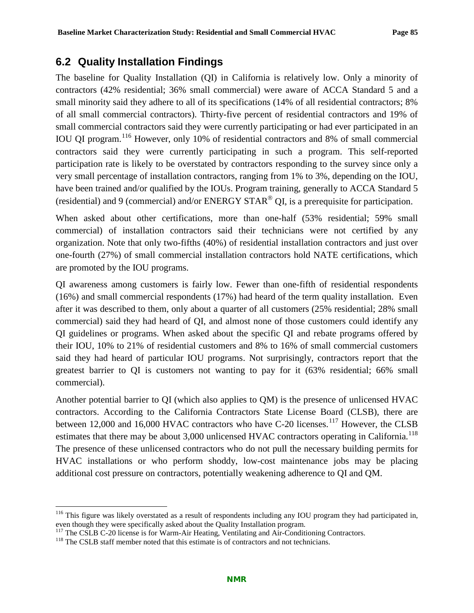# **6.2 Quality Installation Findings**

The baseline for Quality Installation (QI) in California is relatively low. Only a minority of contractors (42% residential; 36% small commercial) were aware of ACCA Standard 5 and a small minority said they adhere to all of its specifications (14% of all residential contractors; 8% of all small commercial contractors). Thirty-five percent of residential contractors and 19% of small commercial contractors said they were currently participating or had ever participated in an IOU QI program.[116](#page-88-0) However, only 10% of residential contractors and 8% of small commercial contractors said they were currently participating in such a program. This self-reported participation rate is likely to be overstated by contractors responding to the survey since only a very small percentage of installation contractors, ranging from 1% to 3%, depending on the IOU, have been trained and/or qualified by the IOUs. Program training, generally to ACCA Standard 5 (residential) and 9 (commercial) and/or ENERGY STAR<sup>®</sup> QI, is a prerequisite for participation.

When asked about other certifications, more than one-half (53% residential; 59% small commercial) of installation contractors said their technicians were not certified by any organization. Note that only two-fifths (40%) of residential installation contractors and just over one-fourth (27%) of small commercial installation contractors hold NATE certifications, which are promoted by the IOU programs.

QI awareness among customers is fairly low. Fewer than one-fifth of residential respondents (16%) and small commercial respondents (17%) had heard of the term quality installation. Even after it was described to them, only about a quarter of all customers (25% residential; 28% small commercial) said they had heard of QI, and almost none of those customers could identify any QI guidelines or programs. When asked about the specific QI and rebate programs offered by their IOU, 10% to 21% of residential customers and 8% to 16% of small commercial customers said they had heard of particular IOU programs. Not surprisingly, contractors report that the greatest barrier to QI is customers not wanting to pay for it (63% residential; 66% small commercial).

Another potential barrier to QI (which also applies to QM) is the presence of unlicensed HVAC contractors. According to the California Contractors State License Board (CLSB), there are between 12,000 and 16,000 HVAC contractors who have C-20 licenses.<sup>[117](#page-88-1)</sup> However, the CLSB estimates that there may be about 3,000 unlicensed HVAC contractors operating in California.<sup>[118](#page-88-2)</sup> The presence of these unlicensed contractors who do not pull the necessary building permits for HVAC installations or who perform shoddy, low-cost maintenance jobs may be placing additional cost pressure on contractors, potentially weakening adherence to QI and QM.

<span id="page-88-0"></span><sup>&</sup>lt;sup>116</sup> This figure was likely overstated as a result of respondents including any IOU program they had participated in, even though they were specifically asked about the Quality Installation program.<br><sup>117</sup> The CSLB C-20 license is for Warm-Air Heating, Ventilating and Air-Conditioning Contractors.

<span id="page-88-2"></span><span id="page-88-1"></span> $118$  The CSLB staff member noted that this estimate is of contractors and not technicians.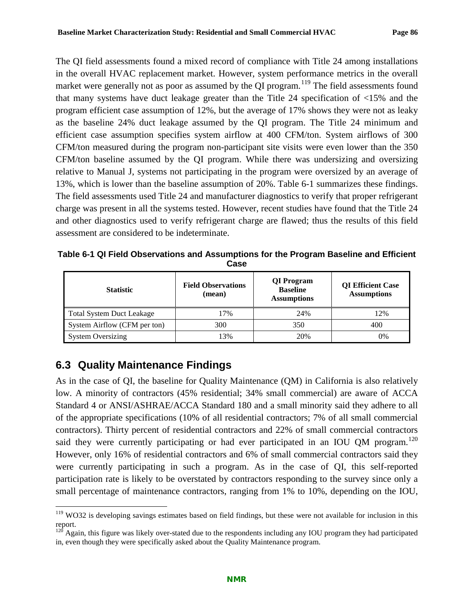The QI field assessments found a mixed record of compliance with Title 24 among installations in the overall HVAC replacement market. However, system performance metrics in the overall market were generally not as poor as assumed by the QI program.<sup>[119](#page-89-1)</sup> The field assessments found that many systems have duct leakage greater than the Title 24 specification of <15% and the program efficient case assumption of 12%, but the average of 17% shows they were not as leaky as the baseline 24% duct leakage assumed by the QI program. The Title 24 minimum and efficient case assumption specifies system airflow at 400 CFM/ton. System airflows of 300 CFM/ton measured during the program non-participant site visits were even lower than the 350 CFM/ton baseline assumed by the QI program. While there was undersizing and oversizing relative to Manual J, systems not participating in the program were oversized by an average of 13%, which is lower than the baseline assumption of 20%. [Table 6-1](#page-89-0) summarizes these findings. The field assessments used Title 24 and manufacturer diagnostics to verify that proper refrigerant charge was present in all the systems tested. However, recent studies have found that the Title 24 and other diagnostics used to verify refrigerant charge are flawed; thus the results of this field assessment are considered to be indeterminate.

<span id="page-89-0"></span>**Table 6-1 QI Field Observations and Assumptions for the Program Baseline and Efficient Case**

| <b>Statistic</b>             | <b>Field Observations</b><br>(mean) | QI Program<br><b>Baseline</b><br><b>Assumptions</b> | <b>QI</b> Efficient Case<br><b>Assumptions</b> |
|------------------------------|-------------------------------------|-----------------------------------------------------|------------------------------------------------|
| Total System Duct Leakage    | 17%                                 | 24%                                                 | 12%                                            |
| System Airflow (CFM per ton) | 300                                 | 350                                                 | 400                                            |
| <b>System Oversizing</b>     | 13%                                 | 20%                                                 | 0%                                             |

# **6.3 Quality Maintenance Findings**

As in the case of QI, the baseline for Quality Maintenance (QM) in California is also relatively low. A minority of contractors (45% residential; 34% small commercial) are aware of ACCA Standard 4 or ANSI/ASHRAE/ACCA Standard 180 and a small minority said they adhere to all of the appropriate specifications (10% of all residential contractors; 7% of all small commercial contractors). Thirty percent of residential contractors and 22% of small commercial contractors said they were currently participating or had ever participated in an IOU QM program.<sup>[120](#page-89-2)</sup> However, only 16% of residential contractors and 6% of small commercial contractors said they were currently participating in such a program. As in the case of QI, this self-reported participation rate is likely to be overstated by contractors responding to the survey since only a small percentage of maintenance contractors, ranging from 1% to 10%, depending on the IOU,

<span id="page-89-1"></span><sup>&</sup>lt;sup>119</sup> WO32 is developing savings estimates based on field findings, but these were not available for inclusion in this report.

<span id="page-89-2"></span> $120$  Again, this figure was likely over-stated due to the respondents including any IOU program they had participated in, even though they were specifically asked about the Quality Maintenance program.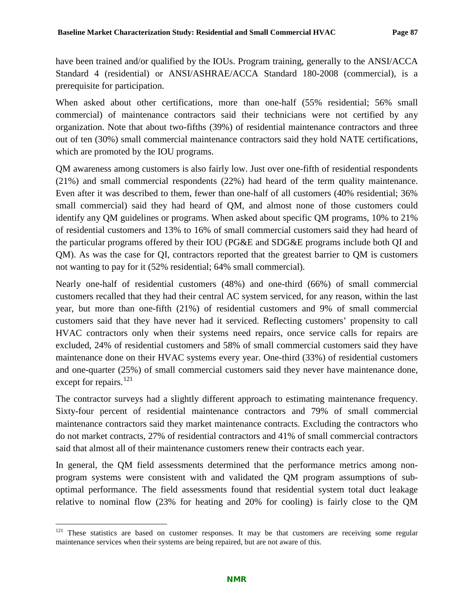have been trained and/or qualified by the IOUs. Program training, generally to the ANSI/ACCA Standard 4 (residential) or ANSI/ASHRAE/ACCA Standard 180-2008 (commercial), is a prerequisite for participation.

When asked about other certifications, more than one-half (55% residential; 56% small commercial) of maintenance contractors said their technicians were not certified by any organization. Note that about two-fifths (39%) of residential maintenance contractors and three out of ten (30%) small commercial maintenance contractors said they hold NATE certifications, which are promoted by the IOU programs.

QM awareness among customers is also fairly low. Just over one-fifth of residential respondents (21%) and small commercial respondents (22%) had heard of the term quality maintenance. Even after it was described to them, fewer than one-half of all customers (40% residential; 36% small commercial) said they had heard of QM, and almost none of those customers could identify any QM guidelines or programs. When asked about specific QM programs, 10% to 21% of residential customers and 13% to 16% of small commercial customers said they had heard of the particular programs offered by their IOU (PG&E and SDG&E programs include both QI and QM). As was the case for QI, contractors reported that the greatest barrier to QM is customers not wanting to pay for it (52% residential; 64% small commercial).

Nearly one-half of residential customers (48%) and one-third (66%) of small commercial customers recalled that they had their central AC system serviced, for any reason, within the last year, but more than one-fifth (21%) of residential customers and 9% of small commercial customers said that they have never had it serviced. Reflecting customers' propensity to call HVAC contractors only when their systems need repairs, once service calls for repairs are excluded, 24% of residential customers and 58% of small commercial customers said they have maintenance done on their HVAC systems every year. One-third (33%) of residential customers and one-quarter (25%) of small commercial customers said they never have maintenance done, except for repairs.<sup>[121](#page-90-0)</sup>

The contractor surveys had a slightly different approach to estimating maintenance frequency. Sixty-four percent of residential maintenance contractors and 79% of small commercial maintenance contractors said they market maintenance contracts. Excluding the contractors who do not market contracts, 27% of residential contractors and 41% of small commercial contractors said that almost all of their maintenance customers renew their contracts each year.

In general, the QM field assessments determined that the performance metrics among nonprogram systems were consistent with and validated the QM program assumptions of suboptimal performance. The field assessments found that residential system total duct leakage relative to nominal flow (23% for heating and 20% for cooling) is fairly close to the QM

<span id="page-90-0"></span><sup>&</sup>lt;sup>121</sup> These statistics are based on customer responses. It may be that customers are receiving some regular maintenance services when their systems are being repaired, but are not aware of this.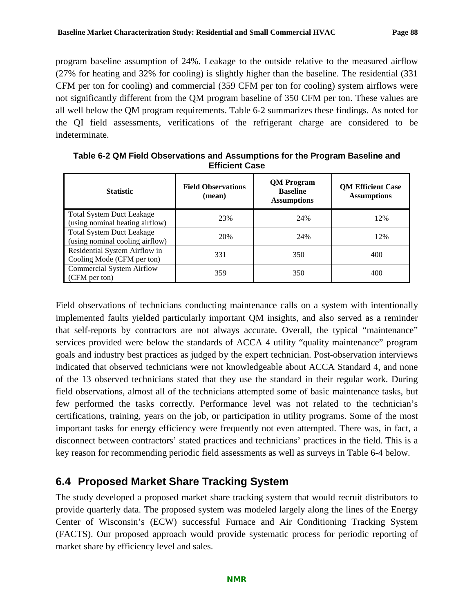program baseline assumption of 24%. Leakage to the outside relative to the measured airflow (27% for heating and 32% for cooling) is slightly higher than the baseline. The residential (331 CFM per ton for cooling) and commercial (359 CFM per ton for cooling) system airflows were not significantly different from the QM program baseline of 350 CFM per ton. These values are all well below the QM program requirements. [Table 6-2](#page-91-0) summarizes these findings. As noted for the QI field assessments, verifications of the refrigerant charge are considered to be indeterminate.

| <b>Statistic</b>                                                    | <b>Field Observations</b><br>(mean) | <b>QM</b> Program<br><b>Baseline</b><br><b>Assumptions</b> | <b>QM Efficient Case</b><br><b>Assumptions</b> |
|---------------------------------------------------------------------|-------------------------------------|------------------------------------------------------------|------------------------------------------------|
| <b>Total System Duct Leakage</b><br>(using nominal heating airflow) | 23%                                 | 24%                                                        | 12%                                            |
| <b>Total System Duct Leakage</b><br>(using nominal cooling airflow) | 20%                                 | 24%                                                        | 12%                                            |
| Residential System Airflow in<br>Cooling Mode (CFM per ton)         | 331                                 | 350                                                        | 400                                            |
| <b>Commercial System Airflow</b><br>(CFM per ton)                   | 359                                 | 350                                                        | 400                                            |

<span id="page-91-0"></span>**Table 6-2 QM Field Observations and Assumptions for the Program Baseline and Efficient Case**

Field observations of technicians conducting maintenance calls on a system with intentionally implemented faults yielded particularly important QM insights, and also served as a reminder that self-reports by contractors are not always accurate. Overall, the typical "maintenance" services provided were below the standards of ACCA 4 utility "quality maintenance" program goals and industry best practices as judged by the expert technician. Post-observation interviews indicated that observed technicians were not knowledgeable about ACCA Standard 4, and none of the 13 observed technicians stated that they use the standard in their regular work. During field observations, almost all of the technicians attempted some of basic maintenance tasks, but few performed the tasks correctly. Performance level was not related to the technician's certifications, training, years on the job, or participation in utility programs. Some of the most important tasks for energy efficiency were frequently not even attempted. There was, in fact, a disconnect between contractors' stated practices and technicians' practices in the field. This is a key reason for recommending periodic field assessments as well as surveys in [Table 6-4](#page-94-0) below.

# **6.4 Proposed Market Share Tracking System**

The study developed a proposed market share tracking system that would recruit distributors to provide quarterly data. The proposed system was modeled largely along the lines of the Energy Center of Wisconsin's (ECW) successful Furnace and Air Conditioning Tracking System (FACTS). Our proposed approach would provide systematic process for periodic reporting of market share by efficiency level and sales.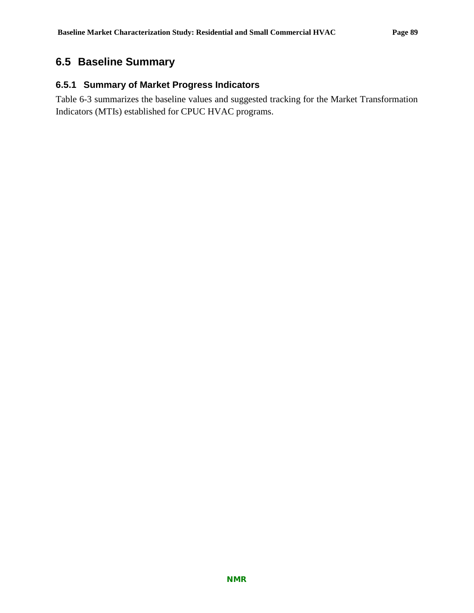# **6.5 Baseline Summary**

## **6.5.1 Summary of Market Progress Indicators**

[Table 6-3](#page-93-0) summarizes the baseline values and suggested tracking for the Market Transformation Indicators (MTIs) established for CPUC HVAC programs.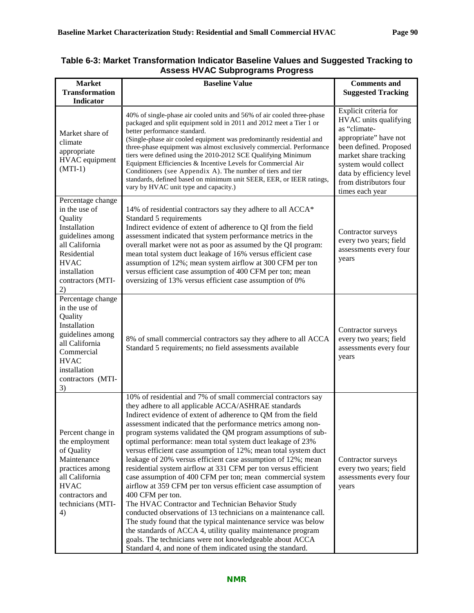| <b>Market</b><br><b>Transformation</b>                                                                                                                                       | <b>Baseline Value</b>                                                                                                                                                                                                                                                                                                                                                                                                                                                                                                                                                                                                                                                                                                                                                                                                                                                                                                                                                                                                                                                                                                            | <b>Comments and</b><br><b>Suggested Tracking</b>                                                                                                                                                                                            |
|------------------------------------------------------------------------------------------------------------------------------------------------------------------------------|----------------------------------------------------------------------------------------------------------------------------------------------------------------------------------------------------------------------------------------------------------------------------------------------------------------------------------------------------------------------------------------------------------------------------------------------------------------------------------------------------------------------------------------------------------------------------------------------------------------------------------------------------------------------------------------------------------------------------------------------------------------------------------------------------------------------------------------------------------------------------------------------------------------------------------------------------------------------------------------------------------------------------------------------------------------------------------------------------------------------------------|---------------------------------------------------------------------------------------------------------------------------------------------------------------------------------------------------------------------------------------------|
| <b>Indicator</b>                                                                                                                                                             |                                                                                                                                                                                                                                                                                                                                                                                                                                                                                                                                                                                                                                                                                                                                                                                                                                                                                                                                                                                                                                                                                                                                  |                                                                                                                                                                                                                                             |
| Market share of<br>climate<br>appropriate<br>HVAC equipment<br>$(MTI-1)$                                                                                                     | 40% of single-phase air cooled units and 56% of air cooled three-phase<br>packaged and split equipment sold in 2011 and 2012 meet a Tier 1 or<br>better performance standard.<br>(Single-phase air cooled equipment was predominantly residential and<br>three-phase equipment was almost exclusively commercial. Performance<br>tiers were defined using the 2010-2012 SCE Qualifying Minimum<br>Equipment Efficiencies & Incentive Levels for Commercial Air<br>Conditioners (see Appendix A). The number of tiers and tier<br>standards, defined based on minimum unit SEER, EER, or IEER ratings,<br>vary by HVAC unit type and capacity.)                                                                                                                                                                                                                                                                                                                                                                                                                                                                                   | Explicit criteria for<br>HVAC units qualifying<br>as "climate-<br>appropriate" have not<br>been defined. Proposed<br>market share tracking<br>system would collect<br>data by efficiency level<br>from distributors four<br>times each year |
| Percentage change<br>in the use of<br>Quality<br>Installation<br>guidelines among<br>all California<br>Residential<br><b>HVAC</b><br>installation<br>contractors (MTI-<br>2) | 14% of residential contractors say they adhere to all ACCA*<br>Standard 5 requirements<br>Indirect evidence of extent of adherence to QI from the field<br>assessment indicated that system performance metrics in the<br>overall market were not as poor as assumed by the QI program:<br>mean total system duct leakage of 16% versus efficient case<br>assumption of 12%; mean system airflow at 300 CFM per ton<br>versus efficient case assumption of 400 CFM per ton; mean<br>oversizing of 13% versus efficient case assumption of 0%                                                                                                                                                                                                                                                                                                                                                                                                                                                                                                                                                                                     | Contractor surveys<br>every two years; field<br>assessments every four<br>years                                                                                                                                                             |
| Percentage change<br>in the use of<br>Quality<br>Installation<br>guidelines among<br>all California<br>Commercial<br><b>HVAC</b><br>installation<br>contractors (MTI-<br>3)  | 8% of small commercial contractors say they adhere to all ACCA<br>Standard 5 requirements; no field assessments available                                                                                                                                                                                                                                                                                                                                                                                                                                                                                                                                                                                                                                                                                                                                                                                                                                                                                                                                                                                                        | Contractor surveys<br>every two years; field<br>assessments every four<br>years                                                                                                                                                             |
| Percent change in<br>the employment<br>of Quality<br>Maintenance<br>practices among<br>all California<br><b>HVAC</b><br>contractors and<br>technicians (MTI-<br>4)           | 10% of residential and 7% of small commercial contractors say<br>they adhere to all applicable ACCA/ASHRAE standards<br>Indirect evidence of extent of adherence to QM from the field<br>assessment indicated that the performance metrics among non-<br>program systems validated the QM program assumptions of sub-<br>optimal performance: mean total system duct leakage of 23%<br>versus efficient case assumption of 12%; mean total system duct<br>leakage of 20% versus efficient case assumption of 12%; mean<br>residential system airflow at 331 CFM per ton versus efficient<br>case assumption of 400 CFM per ton; mean commercial system<br>airflow at 359 CFM per ton versus efficient case assumption of<br>400 CFM per ton.<br>The HVAC Contractor and Technician Behavior Study<br>conducted observations of 13 technicians on a maintenance call.<br>The study found that the typical maintenance service was below<br>the standards of ACCA 4, utility quality maintenance program<br>goals. The technicians were not knowledgeable about ACCA<br>Standard 4, and none of them indicated using the standard. | Contractor surveys<br>every two years; field<br>assessments every four<br>years                                                                                                                                                             |

#### <span id="page-93-0"></span>**Table 6-3: Market Transformation Indicator Baseline Values and Suggested Tracking to Assess HVAC Subprograms Progress**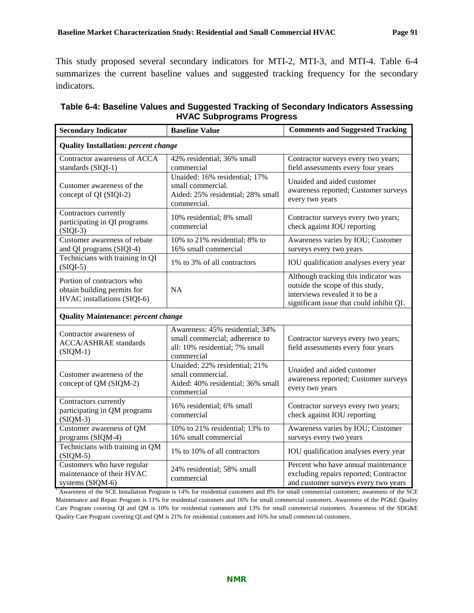This study proposed several secondary indicators for MTI-2, MTI-3, and MTI-4. [Table 6-4](#page-94-0) summarizes the current baseline values and suggested tracking frequency for the secondary indicators.

| <b>Secondary Indicator</b>                                                               | <b>Baseline Value</b>                                                                                             | <b>Comments and Suggested Tracking</b>                                                                                                                 |  |  |
|------------------------------------------------------------------------------------------|-------------------------------------------------------------------------------------------------------------------|--------------------------------------------------------------------------------------------------------------------------------------------------------|--|--|
| <b>Quality Installation: percent change</b>                                              |                                                                                                                   |                                                                                                                                                        |  |  |
| Contractor awareness of ACCA<br>standards (SIQI-1)                                       | 42% residential; 36% small<br>commercial                                                                          | Contractor surveys every two years;<br>field assessments every four years                                                                              |  |  |
| Customer awareness of the<br>concept of QI (SIQI-2)                                      | Unaided: 16% residential; 17%<br>small commercial.<br>Aided: 25% residential; 28% small<br>commercial.            | Unaided and aided customer<br>awareness reported; Customer surveys<br>every two years                                                                  |  |  |
| Contractors currently<br>participating in QI programs<br>$(SIQI-3)$                      | 10% residential; 8% small<br>commercial                                                                           | Contractor surveys every two years;<br>check against IOU reporting                                                                                     |  |  |
| Customer awareness of rebate<br>and QI programs (SIQI-4)                                 | 10% to 21% residential; 8% to<br>16% small commercial                                                             | Awareness varies by IOU; Customer<br>surveys every two years                                                                                           |  |  |
| Technicians with training in QI<br>$(SIQI-5)$                                            | 1% to 3% of all contractors                                                                                       | IOU qualification analyses every year                                                                                                                  |  |  |
| Portion of contractors who<br>obtain building permits for<br>HVAC installations (SIQI-6) | <b>NA</b>                                                                                                         | Although tracking this indicator was<br>outside the scope of this study,<br>interviews revealed it to be a<br>significant issue that could inhibit QI. |  |  |
| <b>Quality Maintenance: percent change</b>                                               |                                                                                                                   |                                                                                                                                                        |  |  |
| Contractor awareness of<br><b>ACCA/ASHRAE</b> standards<br>$(SIQM-1)$                    | Awareness: 45% residential; 34%<br>small commercial; adherence to<br>all: 10% residential; 7% small<br>commercial | Contractor surveys every two years;<br>field assessments every four years                                                                              |  |  |
| Customer awareness of the<br>concept of QM (SIQM-2)                                      | Unaided: 22% residential; 21%<br>small commercial.<br>Aided: 40% residential; 36% small<br>commercial             | Unaided and aided customer<br>awareness reported; Customer surveys<br>every two years                                                                  |  |  |
| Contractors currently<br>participating in QM programs<br>$(SIQM-3)$                      | 16% residential; 6% small<br>commercial                                                                           | Contractor surveys every two years;<br>check against IOU reporting                                                                                     |  |  |
| Customer awareness of QM<br>programs (SIQM-4)                                            | 10% to 21% residential; 13% to<br>16% small commercial                                                            | Awareness varies by IOU; Customer<br>surveys every two years                                                                                           |  |  |
| Technicians with training in QM<br>$(SIQM-5)$                                            | 1% to 10% of all contractors                                                                                      | IOU qualification analyses every year                                                                                                                  |  |  |
| Customers who have regular<br>maintenance of their HVAC<br>systems (SIQM-6)              | 24% residential; 58% small<br>commercial                                                                          | Percent who have annual maintenance<br>excluding repairs reported; Contractor<br>and customer surveys every two years                                  |  |  |

<span id="page-94-0"></span>

| Table 6-4: Baseline Values and Suggested Tracking of Secondary Indicators Assessing |
|-------------------------------------------------------------------------------------|
| <b>HVAC Subprograms Progress</b>                                                    |

Awareness of the SCE Installation Program is 14% for residential customers and 8% for small commercial customers; awareness of the SCE Maintenance and Repair Program is 11% for residential customers and 16% for small commercial customers. Awareness of the PG&E Quality Care Program covering QI and QM is 10% for residential customers and 13% for small commercial customers. Awareness of the SDG&E Quality Care Program covering QI and QM is 21% for residential customers and 16% for small commercial customers.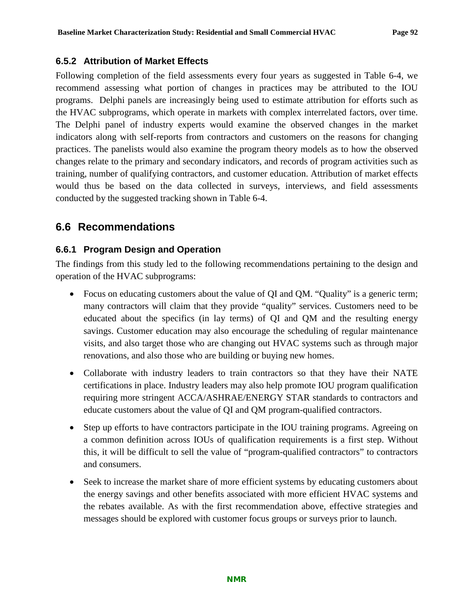### <span id="page-95-0"></span>**6.5.2 Attribution of Market Effects**

Following completion of the field assessments every four years as suggested in [Table 6-4,](#page-94-0) we recommend assessing what portion of changes in practices may be attributed to the IOU programs. Delphi panels are increasingly being used to estimate attribution for efforts such as the HVAC subprograms, which operate in markets with complex interrelated factors, over time. The Delphi panel of industry experts would examine the observed changes in the market indicators along with self-reports from contractors and customers on the reasons for changing practices. The panelists would also examine the program theory models as to how the observed changes relate to the primary and secondary indicators, and records of program activities such as training, number of qualifying contractors, and customer education. Attribution of market effects would thus be based on the data collected in surveys, interviews, and field assessments conducted by the suggested tracking shown in [Table 6-4.](#page-94-0)

# **6.6 Recommendations**

### **6.6.1 Program Design and Operation**

The findings from this study led to the following recommendations pertaining to the design and operation of the HVAC subprograms:

- Focus on educating customers about the value of QI and QM. "Quality" is a generic term; many contractors will claim that they provide "quality" services. Customers need to be educated about the specifics (in lay terms) of QI and QM and the resulting energy savings. Customer education may also encourage the scheduling of regular maintenance visits, and also target those who are changing out HVAC systems such as through major renovations, and also those who are building or buying new homes.
- Collaborate with industry leaders to train contractors so that they have their NATE certifications in place. Industry leaders may also help promote IOU program qualification requiring more stringent ACCA/ASHRAE/ENERGY STAR standards to contractors and educate customers about the value of QI and QM program-qualified contractors.
- Step up efforts to have contractors participate in the IOU training programs. Agreeing on a common definition across IOUs of qualification requirements is a first step. Without this, it will be difficult to sell the value of "program-qualified contractors" to contractors and consumers.
- Seek to increase the market share of more efficient systems by educating customers about the energy savings and other benefits associated with more efficient HVAC systems and the rebates available. As with the first recommendation above, effective strategies and messages should be explored with customer focus groups or surveys prior to launch.